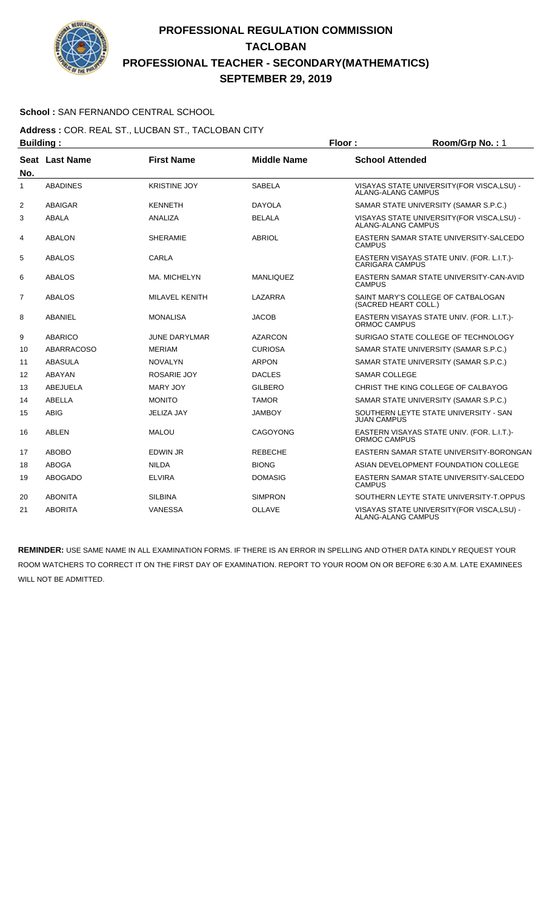

### **School :** SAN FERNANDO CENTRAL SCHOOL

**Address :** COR. REAL ST., LUCBAN ST., TACLOBAN CITY **Building : Floor : Floor : Room/Grp No. : 1** 

| No.            | Seat Last Name    | <b>First Name</b>     | <b>Middle Name</b> | <b>School Attended</b>                                               |
|----------------|-------------------|-----------------------|--------------------|----------------------------------------------------------------------|
| 1              | <b>ABADINES</b>   | <b>KRISTINE JOY</b>   | <b>SABELA</b>      | VISAYAS STATE UNIVERSITY(FOR VISCA,LSU) -<br>ALANG-ALANG CAMPUS      |
| 2              | ABAIGAR           | <b>KENNETH</b>        | <b>DAYOLA</b>      | SAMAR STATE UNIVERSITY (SAMAR S.P.C.)                                |
| 3              | ABALA             | ANALIZA               | <b>BELALA</b>      | VISAYAS STATE UNIVERSITY (FOR VISCA, LSU) -<br>ALANG-ALANG CAMPUS    |
| 4              | <b>ABALON</b>     | <b>SHERAMIE</b>       | <b>ABRIOL</b>      | EASTERN SAMAR STATE UNIVERSITY-SALCEDO<br><b>CAMPUS</b>              |
| 5              | <b>ABALOS</b>     | CARLA                 |                    | EASTERN VISAYAS STATE UNIV. (FOR. L.I.T.)-<br><b>CARIGARA CAMPUS</b> |
| 6              | <b>ABALOS</b>     | MA. MICHELYN          | <b>MANLIQUEZ</b>   | EASTERN SAMAR STATE UNIVERSITY-CAN-AVID<br><b>CAMPUS</b>             |
| $\overline{7}$ | <b>ABALOS</b>     | <b>MILAVEL KENITH</b> | LAZARRA            | SAINT MARY'S COLLEGE OF CATBALOGAN<br>(SACRED HEART COLL.)           |
| 8              | ABANIEL           | <b>MONALISA</b>       | <b>JACOB</b>       | EASTERN VISAYAS STATE UNIV. (FOR. L.I.T.)-<br>ORMOC CAMPUS           |
| 9              | <b>ABARICO</b>    | <b>JUNE DARYLMAR</b>  | <b>AZARCON</b>     | SURIGAO STATE COLLEGE OF TECHNOLOGY                                  |
| 10             | <b>ABARRACOSO</b> | <b>MERIAM</b>         | <b>CURIOSA</b>     | SAMAR STATE UNIVERSITY (SAMAR S.P.C.)                                |
| 11             | <b>ABASULA</b>    | <b>NOVALYN</b>        | <b>ARPON</b>       | SAMAR STATE UNIVERSITY (SAMAR S.P.C.)                                |
| 12             | <b>ABAYAN</b>     | <b>ROSARIE JOY</b>    | <b>DACLES</b>      | <b>SAMAR COLLEGE</b>                                                 |
| 13             | ABEJUELA          | <b>MARY JOY</b>       | <b>GILBERO</b>     | CHRIST THE KING COLLEGE OF CALBAYOG                                  |
| 14             | <b>ABELLA</b>     | <b>MONITO</b>         | <b>TAMOR</b>       | SAMAR STATE UNIVERSITY (SAMAR S.P.C.)                                |
| 15             | <b>ABIG</b>       | <b>JELIZA JAY</b>     | <b>JAMBOY</b>      | SOUTHERN LEYTE STATE UNIVERSITY - SAN<br><b>JUAN CAMPUS</b>          |
| 16             | ABLEN             | <b>MALOU</b>          | <b>CAGOYONG</b>    | EASTERN VISAYAS STATE UNIV. (FOR. L.I.T.)-<br>ORMOC CAMPUS           |
| 17             | <b>ABOBO</b>      | <b>EDWIN JR</b>       | <b>REBECHE</b>     | EASTERN SAMAR STATE UNIVERSITY-BORONGAN                              |
| 18             | <b>ABOGA</b>      | <b>NILDA</b>          | <b>BIONG</b>       | ASIAN DEVELOPMENT FOUNDATION COLLEGE                                 |
| 19             | <b>ABOGADO</b>    | <b>ELVIRA</b>         | <b>DOMASIG</b>     | EASTERN SAMAR STATE UNIVERSITY-SALCEDO<br><b>CAMPUS</b>              |
| 20             | <b>ABONITA</b>    | <b>SILBINA</b>        | <b>SIMPRON</b>     | SOUTHERN LEYTE STATE UNIVERSITY-T.OPPUS                              |
| 21             | <b>ABORITA</b>    | <b>VANESSA</b>        | <b>OLLAVE</b>      | VISAYAS STATE UNIVERSITY (FOR VISCA.LSU) -<br>ALANG-ALANG CAMPUS     |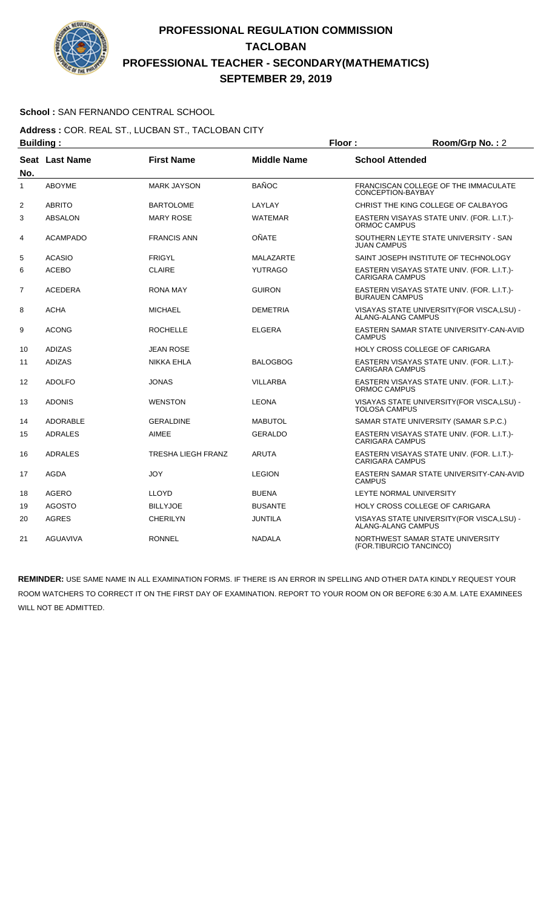

### **School :** SAN FERNANDO CENTRAL SCHOOL

**Address :** COR. REAL ST., LUCBAN ST., TACLOBAN CITY **Building : Floor : Room/Grp No. :** 2

| No.            | Seat Last Name  | <b>First Name</b>         | <b>Middle Name</b> | <b>School Attended</b>                                                   |
|----------------|-----------------|---------------------------|--------------------|--------------------------------------------------------------------------|
| 1              | <b>ABOYME</b>   | <b>MARK JAYSON</b>        | <b>BAÑOC</b>       | FRANCISCAN COLLEGE OF THE IMMACULATE<br>CONCEPTION-BAYBAY                |
| $\overline{2}$ | <b>ABRITO</b>   | <b>BARTOLOME</b>          | LAYLAY             | CHRIST THE KING COLLEGE OF CALBAYOG                                      |
| 3              | <b>ABSALON</b>  | <b>MARY ROSE</b>          | <b>WATEMAR</b>     | EASTERN VISAYAS STATE UNIV. (FOR. L.I.T.)-<br>ORMOC CAMPUS               |
| 4              | <b>ACAMPADO</b> | <b>FRANCIS ANN</b>        | OÑATE              | SOUTHERN LEYTE STATE UNIVERSITY - SAN<br><b>JUAN CAMPUS</b>              |
| 5              | <b>ACASIO</b>   | <b>FRIGYL</b>             | <b>MALAZARTE</b>   | SAINT JOSEPH INSTITUTE OF TECHNOLOGY                                     |
| 6              | <b>ACEBO</b>    | <b>CLAIRE</b>             | <b>YUTRAGO</b>     | EASTERN VISAYAS STATE UNIV. (FOR. L.I.T.)-<br><b>CARIGARA CAMPUS</b>     |
| $\overline{7}$ | <b>ACEDERA</b>  | <b>RONA MAY</b>           | <b>GUIRON</b>      | EASTERN VISAYAS STATE UNIV. (FOR. L.I.T.)-<br><b>BURAUEN CAMPUS</b>      |
| 8              | <b>ACHA</b>     | <b>MICHAEL</b>            | <b>DEMETRIA</b>    | VISAYAS STATE UNIVERSITY (FOR VISCA, LSU) -<br><b>ALANG-ALANG CAMPUS</b> |
| 9              | <b>ACONG</b>    | <b>ROCHELLE</b>           | <b>ELGERA</b>      | EASTERN SAMAR STATE UNIVERSITY-CAN-AVID<br><b>CAMPUS</b>                 |
| 10             | <b>ADIZAS</b>   | <b>JEAN ROSE</b>          |                    | HOLY CROSS COLLEGE OF CARIGARA                                           |
| 11             | <b>ADIZAS</b>   | NIKKA EHLA                | <b>BALOGBOG</b>    | EASTERN VISAYAS STATE UNIV. (FOR. L.I.T.)-<br><b>CARIGARA CAMPUS</b>     |
| 12             | <b>ADOLFO</b>   | <b>JONAS</b>              | <b>VILLARBA</b>    | EASTERN VISAYAS STATE UNIV. (FOR. L.I.T.)-<br>ORMOC CAMPUS               |
| 13             | <b>ADONIS</b>   | <b>WENSTON</b>            | <b>LEONA</b>       | VISAYAS STATE UNIVERSITY (FOR VISCA, LSU) -<br><b>TOLOSA CAMPUS</b>      |
| 14             | <b>ADORABLE</b> | <b>GERALDINE</b>          | <b>MABUTOL</b>     | SAMAR STATE UNIVERSITY (SAMAR S.P.C.)                                    |
| 15             | <b>ADRALES</b>  | AIMEE                     | <b>GERALDO</b>     | EASTERN VISAYAS STATE UNIV. (FOR. L.I.T.)-<br><b>CARIGARA CAMPUS</b>     |
| 16             | <b>ADRALES</b>  | <b>TRESHA LIEGH FRANZ</b> | <b>ARUTA</b>       | EASTERN VISAYAS STATE UNIV. (FOR. L.I.T.)-<br><b>CARIGARA CAMPUS</b>     |
| 17             | <b>AGDA</b>     | <b>JOY</b>                | <b>LEGION</b>      | EASTERN SAMAR STATE UNIVERSITY-CAN-AVID<br><b>CAMPUS</b>                 |
| 18             | <b>AGERO</b>    | <b>LLOYD</b>              | <b>BUENA</b>       | LEYTE NORMAL UNIVERSITY                                                  |
| 19             | <b>AGOSTO</b>   | <b>BILLYJOE</b>           | <b>BUSANTE</b>     | <b>HOLY CROSS COLLEGE OF CARIGARA</b>                                    |
| 20             | <b>AGRES</b>    | <b>CHERILYN</b>           | <b>JUNTILA</b>     | VISAYAS STATE UNIVERSITY (FOR VISCA, LSU) -<br>ALANG-ALANG CAMPUS        |
| 21             | <b>AGUAVIVA</b> | <b>RONNEL</b>             | <b>NADALA</b>      | NORTHWEST SAMAR STATE UNIVERSITY<br>(FOR.TIBURCIO TANCINCO)              |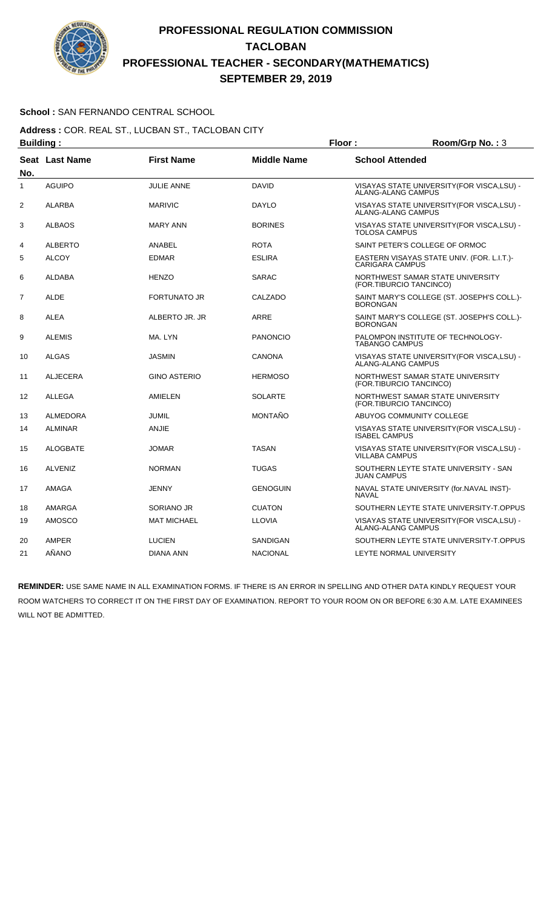

### **School :** SAN FERNANDO CENTRAL SCHOOL

**Address :** COR. REAL ST., LUCBAN ST., TACLOBAN CITY **Building : Floor : Room/Grp No. :** 3

| No.            | Seat Last Name  | <b>First Name</b>   | <b>Middle Name</b> | <b>School Attended</b>                                                   |
|----------------|-----------------|---------------------|--------------------|--------------------------------------------------------------------------|
| $\mathbf{1}$   | <b>AGUIPO</b>   | <b>JULIE ANNE</b>   | <b>DAVID</b>       | VISAYAS STATE UNIVERSITY (FOR VISCA, LSU) -<br><b>ALANG-ALANG CAMPUS</b> |
| $\overline{2}$ | <b>ALARBA</b>   | <b>MARIVIC</b>      | <b>DAYLO</b>       | VISAYAS STATE UNIVERSITY(FOR VISCA,LSU) -<br><b>ALANG-ALANG CAMPUS</b>   |
| 3              | <b>ALBAOS</b>   | <b>MARY ANN</b>     | <b>BORINES</b>     | VISAYAS STATE UNIVERSITY (FOR VISCA, LSU) -<br><b>TOLOSA CAMPUS</b>      |
| 4              | <b>ALBERTO</b>  | ANABEL              | <b>ROTA</b>        | SAINT PETER'S COLLEGE OF ORMOC                                           |
| 5              | <b>ALCOY</b>    | <b>EDMAR</b>        | <b>ESLIRA</b>      | EASTERN VISAYAS STATE UNIV. (FOR. L.I.T.)-<br><b>CARIGARA CAMPUS</b>     |
| 6              | <b>ALDABA</b>   | <b>HENZO</b>        | <b>SARAC</b>       | NORTHWEST SAMAR STATE UNIVERSITY<br>(FOR.TIBURCIO TANCINCO)              |
| $\overline{7}$ | <b>ALDE</b>     | <b>FORTUNATO JR</b> | CALZADO            | SAINT MARY'S COLLEGE (ST. JOSEPH'S COLL.)-<br><b>BORONGAN</b>            |
| 8              | <b>ALEA</b>     | ALBERTO JR. JR      | <b>ARRE</b>        | SAINT MARY'S COLLEGE (ST. JOSEPH'S COLL.)-<br><b>BORONGAN</b>            |
| 9              | <b>ALEMIS</b>   | MA. LYN             | <b>PANONCIO</b>    | PALOMPON INSTITUTE OF TECHNOLOGY-<br><b>TABANGO CAMPUS</b>               |
| 10             | <b>ALGAS</b>    | <b>JASMIN</b>       | CANONA             | VISAYAS STATE UNIVERSITY (FOR VISCA, LSU) -<br>ALANG-ALANG CAMPUS        |
| 11             | <b>ALJECERA</b> | <b>GINO ASTERIO</b> | <b>HERMOSO</b>     | NORTHWEST SAMAR STATE UNIVERSITY<br>(FOR.TIBURCIO TANCINCO)              |
| 12             | ALLEGA          | AMIELEN             | <b>SOLARTE</b>     | NORTHWEST SAMAR STATE UNIVERSITY<br>(FOR.TIBURCIO TANCINCO)              |
| 13             | <b>ALMEDORA</b> | JUMIL               | <b>MONTAÑO</b>     | ABUYOG COMMUNITY COLLEGE                                                 |
| 14             | <b>ALMINAR</b>  | <b>ANJIE</b>        |                    | VISAYAS STATE UNIVERSITY (FOR VISCA, LSU) -<br><b>ISABEL CAMPUS</b>      |
| 15             | <b>ALOGBATE</b> | JOMAR               | <b>TASAN</b>       | VISAYAS STATE UNIVERSITY (FOR VISCA, LSU) -<br>VILLABA CAMPUS            |
| 16             | <b>ALVENIZ</b>  | <b>NORMAN</b>       | <b>TUGAS</b>       | SOUTHERN LEYTE STATE UNIVERSITY - SAN<br><b>JUAN CAMPUS</b>              |
| 17             | AMAGA           | JENNY               | <b>GENOGUIN</b>    | NAVAL STATE UNIVERSITY (for.NAVAL INST)-<br><b>NAVAL</b>                 |
| 18             | AMARGA          | SORIANO JR          | <b>CUATON</b>      | SOUTHERN LEYTE STATE UNIVERSITY-T.OPPUS                                  |
| 19             | <b>AMOSCO</b>   | <b>MAT MICHAEL</b>  | <b>LLOVIA</b>      | VISAYAS STATE UNIVERSITY(FOR VISCA,LSU) -<br><b>ALANG-ALANG CAMPUS</b>   |
| 20             | <b>AMPER</b>    | <b>LUCIEN</b>       | <b>SANDIGAN</b>    | SOUTHERN LEYTE STATE UNIVERSITY-T.OPPUS                                  |
| 21             | AÑANO           | DIANA ANN           | <b>NACIONAL</b>    | LEYTE NORMAL UNIVERSITY                                                  |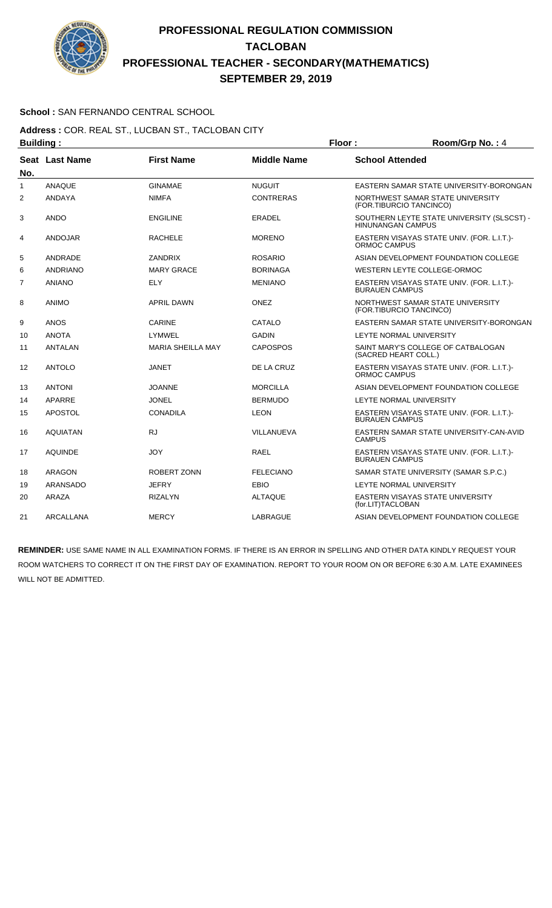

### **School :** SAN FERNANDO CENTRAL SCHOOL

#### **Address :** COR. REAL ST., LUCBAN ST., TACLOBAN CITY **Building : Floor : Floor : Room/Grp No. : 4**

| No.            | Seat Last Name  | <b>First Name</b>        | <b>Middle Name</b> | <b>School Attended</b>                                                 |
|----------------|-----------------|--------------------------|--------------------|------------------------------------------------------------------------|
| 1              | <b>ANAQUE</b>   | <b>GINAMAE</b>           | <b>NUGUIT</b>      | EASTERN SAMAR STATE UNIVERSITY-BORONGAN                                |
| 2              | ANDAYA          | <b>NIMFA</b>             | <b>CONTRERAS</b>   | NORTHWEST SAMAR STATE UNIVERSITY<br>(FOR.TIBURCIO TANCINCO)            |
| 3              | <b>ANDO</b>     | <b>ENGILINE</b>          | <b>ERADEL</b>      | SOUTHERN LEYTE STATE UNIVERSITY (SLSCST) -<br><b>HINUNANGAN CAMPUS</b> |
| 4              | ANDOJAR         | <b>RACHELE</b>           | <b>MORENO</b>      | EASTERN VISAYAS STATE UNIV. (FOR. L.I.T.)-<br>ORMOC CAMPUS             |
| 5              | ANDRADE         | <b>ZANDRIX</b>           | <b>ROSARIO</b>     | ASIAN DEVELOPMENT FOUNDATION COLLEGE                                   |
| 6              | ANDRIANO        | <b>MARY GRACE</b>        | <b>BORINAGA</b>    | WESTERN LEYTE COLLEGE-ORMOC                                            |
| $\overline{7}$ | <b>ANIANO</b>   | <b>ELY</b>               | <b>MENIANO</b>     | EASTERN VISAYAS STATE UNIV. (FOR. L.I.T.)-<br><b>BURAUEN CAMPUS</b>    |
| 8              | <b>ANIMO</b>    | <b>APRIL DAWN</b>        | ONEZ               | NORTHWEST SAMAR STATE UNIVERSITY<br>(FOR.TIBURCIO TANCINCO)            |
| 9              | <b>ANOS</b>     | <b>CARINE</b>            | CATALO             | EASTERN SAMAR STATE UNIVERSITY-BORONGAN                                |
| 10             | <b>ANOTA</b>    | LYMWEL                   | <b>GADIN</b>       | LEYTE NORMAL UNIVERSITY                                                |
| 11             | <b>ANTALAN</b>  | <b>MARIA SHEILLA MAY</b> | <b>CAPOSPOS</b>    | SAINT MARY'S COLLEGE OF CATBALOGAN<br>(SACRED HEART COLL.)             |
| 12             | ANTOLO          | JANET                    | DE LA CRUZ         | EASTERN VISAYAS STATE UNIV. (FOR. L.I.T.)-<br>ORMOC CAMPUS             |
| 13             | <b>ANTONI</b>   | <b>JOANNE</b>            | <b>MORCILLA</b>    | ASIAN DEVELOPMENT FOUNDATION COLLEGE                                   |
| 14             | APARRE          | <b>JONEL</b>             | <b>BERMUDO</b>     | LEYTE NORMAL UNIVERSITY                                                |
| 15             | <b>APOSTOL</b>  | <b>CONADILA</b>          | <b>LEON</b>        | EASTERN VISAYAS STATE UNIV. (FOR. L.I.T.)-<br><b>BURAUEN CAMPUS</b>    |
| 16             | <b>AQUIATAN</b> | <b>RJ</b>                | VILLANUEVA         | EASTERN SAMAR STATE UNIVERSITY-CAN-AVID<br><b>CAMPUS</b>               |
| 17             | <b>AQUINDE</b>  | <b>JOY</b>               | <b>RAEL</b>        | EASTERN VISAYAS STATE UNIV. (FOR. L.I.T.)-<br><b>BURAUEN CAMPUS</b>    |
| 18             | ARAGON          | ROBERT ZONN              | <b>FELECIANO</b>   | SAMAR STATE UNIVERSITY (SAMAR S.P.C.)                                  |
| 19             | ARANSADO        | <b>JEFRY</b>             | <b>EBIO</b>        | LEYTE NORMAL UNIVERSITY                                                |
| 20             | ARAZA           | <b>RIZALYN</b>           | <b>ALTAQUE</b>     | <b>EASTERN VISAYAS STATE UNIVERSITY</b><br>(for.LIT)TACLOBAN           |
| 21             | ARCALLANA       | <b>MERCY</b>             | LABRAGUE           | ASIAN DEVELOPMENT FOUNDATION COLLEGE                                   |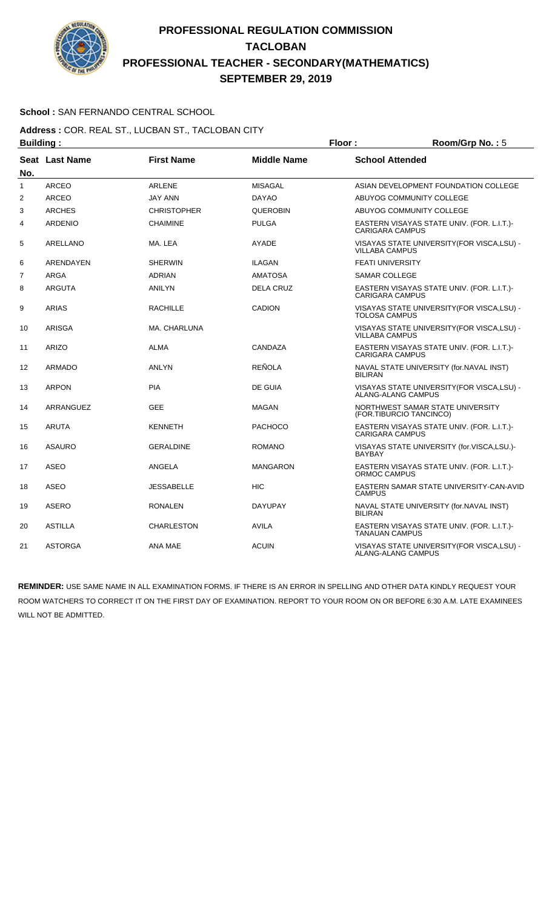

### **School :** SAN FERNANDO CENTRAL SCHOOL

#### **Address :** COR. REAL ST., LUCBAN ST., TACLOBAN CITY **Building : Floor : Floor : Room/Grp No. :** 5

| Pananig .      |                       |                    | .                  |                                                                          |
|----------------|-----------------------|--------------------|--------------------|--------------------------------------------------------------------------|
| No.            | <b>Seat Last Name</b> | <b>First Name</b>  | <b>Middle Name</b> | <b>School Attended</b>                                                   |
| 1              | <b>ARCEO</b>          | <b>ARLENE</b>      | <b>MISAGAL</b>     | ASIAN DEVELOPMENT FOUNDATION COLLEGE                                     |
| $\overline{2}$ | <b>ARCEO</b>          | <b>JAY ANN</b>     | <b>DAYAO</b>       | ABUYOG COMMUNITY COLLEGE                                                 |
| 3              | <b>ARCHES</b>         | <b>CHRISTOPHER</b> | <b>QUEROBIN</b>    | ABUYOG COMMUNITY COLLEGE                                                 |
| 4              | <b>ARDENIO</b>        | <b>CHAIMINE</b>    | <b>PULGA</b>       | EASTERN VISAYAS STATE UNIV. (FOR. L.I.T.)-<br><b>CARIGARA CAMPUS</b>     |
| 5              | ARELLANO              | MA, LEA            | AYADE              | VISAYAS STATE UNIVERSITY (FOR VISCA, LSU) -<br><b>VILLABA CAMPUS</b>     |
| 6              | ARENDAYEN             | <b>SHERWIN</b>     | <b>ILAGAN</b>      | <b>FEATI UNIVERSITY</b>                                                  |
| $\overline{7}$ | ARGA                  | <b>ADRIAN</b>      | <b>AMATOSA</b>     | <b>SAMAR COLLEGE</b>                                                     |
| 8              | <b>ARGUTA</b>         | <b>ANILYN</b>      | <b>DELA CRUZ</b>   | EASTERN VISAYAS STATE UNIV. (FOR. L.I.T.)-<br><b>CARIGARA CAMPUS</b>     |
| 9              | <b>ARIAS</b>          | <b>RACHILLE</b>    | <b>CADION</b>      | VISAYAS STATE UNIVERSITY (FOR VISCA, LSU) -<br><b>TOLOSA CAMPUS</b>      |
| 10             | <b>ARISGA</b>         | MA. CHARLUNA       |                    | VISAYAS STATE UNIVERSITY (FOR VISCA, LSU) -<br><b>VILLABA CAMPUS</b>     |
| 11             | <b>ARIZO</b>          | <b>ALMA</b>        | CANDAZA            | EASTERN VISAYAS STATE UNIV. (FOR. L.I.T.)-<br><b>CARIGARA CAMPUS</b>     |
| 12             | <b>ARMADO</b>         | <b>ANLYN</b>       | <b>REÑOLA</b>      | NAVAL STATE UNIVERSITY (for.NAVAL INST)<br><b>BILIRAN</b>                |
| 13             | <b>ARPON</b>          | <b>PIA</b>         | DE GUIA            | VISAYAS STATE UNIVERSITY(FOR VISCA,LSU) -<br><b>ALANG-ALANG CAMPUS</b>   |
| 14             | ARRANGUEZ             | <b>GEE</b>         | <b>MAGAN</b>       | NORTHWEST SAMAR STATE UNIVERSITY<br>(FOR.TIBURCIO TANCINCO)              |
| 15             | <b>ARUTA</b>          | <b>KENNETH</b>     | <b>PACHOCO</b>     | EASTERN VISAYAS STATE UNIV. (FOR. L.I.T.)-<br><b>CARIGARA CAMPUS</b>     |
| 16             | <b>ASAURO</b>         | <b>GERALDINE</b>   | <b>ROMANO</b>      | VISAYAS STATE UNIVERSITY (for.VISCA,LSU.)-<br><b>BAYBAY</b>              |
| 17             | <b>ASEO</b>           | ANGELA             | <b>MANGARON</b>    | EASTERN VISAYAS STATE UNIV. (FOR. L.I.T.)-<br>ORMOC CAMPUS               |
| 18             | <b>ASEO</b>           | <b>JESSABELLE</b>  | <b>HIC</b>         | EASTERN SAMAR STATE UNIVERSITY-CAN-AVID<br><b>CAMPUS</b>                 |
| 19             | <b>ASERO</b>          | <b>RONALEN</b>     | <b>DAYUPAY</b>     | NAVAL STATE UNIVERSITY (for.NAVAL INST)<br><b>BILIRAN</b>                |
| 20             | <b>ASTILLA</b>        | <b>CHARLESTON</b>  | AVILA              | EASTERN VISAYAS STATE UNIV. (FOR. L.I.T.)-<br><b>TANAUAN CAMPUS</b>      |
| 21             | <b>ASTORGA</b>        | ANA MAE            | <b>ACUIN</b>       | VISAYAS STATE UNIVERSITY (FOR VISCA, LSU) -<br><b>ALANG-ALANG CAMPUS</b> |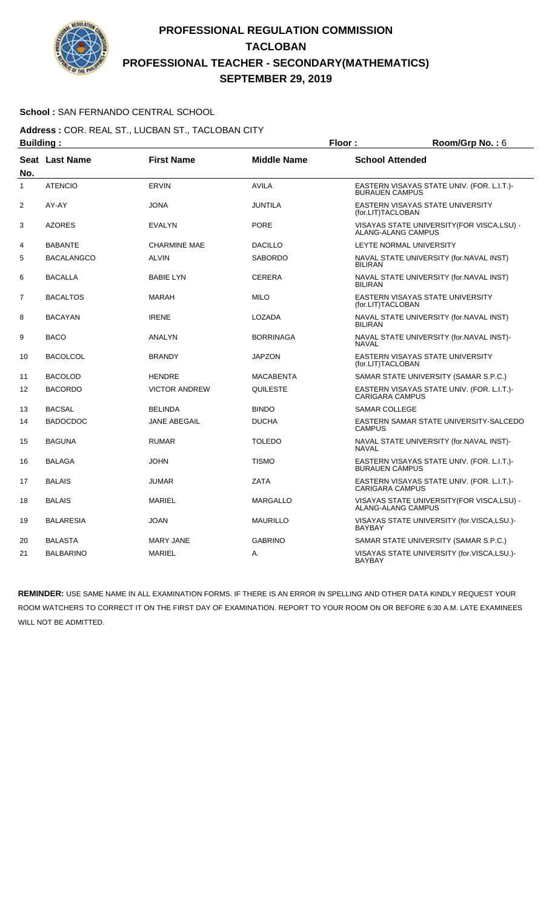

### **School :** SAN FERNANDO CENTRAL SCHOOL

**Address :** COR. REAL ST., LUCBAN ST., TACLOBAN CITY **Building : Floor : Room/Grp No. :** 6

| No.            | Seat Last Name    | <b>First Name</b>    | <b>Middle Name</b> | <b>School Attended</b>                                                 |  |
|----------------|-------------------|----------------------|--------------------|------------------------------------------------------------------------|--|
| 1              | <b>ATENCIO</b>    | <b>ERVIN</b>         | <b>AVILA</b>       | EASTERN VISAYAS STATE UNIV. (FOR. L.I.T.)-<br><b>BURAUEN CAMPUS</b>    |  |
| $\overline{2}$ | AY-AY             | <b>JONA</b>          | <b>JUNTILA</b>     | EASTERN VISAYAS STATE UNIVERSITY<br>(for.LIT)TACLOBAN                  |  |
| 3              | <b>AZORES</b>     | <b>EVALYN</b>        | <b>PORE</b>        | VISAYAS STATE UNIVERSITY (FOR VISCA, LSU) -<br>ALANG-ALANG CAMPUS      |  |
| 4              | <b>BABANTE</b>    | <b>CHARMINE MAE</b>  | <b>DACILLO</b>     | <b>LEYTE NORMAL UNIVERSITY</b>                                         |  |
| 5              | <b>BACALANGCO</b> | <b>ALVIN</b>         | <b>SABORDO</b>     | NAVAL STATE UNIVERSITY (for.NAVAL INST)<br><b>BILIRAN</b>              |  |
| 6              | <b>BACALLA</b>    | <b>BABIE LYN</b>     | <b>CERERA</b>      | NAVAL STATE UNIVERSITY (for.NAVAL INST)<br><b>BILIRAN</b>              |  |
| 7              | <b>BACALTOS</b>   | <b>MARAH</b>         | <b>MILO</b>        | EASTERN VISAYAS STATE UNIVERSITY<br>(for.LIT)TACLOBAN                  |  |
| 8              | <b>BACAYAN</b>    | <b>IRENE</b>         | <b>LOZADA</b>      | NAVAL STATE UNIVERSITY (for.NAVAL INST)<br><b>BILIRAN</b>              |  |
| 9              | <b>BACO</b>       | <b>ANALYN</b>        | <b>BORRINAGA</b>   | NAVAL STATE UNIVERSITY (for.NAVAL INST)-<br><b>NAVAL</b>               |  |
| 10             | <b>BACOLCOL</b>   | <b>BRANDY</b>        | <b>JAPZON</b>      | EASTERN VISAYAS STATE UNIVERSITY<br>(for.LIT)TACLOBAN                  |  |
| 11             | <b>BACOLOD</b>    | <b>HENDRE</b>        | <b>MACABENTA</b>   | SAMAR STATE UNIVERSITY (SAMAR S.P.C.)                                  |  |
| 12             | <b>BACORDO</b>    | <b>VICTOR ANDREW</b> | QUILESTE           | EASTERN VISAYAS STATE UNIV. (FOR. L.I.T.)-<br><b>CARIGARA CAMPUS</b>   |  |
| 13             | <b>BACSAL</b>     | <b>BELINDA</b>       | <b>BINDO</b>       | <b>SAMAR COLLEGE</b>                                                   |  |
| 14             | <b>BADOCDOC</b>   | <b>JANE ABEGAIL</b>  | <b>DUCHA</b>       | EASTERN SAMAR STATE UNIVERSITY-SALCEDO<br><b>CAMPUS</b>                |  |
| 15             | <b>BAGUNA</b>     | <b>RUMAR</b>         | <b>TOLEDO</b>      | NAVAL STATE UNIVERSITY (for.NAVAL INST)-<br><b>NAVAL</b>               |  |
| 16             | <b>BALAGA</b>     | <b>JOHN</b>          | <b>TISMO</b>       | EASTERN VISAYAS STATE UNIV. (FOR. L.I.T.)-<br><b>BURAUEN CAMPUS</b>    |  |
| 17             | <b>BALAIS</b>     | <b>JUMAR</b>         | <b>ZATA</b>        | EASTERN VISAYAS STATE UNIV. (FOR. L.I.T.)-<br><b>CARIGARA CAMPUS</b>   |  |
| 18             | <b>BALAIS</b>     | <b>MARIEL</b>        | <b>MARGALLO</b>    | VISAYAS STATE UNIVERSITY(FOR VISCA,LSU) -<br><b>ALANG-ALANG CAMPUS</b> |  |
| 19             | <b>BALARESIA</b>  | <b>JOAN</b>          | <b>MAURILLO</b>    | VISAYAS STATE UNIVERSITY (for.VISCA,LSU.)-<br><b>BAYBAY</b>            |  |
| 20             | <b>BALASTA</b>    | <b>MARY JANE</b>     | <b>GABRINO</b>     | SAMAR STATE UNIVERSITY (SAMAR S.P.C.)                                  |  |
| 21             | <b>BALBARINO</b>  | <b>MARIEL</b>        | А.                 | VISAYAS STATE UNIVERSITY (for.VISCA,LSU.)-<br><b>BAYBAY</b>            |  |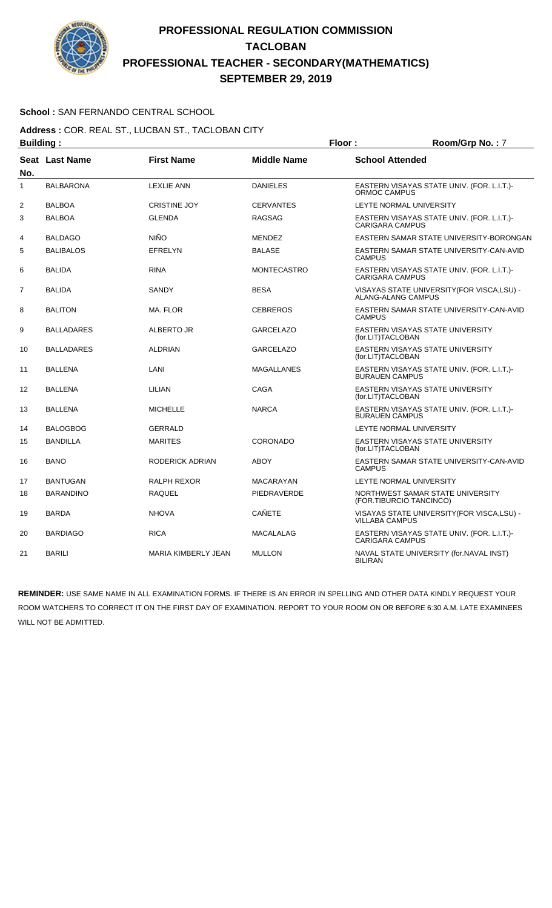

### **School :** SAN FERNANDO CENTRAL SCHOOL

**Address :** COR. REAL ST., LUCBAN ST., TACLOBAN CITY **Building : Floor : Room/Grp No. :** 7

| No.            | Seat Last Name    | <b>First Name</b>          | <b>Middle Name</b> | <b>School Attended</b>                                               |
|----------------|-------------------|----------------------------|--------------------|----------------------------------------------------------------------|
| $\mathbf{1}$   | <b>BALBARONA</b>  | <b>LEXLIE ANN</b>          | <b>DANIELES</b>    | EASTERN VISAYAS STATE UNIV. (FOR. L.I.T.)-<br>ORMOC CAMPUS           |
| $\overline{2}$ | <b>BALBOA</b>     | <b>CRISTINE JOY</b>        | <b>CERVANTES</b>   | LEYTE NORMAL UNIVERSITY                                              |
| 3              | <b>BALBOA</b>     | <b>GLENDA</b>              | <b>RAGSAG</b>      | EASTERN VISAYAS STATE UNIV. (FOR. L.I.T.)-<br><b>CARIGARA CAMPUS</b> |
| 4              | <b>BALDAGO</b>    | <b>NIÑO</b>                | <b>MENDEZ</b>      | EASTERN SAMAR STATE UNIVERSITY-BORONGAN                              |
| 5              | <b>BALIBALOS</b>  | <b>EFRELYN</b>             | <b>BALASE</b>      | EASTERN SAMAR STATE UNIVERSITY-CAN-AVID<br><b>CAMPUS</b>             |
| 6              | <b>BALIDA</b>     | <b>RINA</b>                | <b>MONTECASTRO</b> | EASTERN VISAYAS STATE UNIV. (FOR. L.I.T.)-<br><b>CARIGARA CAMPUS</b> |
| $\overline{7}$ | <b>BALIDA</b>     | SANDY                      | <b>BESA</b>        | VISAYAS STATE UNIVERSITY(FOR VISCA,LSU) -<br>ALANG-ALANG CAMPUS      |
| 8              | <b>BALITON</b>    | MA. FLOR                   | <b>CEBREROS</b>    | EASTERN SAMAR STATE UNIVERSITY-CAN-AVID<br><b>CAMPUS</b>             |
| 9              | BALLADARES        | ALBERTO JR                 | <b>GARCELAZO</b>   | EASTERN VISAYAS STATE UNIVERSITY<br>(for.LIT)TACLOBAN                |
| 10             | <b>BALLADARES</b> | <b>ALDRIAN</b>             | <b>GARCELAZO</b>   | EASTERN VISAYAS STATE UNIVERSITY<br>(for.LIT)TACLOBAN                |
| 11             | <b>BALLENA</b>    | LANI                       | <b>MAGALLANES</b>  | EASTERN VISAYAS STATE UNIV. (FOR. L.I.T.)-<br><b>BURAUEN CAMPUS</b>  |
| 12             | <b>BALLENA</b>    | LILIAN                     | CAGA               | <b>EASTERN VISAYAS STATE UNIVERSITY</b><br>(for.LIT)TACLOBAN         |
| 13             | <b>BALLENA</b>    | <b>MICHELLE</b>            | <b>NARCA</b>       | EASTERN VISAYAS STATE UNIV. (FOR. L.I.T.)-<br><b>BURAUEN CAMPUS</b>  |
| 14             | <b>BALOGBOG</b>   | <b>GERRALD</b>             |                    | LEYTE NORMAL UNIVERSITY                                              |
| 15             | <b>BANDILLA</b>   | <b>MARITES</b>             | <b>CORONADO</b>    | EASTERN VISAYAS STATE UNIVERSITY<br>(for.LIT)TACLOBAN                |
| 16             | <b>BANO</b>       | RODERICK ADRIAN            | <b>ABOY</b>        | EASTERN SAMAR STATE UNIVERSITY-CAN-AVID<br><b>CAMPUS</b>             |
| 17             | <b>BANTUGAN</b>   | <b>RALPH REXOR</b>         | <b>MACARAYAN</b>   | LEYTE NORMAL UNIVERSITY                                              |
| 18             | <b>BARANDINO</b>  | <b>RAQUEL</b>              | PIEDRAVERDE        | NORTHWEST SAMAR STATE UNIVERSITY<br>(FOR.TIBURCIO TANCINCO)          |
| 19             | <b>BARDA</b>      | <b>NHOVA</b>               | <b>CAÑETE</b>      | VISAYAS STATE UNIVERSITY (FOR VISCA, LSU) -<br><b>VILLABA CAMPUS</b> |
| 20             | <b>BARDIAGO</b>   | <b>RICA</b>                | <b>MACALALAG</b>   | EASTERN VISAYAS STATE UNIV. (FOR. L.I.T.)-<br><b>CARIGARA CAMPUS</b> |
| 21             | <b>BARILI</b>     | <b>MARIA KIMBERLY JEAN</b> | <b>MULLON</b>      | NAVAL STATE UNIVERSITY (for.NAVAL INST)<br><b>BILIRAN</b>            |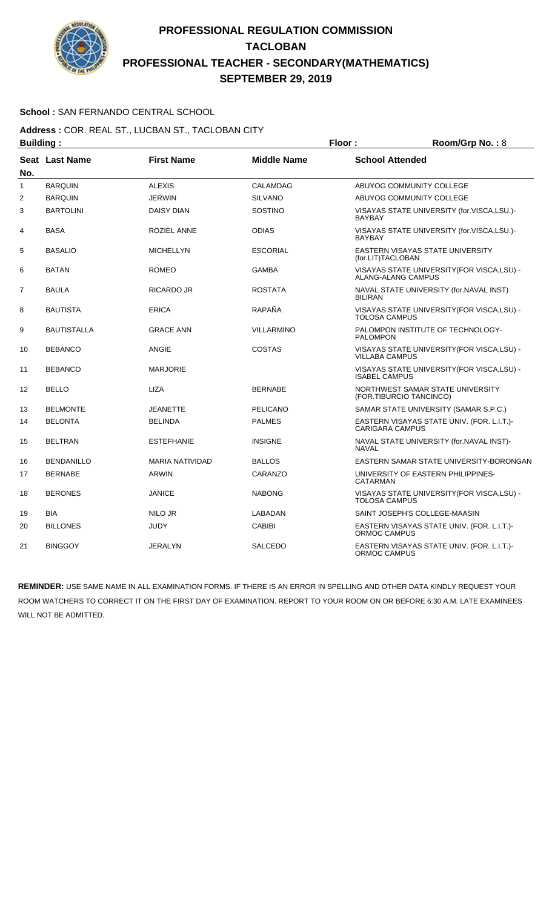

### **School :** SAN FERNANDO CENTRAL SCHOOL

#### **Address :** COR. REAL ST., LUCBAN ST., TACLOBAN CITY **Building : Floor : Room/Grp No. :** 8

| No. | Seat Last Name    | <b>First Name</b>      | <b>Middle Name</b> | <b>School Attended</b>                                               |
|-----|-------------------|------------------------|--------------------|----------------------------------------------------------------------|
| 1   | <b>BARQUIN</b>    | <b>ALEXIS</b>          | CALAMDAG           | ABUYOG COMMUNITY COLLEGE                                             |
| 2   | <b>BARQUIN</b>    | <b>JERWIN</b>          | <b>SILVANO</b>     | ABUYOG COMMUNITY COLLEGE                                             |
| 3   | <b>BARTOLINI</b>  | <b>DAISY DIAN</b>      | <b>SOSTINO</b>     | VISAYAS STATE UNIVERSITY (for.VISCA,LSU.)-<br><b>BAYBAY</b>          |
| 4   | <b>BASA</b>       | <b>ROZIEL ANNE</b>     | <b>ODIAS</b>       | VISAYAS STATE UNIVERSITY (for.VISCA,LSU.)-<br><b>BAYBAY</b>          |
| 5   | <b>BASALIO</b>    | <b>MICHELLYN</b>       | <b>ESCORIAL</b>    | EASTERN VISAYAS STATE UNIVERSITY<br>(for.LIT)TACLOBAN                |
| 6   | <b>BATAN</b>      | <b>ROMEO</b>           | <b>GAMBA</b>       | VISAYAS STATE UNIVERSITY (FOR VISCA, LSU) -<br>ALANG-ALANG CAMPUS    |
| 7   | <b>BAULA</b>      | RICARDO JR             | <b>ROSTATA</b>     | NAVAL STATE UNIVERSITY (for.NAVAL INST)<br><b>BILIRAN</b>            |
| 8   | BAUTISTA          | <b>ERICA</b>           | RAPAÑA             | VISAYAS STATE UNIVERSITY (FOR VISCA, LSU) -<br><b>TOLOSA CAMPUS</b>  |
| 9   | BAUTISTALLA       | <b>GRACE ANN</b>       | <b>VILLARMINO</b>  | PALOMPON INSTITUTE OF TECHNOLOGY-<br><b>PALOMPON</b>                 |
| 10  | <b>BEBANCO</b>    | ANGIE                  | <b>COSTAS</b>      | VISAYAS STATE UNIVERSITY(FOR VISCA,LSU) -<br><b>VILLABA CAMPUS</b>   |
| 11  | <b>BEBANCO</b>    | <b>MARJORIE</b>        |                    | VISAYAS STATE UNIVERSITY (FOR VISCA, LSU) -<br><b>ISABEL CAMPUS</b>  |
| 12  | <b>BELLO</b>      | <b>LIZA</b>            | <b>BERNABE</b>     | NORTHWEST SAMAR STATE UNIVERSITY<br>(FOR.TIBURCIO TANCINCO)          |
| 13  | <b>BELMONTE</b>   | <b>JEANETTE</b>        | <b>PELICANO</b>    | SAMAR STATE UNIVERSITY (SAMAR S.P.C.)                                |
| 14  | <b>BELONTA</b>    | <b>BELINDA</b>         | <b>PALMES</b>      | EASTERN VISAYAS STATE UNIV. (FOR. L.I.T.)-<br><b>CARIGARA CAMPUS</b> |
| 15  | <b>BELTRAN</b>    | <b>ESTEFHANIE</b>      | <b>INSIGNE</b>     | NAVAL STATE UNIVERSITY (for.NAVAL INST)-<br><b>NAVAL</b>             |
| 16  | <b>BENDANILLO</b> | <b>MARIA NATIVIDAD</b> | <b>BALLOS</b>      | EASTERN SAMAR STATE UNIVERSITY-BORONGAN                              |
| 17  | <b>BERNABE</b>    | ARWIN                  | CARANZO            | UNIVERSITY OF EASTERN PHILIPPINES-<br>CATARMAN                       |
| 18  | <b>BERONES</b>    | <b>JANICE</b>          | <b>NABONG</b>      | VISAYAS STATE UNIVERSITY(FOR VISCA,LSU) -<br><b>TOLOSA CAMPUS</b>    |
| 19  | <b>BIA</b>        | NILO JR                | LABADAN            | SAINT JOSEPH'S COLLEGE-MAASIN                                        |
| 20  | <b>BILLONES</b>   | <b>JUDY</b>            | <b>CABIBI</b>      | EASTERN VISAYAS STATE UNIV. (FOR. L.I.T.)-<br>ORMOC CAMPUS           |
| 21  | <b>BINGGOY</b>    | <b>JERALYN</b>         | <b>SALCEDO</b>     | EASTERN VISAYAS STATE UNIV. (FOR. L.I.T.)-<br>ORMOC CAMPUS           |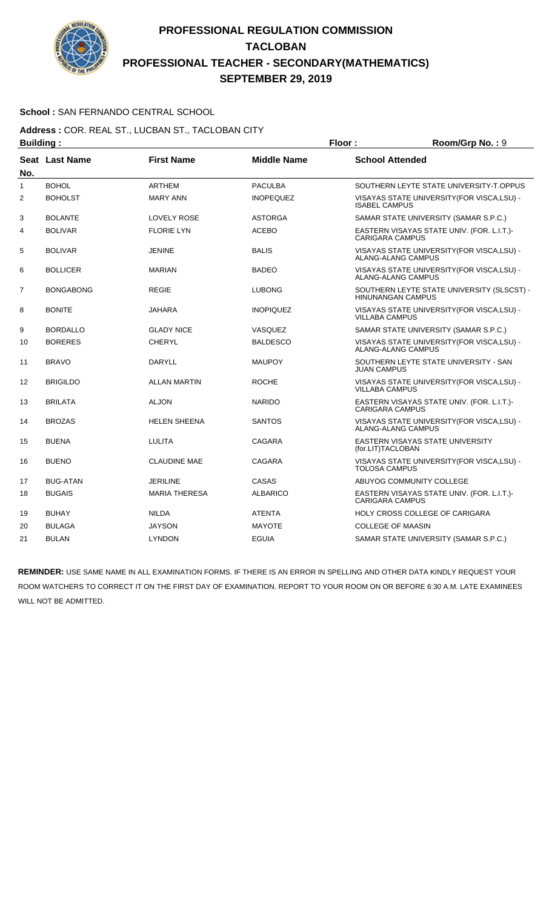

### **School :** SAN FERNANDO CENTRAL SCHOOL

#### **Address :** COR. REAL ST., LUCBAN ST., TACLOBAN CITY **Building : Floor : Floor : Room/Grp No. : 9**

| No. | <b>Seat Last Name</b> | <b>First Name</b>    | <b>Middle Name</b> | <b>School Attended</b>                                                   |
|-----|-----------------------|----------------------|--------------------|--------------------------------------------------------------------------|
| 1   | <b>BOHOL</b>          | <b>ARTHEM</b>        | <b>PACULBA</b>     | SOUTHERN LEYTE STATE UNIVERSITY-T.OPPUS                                  |
| 2   | <b>BOHOLST</b>        | <b>MARY ANN</b>      | <b>INOPEQUEZ</b>   | VISAYAS STATE UNIVERSITY (FOR VISCA, LSU) -<br><b>ISABEL CAMPUS</b>      |
| 3   | <b>BOLANTE</b>        | <b>LOVELY ROSE</b>   | <b>ASTORGA</b>     | SAMAR STATE UNIVERSITY (SAMAR S.P.C.)                                    |
| 4   | <b>BOLIVAR</b>        | <b>FLORIE LYN</b>    | <b>ACEBO</b>       | EASTERN VISAYAS STATE UNIV. (FOR. L.I.T.)-<br><b>CARIGARA CAMPUS</b>     |
| 5   | <b>BOLIVAR</b>        | <b>JENINE</b>        | <b>BALIS</b>       | VISAYAS STATE UNIVERSITY (FOR VISCA, LSU) -<br><b>ALANG-ALANG CAMPUS</b> |
| 6   | <b>BOLLICER</b>       | <b>MARIAN</b>        | <b>BADEO</b>       | VISAYAS STATE UNIVERSITY (FOR VISCA, LSU) -<br><b>ALANG-ALANG CAMPUS</b> |
| 7   | <b>BONGABONG</b>      | <b>REGIE</b>         | <b>LUBONG</b>      | SOUTHERN LEYTE STATE UNIVERSITY (SLSCST) -<br><b>HINUNANGAN CAMPUS</b>   |
| 8   | <b>BONITE</b>         | <b>JAHARA</b>        | <b>INOPIQUEZ</b>   | VISAYAS STATE UNIVERSITY(FOR VISCA,LSU) -<br><b>VILLABA CAMPUS</b>       |
| 9   | <b>BORDALLO</b>       | <b>GLADY NICE</b>    | VASQUEZ            | SAMAR STATE UNIVERSITY (SAMAR S.P.C.)                                    |
| 10  | <b>BORERES</b>        | <b>CHERYL</b>        | <b>BALDESCO</b>    | VISAYAS STATE UNIVERSITY (FOR VISCA, LSU) -<br>ALANG-ALANG CAMPUS        |
| 11  | <b>BRAVO</b>          | <b>DARYLL</b>        | <b>MAUPOY</b>      | SOUTHERN LEYTE STATE UNIVERSITY - SAN<br><b>JUAN CAMPUS</b>              |
| 12  | <b>BRIGILDO</b>       | <b>ALLAN MARTIN</b>  | <b>ROCHE</b>       | VISAYAS STATE UNIVERSITY (FOR VISCA, LSU) -<br><b>VILLABA CAMPUS</b>     |
| 13  | <b>BRILATA</b>        | <b>ALJON</b>         | <b>NARIDO</b>      | EASTERN VISAYAS STATE UNIV. (FOR. L.I.T.)-<br><b>CARIGARA CAMPUS</b>     |
| 14  | <b>BROZAS</b>         | <b>HELEN SHEENA</b>  | <b>SANTOS</b>      | VISAYAS STATE UNIVERSITY (FOR VISCA, LSU) -<br><b>ALANG-ALANG CAMPUS</b> |
| 15  | <b>BUENA</b>          | <b>LULITA</b>        | CAGARA             | EASTERN VISAYAS STATE UNIVERSITY<br>(for.LIT)TACLOBAN                    |
| 16  | <b>BUENO</b>          | <b>CLAUDINE MAE</b>  | CAGARA             | VISAYAS STATE UNIVERSITY (FOR VISCA, LSU) -<br><b>TOLOSA CAMPUS</b>      |
| 17  | <b>BUG-ATAN</b>       | <b>JERILINE</b>      | CASAS              | ABUYOG COMMUNITY COLLEGE                                                 |
| 18  | <b>BUGAIS</b>         | <b>MARIA THERESA</b> | <b>ALBARICO</b>    | EASTERN VISAYAS STATE UNIV. (FOR. L.I.T.)-<br><b>CARIGARA CAMPUS</b>     |
| 19  | <b>BUHAY</b>          | <b>NILDA</b>         | <b>ATENTA</b>      | HOLY CROSS COLLEGE OF CARIGARA                                           |
| 20  | <b>BULAGA</b>         | <b>JAYSON</b>        | <b>MAYOTE</b>      | <b>COLLEGE OF MAASIN</b>                                                 |
| 21  | <b>BULAN</b>          | <b>LYNDON</b>        | <b>EGUIA</b>       | SAMAR STATE UNIVERSITY (SAMAR S.P.C.)                                    |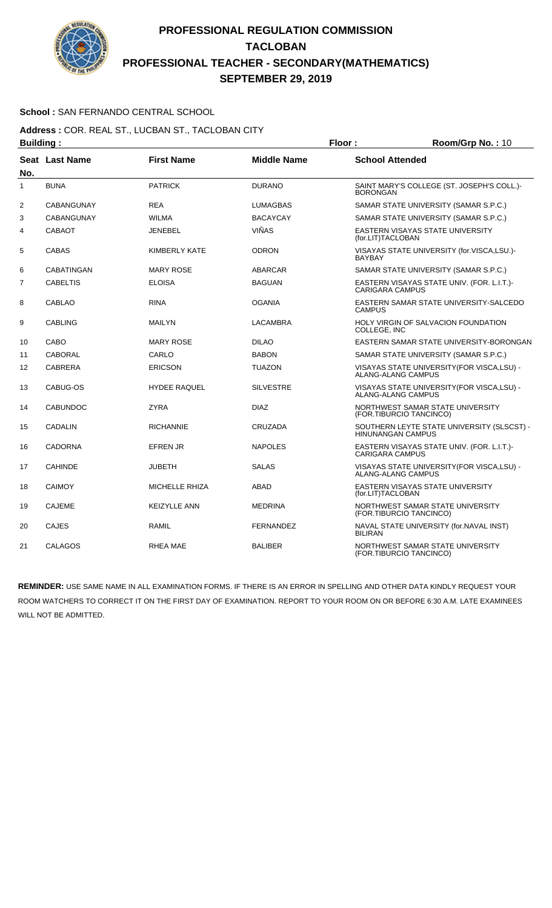

### **School :** SAN FERNANDO CENTRAL SCHOOL

#### **Address :** COR. REAL ST., LUCBAN ST., TACLOBAN CITY **Building : Floor : Floor : Room/Grp No. : 10**

| Pananig .      |                       |                       | .                  |                                                                          |
|----------------|-----------------------|-----------------------|--------------------|--------------------------------------------------------------------------|
| No.            | <b>Seat Last Name</b> | <b>First Name</b>     | <b>Middle Name</b> | <b>School Attended</b>                                                   |
| 1              | <b>BUNA</b>           | <b>PATRICK</b>        | <b>DURANO</b>      | SAINT MARY'S COLLEGE (ST. JOSEPH'S COLL.)-<br><b>BORONGAN</b>            |
| $\overline{2}$ | <b>CABANGUNAY</b>     | <b>REA</b>            | <b>LUMAGBAS</b>    | SAMAR STATE UNIVERSITY (SAMAR S.P.C.)                                    |
| 3              | <b>CABANGUNAY</b>     | <b>WILMA</b>          | <b>BACAYCAY</b>    | SAMAR STATE UNIVERSITY (SAMAR S.P.C.)                                    |
| 4              | <b>CABAOT</b>         | <b>JENEBEL</b>        | <b>VIÑAS</b>       | EASTERN VISAYAS STATE UNIVERSITY<br>(for.LIT)TACLOBAN                    |
| 5              | <b>CABAS</b>          | <b>KIMBERLY KATE</b>  | <b>ODRON</b>       | VISAYAS STATE UNIVERSITY (for.VISCA,LSU.)-<br><b>BAYBAY</b>              |
| 6              | <b>CABATINGAN</b>     | <b>MARY ROSE</b>      | <b>ABARCAR</b>     | SAMAR STATE UNIVERSITY (SAMAR S.P.C.)                                    |
| $\overline{7}$ | <b>CABELTIS</b>       | <b>ELOISA</b>         | <b>BAGUAN</b>      | EASTERN VISAYAS STATE UNIV. (FOR. L.I.T.)-<br><b>CARIGARA CAMPUS</b>     |
| 8              | <b>CABLAO</b>         | <b>RINA</b>           | <b>OGANIA</b>      | EASTERN SAMAR STATE UNIVERSITY-SALCEDO<br><b>CAMPUS</b>                  |
| 9              | <b>CABLING</b>        | <b>MAILYN</b>         | <b>LACAMBRA</b>    | HOLY VIRGIN OF SALVACION FOUNDATION<br>COLLEGE, INC                      |
| 10             | CABO                  | <b>MARY ROSE</b>      | <b>DILAO</b>       | EASTERN SAMAR STATE UNIVERSITY-BORONGAN                                  |
| 11             | <b>CABORAL</b>        | CARLO                 | <b>BABON</b>       | SAMAR STATE UNIVERSITY (SAMAR S.P.C.)                                    |
| 12             | <b>CABRERA</b>        | <b>ERICSON</b>        | <b>TUAZON</b>      | VISAYAS STATE UNIVERSITY (FOR VISCA, LSU) -<br><b>ALANG-ALANG CAMPUS</b> |
| 13             | CABUG-OS              | <b>HYDEE RAQUEL</b>   | <b>SILVESTRE</b>   | VISAYAS STATE UNIVERSITY (FOR VISCA, LSU) -<br><b>ALANG-ALANG CAMPUS</b> |
| 14             | <b>CABUNDOC</b>       | <b>ZYRA</b>           | <b>DIAZ</b>        | NORTHWEST SAMAR STATE UNIVERSITY<br>(FOR.TIBURCIO TANCINCO)              |
| 15             | <b>CADALIN</b>        | <b>RICHANNIE</b>      | <b>CRUZADA</b>     | SOUTHERN LEYTE STATE UNIVERSITY (SLSCST) -<br><b>HINUNANGAN CAMPUS</b>   |
| 16             | <b>CADORNA</b>        | <b>EFREN JR</b>       | <b>NAPOLES</b>     | EASTERN VISAYAS STATE UNIV. (FOR. L.I.T.)-<br><b>CARIGARA CAMPUS</b>     |
| 17             | <b>CAHINDE</b>        | <b>JUBETH</b>         | <b>SALAS</b>       | VISAYAS STATE UNIVERSITY (FOR VISCA, LSU) -<br><b>ALANG-ALANG CAMPUS</b> |
| 18             | <b>CAIMOY</b>         | <b>MICHELLE RHIZA</b> | <b>ABAD</b>        | EASTERN VISAYAS STATE UNIVERSITY<br>(for.LIT)TACLOBAN                    |
| 19             | <b>CAJEME</b>         | <b>KEIZYLLE ANN</b>   | <b>MEDRINA</b>     | NORTHWEST SAMAR STATE UNIVERSITY<br>(FOR.TIBURCIO TANCINCO)              |
| 20             | <b>CAJES</b>          | <b>RAMIL</b>          | <b>FERNANDEZ</b>   | NAVAL STATE UNIVERSITY (for.NAVAL INST)<br><b>BILIRAN</b>                |
| 21             | CALAGOS               | <b>RHEA MAE</b>       | <b>BALIBER</b>     | NORTHWEST SAMAR STATE UNIVERSITY<br>(FOR.TIBURCIO TANCINCO)              |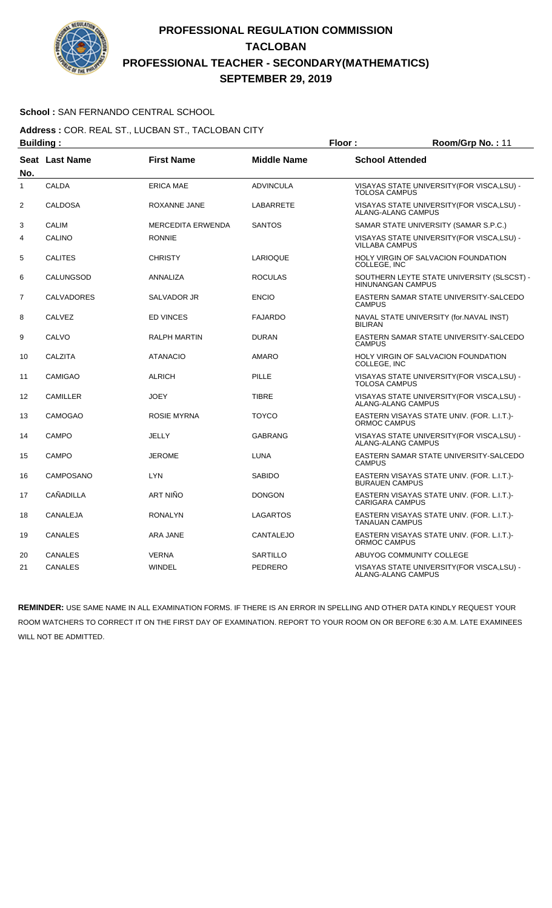

### **School :** SAN FERNANDO CENTRAL SCHOOL

**Address :** COR. REAL ST., LUCBAN ST., TACLOBAN CITY **Building : Floor : Floor : Room/Grp No. : 11** 

| Pananig .      |                   |                          | .                  |                                                                        |
|----------------|-------------------|--------------------------|--------------------|------------------------------------------------------------------------|
| No.            | Seat Last Name    | <b>First Name</b>        | <b>Middle Name</b> | <b>School Attended</b>                                                 |
| 1              | <b>CALDA</b>      | <b>ERICA MAE</b>         | <b>ADVINCULA</b>   | VISAYAS STATE UNIVERSITY(FOR VISCA,LSU) -<br><b>TOLOSA CAMPUS</b>      |
| $\overline{2}$ | <b>CALDOSA</b>    | ROXANNE JANE             | LABARRETE          | VISAYAS STATE UNIVERSITY (FOR VISCA, LSU) -<br>ALANG-ALANG CAMPUS      |
| 3              | <b>CALIM</b>      | <b>MERCEDITA ERWENDA</b> | <b>SANTOS</b>      | SAMAR STATE UNIVERSITY (SAMAR S.P.C.)                                  |
| 4              | CALINO            | <b>RONNIE</b>            |                    | VISAYAS STATE UNIVERSITY(FOR VISCA,LSU) -<br><b>VILLABA CAMPUS</b>     |
| 5              | <b>CALITES</b>    | <b>CHRISTY</b>           | LARIOQUE           | HOLY VIRGIN OF SALVACION FOUNDATION<br>COLLEGE, INC                    |
| 6              | CALUNGSOD         | ANNALIZA                 | <b>ROCULAS</b>     | SOUTHERN LEYTE STATE UNIVERSITY (SLSCST) -<br><b>HINUNANGAN CAMPUS</b> |
| $\overline{7}$ | <b>CALVADORES</b> | SALVADOR JR              | <b>ENCIO</b>       | EASTERN SAMAR STATE UNIVERSITY-SALCEDO<br><b>CAMPUS</b>                |
| 8              | <b>CALVEZ</b>     | <b>ED VINCES</b>         | <b>FAJARDO</b>     | NAVAL STATE UNIVERSITY (for.NAVAL INST)<br><b>BILIRAN</b>              |
| 9              | CALVO             | <b>RALPH MARTIN</b>      | <b>DURAN</b>       | EASTERN SAMAR STATE UNIVERSITY-SALCEDO<br><b>CAMPUS</b>                |
| 10             | <b>CALZITA</b>    | <b>ATANACIO</b>          | <b>AMARO</b>       | HOLY VIRGIN OF SALVACION FOUNDATION<br>COLLEGE, INC                    |
| 11             | <b>CAMIGAO</b>    | <b>ALRICH</b>            | <b>PILLE</b>       | VISAYAS STATE UNIVERSITY (FOR VISCA, LSU) -<br><b>TOLOSA CAMPUS</b>    |
| 12             | <b>CAMILLER</b>   | <b>JOEY</b>              | <b>TIBRE</b>       | VISAYAS STATE UNIVERSITY (FOR VISCA, LSU) -<br>ALANG-ALANG CAMPUS      |
| 13             | <b>CAMOGAO</b>    | ROSIE MYRNA              | <b>TOYCO</b>       | EASTERN VISAYAS STATE UNIV. (FOR. L.I.T.)-<br>ORMOC CAMPUS             |
| 14             | <b>CAMPO</b>      | JELLY                    | <b>GABRANG</b>     | VISAYAS STATE UNIVERSITY(FOR VISCA,LSU) -<br>ALANG-ALANG CAMPUS        |
| 15             | <b>CAMPO</b>      | <b>JEROME</b>            | <b>LUNA</b>        | EASTERN SAMAR STATE UNIVERSITY-SALCEDO<br><b>CAMPUS</b>                |
| 16             | <b>CAMPOSANO</b>  | <b>LYN</b>               | <b>SABIDO</b>      | EASTERN VISAYAS STATE UNIV. (FOR. L.I.T.)-<br><b>BURAUEN CAMPUS</b>    |
| 17             | CAÑADILLA         | <b>ART NIÑO</b>          | <b>DONGON</b>      | EASTERN VISAYAS STATE UNIV. (FOR. L.I.T.)-<br><b>CARIGARA CAMPUS</b>   |
| 18             | CANALEJA          | <b>RONALYN</b>           | LAGARTOS           | EASTERN VISAYAS STATE UNIV. (FOR. L.I.T.)-<br><b>TANAUAN CAMPUS</b>    |
| 19             | <b>CANALES</b>    | ARA JANE                 | <b>CANTALEJO</b>   | EASTERN VISAYAS STATE UNIV. (FOR. L.I.T.)-<br>ORMOC CAMPUS             |
| 20             | <b>CANALES</b>    | <b>VERNA</b>             | <b>SARTILLO</b>    | ABUYOG COMMUNITY COLLEGE                                               |
| 21             | CANALES           | <b>WINDEL</b>            | PEDRERO            | VISAYAS STATE UNIVERSITY (FOR VISCA, LSU) -<br>ALANG-ALANG CAMPUS      |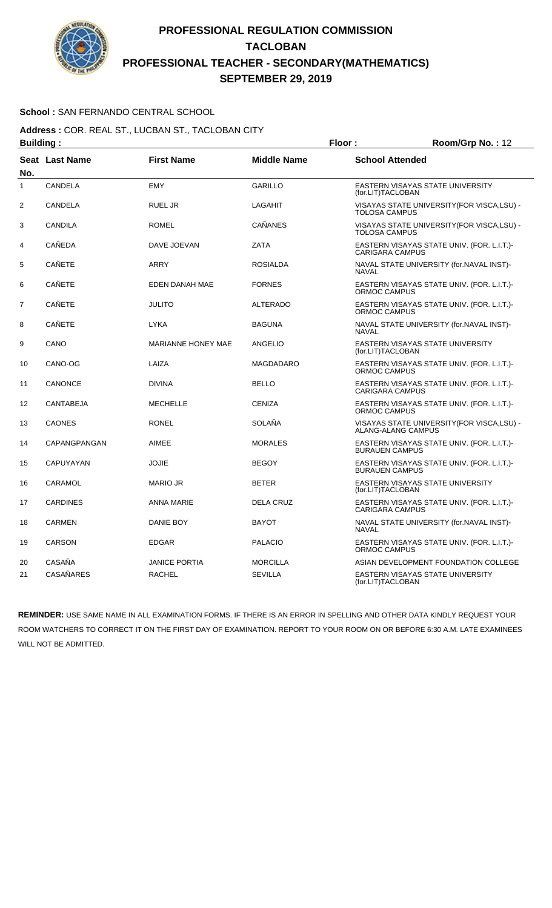

### **School :** SAN FERNANDO CENTRAL SCHOOL

**Address :** COR. REAL ST., LUCBAN ST., TACLOBAN CITY **Building : Floor : Floor : Room/Grp No. : 12** 

| Pananig .      |                  |                           | .                  | . <u>.</u>                                                               |
|----------------|------------------|---------------------------|--------------------|--------------------------------------------------------------------------|
| No.            | Seat Last Name   | <b>First Name</b>         | <b>Middle Name</b> | <b>School Attended</b>                                                   |
| 1              | <b>CANDELA</b>   | <b>EMY</b>                | <b>GARILLO</b>     | EASTERN VISAYAS STATE UNIVERSITY<br>(for.LIT)TACLOBAN                    |
| $\overline{2}$ | CANDELA          | <b>RUEL JR</b>            | <b>LAGAHIT</b>     | VISAYAS STATE UNIVERSITY (FOR VISCA, LSU) -<br><b>TOLOSA CAMPUS</b>      |
| 3              | CANDILA          | <b>ROMEL</b>              | <b>CAÑANES</b>     | VISAYAS STATE UNIVERSITY (FOR VISCA, LSU) -<br><b>TOLOSA CAMPUS</b>      |
| 4              | CAÑEDA           | DAVE JOEVAN               | <b>ZATA</b>        | EASTERN VISAYAS STATE UNIV. (FOR. L.I.T.)-<br><b>CARIGARA CAMPUS</b>     |
| 5              | CAÑETE           | ARRY                      | <b>ROSIALDA</b>    | NAVAL STATE UNIVERSITY (for.NAVAL INST)-<br><b>NAVAL</b>                 |
| 6              | <b>CAÑETE</b>    | EDEN DANAH MAE            | <b>FORNES</b>      | EASTERN VISAYAS STATE UNIV. (FOR. L.I.T.)-<br>ORMOC CAMPUS               |
| $\overline{7}$ | <b>CAÑETE</b>    | <b>JULITO</b>             | <b>ALTERADO</b>    | EASTERN VISAYAS STATE UNIV. (FOR. L.I.T.)-<br>ORMOC CAMPUS               |
| 8              | <b>CAÑETE</b>    | <b>LYKA</b>               | <b>BAGUNA</b>      | NAVAL STATE UNIVERSITY (for.NAVAL INST)-<br><b>NAVAL</b>                 |
| 9              | CANO             | <b>MARIANNE HONEY MAE</b> | ANGELIO            | EASTERN VISAYAS STATE UNIVERSITY<br>(for.LIT)TACLOBAN                    |
| 10             | CANO-OG          | LAIZA                     | <b>MAGDADARO</b>   | EASTERN VISAYAS STATE UNIV. (FOR. L.I.T.)-<br><b>ORMOC CAMPUS</b>        |
| 11             | <b>CANONCE</b>   | <b>DIVINA</b>             | <b>BELLO</b>       | EASTERN VISAYAS STATE UNIV. (FOR. L.I.T.)-<br><b>CARIGARA CAMPUS</b>     |
| 12             | <b>CANTABEJA</b> | <b>MECHELLE</b>           | <b>CENIZA</b>      | EASTERN VISAYAS STATE UNIV. (FOR. L.I.T.)-<br>ORMOC CAMPUS               |
| 13             | <b>CAONES</b>    | <b>RONEL</b>              | <b>SOLAÑA</b>      | VISAYAS STATE UNIVERSITY (FOR VISCA, LSU) -<br><b>ALANG-ALANG CAMPUS</b> |
| 14             | CAPANGPANGAN     | <b>AIMEE</b>              | <b>MORALES</b>     | EASTERN VISAYAS STATE UNIV. (FOR. L.I.T.)-<br><b>BURAUEN CAMPUS</b>      |
| 15             | CAPUYAYAN        | <b>JOJIE</b>              | <b>BEGOY</b>       | EASTERN VISAYAS STATE UNIV. (FOR. L.I.T.)-<br><b>BURAUEN CAMPUS</b>      |
| 16             | CARAMOL          | <b>MARIO JR</b>           | <b>BETER</b>       | EASTERN VISAYAS STATE UNIVERSITY<br>(for.LIT)TACLOBAN                    |
| 17             | <b>CARDINES</b>  | <b>ANNA MARIE</b>         | <b>DELA CRUZ</b>   | EASTERN VISAYAS STATE UNIV. (FOR. L.I.T.)-<br>CARIGARA CAMPUS            |
| 18             | <b>CARMEN</b>    | DANIE BOY                 | <b>BAYOT</b>       | NAVAL STATE UNIVERSITY (for.NAVAL INST)-<br><b>NAVAL</b>                 |
| 19             | <b>CARSON</b>    | <b>EDGAR</b>              | <b>PALACIO</b>     | EASTERN VISAYAS STATE UNIV. (FOR. L.I.T.)-<br><b>ORMOC CAMPUS</b>        |
| 20             | CASAÑA           | <b>JANICE PORTIA</b>      | <b>MORCILLA</b>    | ASIAN DEVELOPMENT FOUNDATION COLLEGE                                     |
| 21             | <b>CASAÑARES</b> | <b>RACHEL</b>             | <b>SEVILLA</b>     | EASTERN VISAYAS STATE UNIVERSITY<br>(for.LIT)TACLOBAN                    |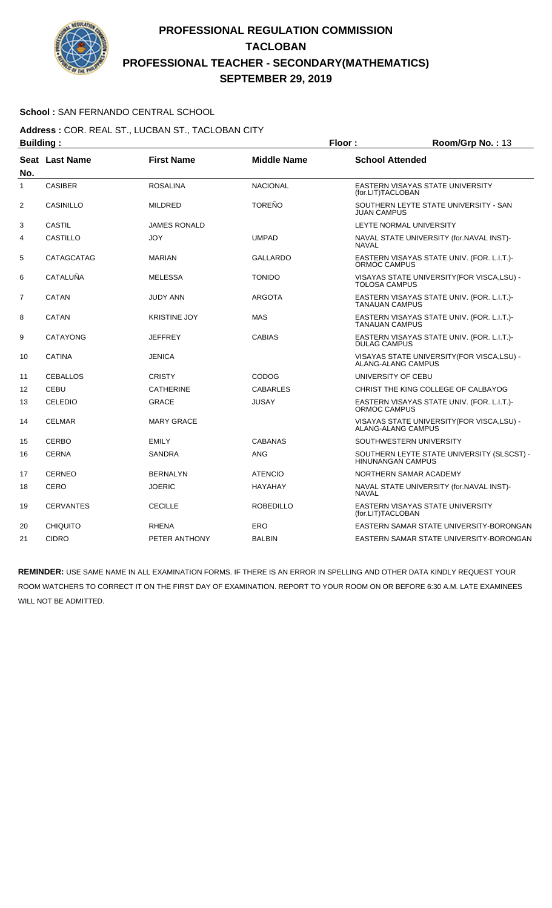

### **School :** SAN FERNANDO CENTRAL SCHOOL

**Address :** COR. REAL ST., LUCBAN ST., TACLOBAN CITY **Building : Floor : Room/Grp No. : 13** 

| No.            | Seat Last Name   | <b>First Name</b>   | <b>Middle Name</b> | <b>School Attended</b>                                                 |
|----------------|------------------|---------------------|--------------------|------------------------------------------------------------------------|
| 1              | <b>CASIBER</b>   | <b>ROSALINA</b>     | <b>NACIONAL</b>    | EASTERN VISAYAS STATE UNIVERSITY<br>(for.LIT)TACLOBAN                  |
| 2              | <b>CASINILLO</b> | <b>MILDRED</b>      | <b>TOREÑO</b>      | SOUTHERN LEYTE STATE UNIVERSITY - SAN<br><b>JUAN CAMPUS</b>            |
| 3              | <b>CASTIL</b>    | <b>JAMES RONALD</b> |                    | LEYTE NORMAL UNIVERSITY                                                |
| 4              | <b>CASTILLO</b>  | <b>JOY</b>          | <b>UMPAD</b>       | NAVAL STATE UNIVERSITY (for.NAVAL INST)-<br><b>NAVAL</b>               |
| 5              | CATAGCATAG       | <b>MARIAN</b>       | <b>GALLARDO</b>    | EASTERN VISAYAS STATE UNIV. (FOR. L.I.T.)-<br>ORMOC CAMPUS             |
| 6              | <b>CATALUÑA</b>  | <b>MELESSA</b>      | <b>TONIDO</b>      | VISAYAS STATE UNIVERSITY (FOR VISCA, LSU) -<br><b>TOLOSA CAMPUS</b>    |
| $\overline{7}$ | <b>CATAN</b>     | JUDY ANN            | <b>ARGOTA</b>      | EASTERN VISAYAS STATE UNIV. (FOR. L.I.T.)-<br><b>TANAUAN CAMPUS</b>    |
| 8              | CATAN            | <b>KRISTINE JOY</b> | <b>MAS</b>         | EASTERN VISAYAS STATE UNIV. (FOR. L.I.T.)-<br><b>TANAUAN CAMPUS</b>    |
| 9              | <b>CATAYONG</b>  | <b>JEFFREY</b>      | <b>CABIAS</b>      | EASTERN VISAYAS STATE UNIV. (FOR. L.I.T.)-<br><b>DULAG CAMPUS</b>      |
| 10             | <b>CATINA</b>    | <b>JENICA</b>       |                    | VISAYAS STATE UNIVERSITY(FOR VISCA,LSU) -<br>ALANG-ALANG CAMPUS        |
| 11             | <b>CEBALLOS</b>  | <b>CRISTY</b>       | CODOG              | UNIVERSITY OF CEBU                                                     |
| 12             | CEBU             | <b>CATHERINE</b>    | <b>CABARLES</b>    | CHRIST THE KING COLLEGE OF CALBAYOG                                    |
| 13             | <b>CELEDIO</b>   | <b>GRACE</b>        | <b>JUSAY</b>       | EASTERN VISAYAS STATE UNIV. (FOR. L.I.T.)-<br>ORMOC CAMPUS             |
| 14             | <b>CELMAR</b>    | <b>MARY GRACE</b>   |                    | VISAYAS STATE UNIVERSITY(FOR VISCA,LSU) -<br><b>ALANG-ALANG CAMPUS</b> |
| 15             | <b>CERBO</b>     | <b>EMILY</b>        | <b>CABANAS</b>     | SOUTHWESTERN UNIVERSITY                                                |
| 16             | <b>CERNA</b>     | <b>SANDRA</b>       | <b>ANG</b>         | SOUTHERN LEYTE STATE UNIVERSITY (SLSCST) -<br><b>HINUNANGAN CAMPUS</b> |
| 17             | <b>CERNEO</b>    | <b>BERNALYN</b>     | <b>ATENCIO</b>     | NORTHERN SAMAR ACADEMY                                                 |
| 18             | <b>CERO</b>      | <b>JOERIC</b>       | <b>HAYAHAY</b>     | NAVAL STATE UNIVERSITY (for.NAVAL INST)-<br><b>NAVAL</b>               |
| 19             | <b>CERVANTES</b> | <b>CECILLE</b>      | <b>ROBEDILLO</b>   | EASTERN VISAYAS STATE UNIVERSITY<br>(for.LIT)TACLOBAN                  |
| 20             | <b>CHIQUITO</b>  | <b>RHENA</b>        | ERO                | EASTERN SAMAR STATE UNIVERSITY-BORONGAN                                |
| 21             | <b>CIDRO</b>     | PETER ANTHONY       | <b>BALBIN</b>      | EASTERN SAMAR STATE UNIVERSITY-BORONGAN                                |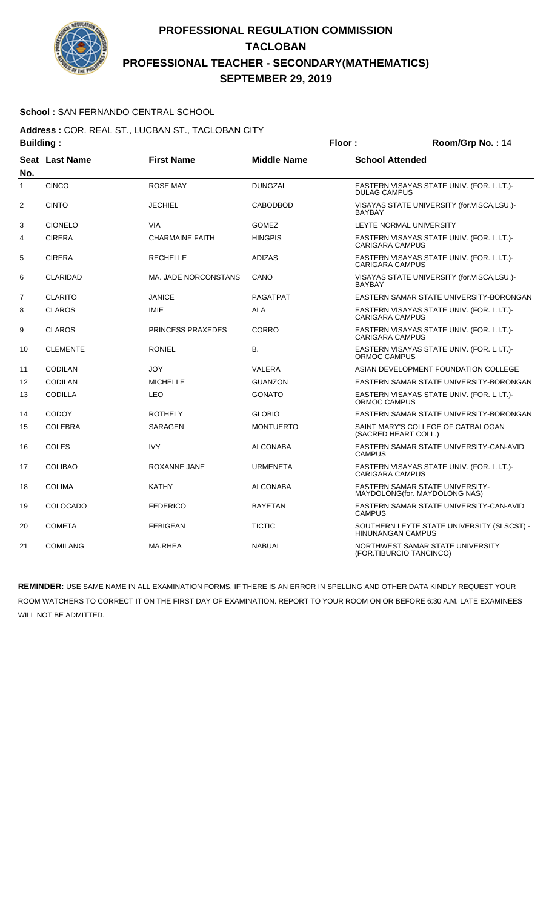

### **School :** SAN FERNANDO CENTRAL SCHOOL

**Address :** COR. REAL ST., LUCBAN ST., TACLOBAN CITY **Building : Floor : Floor : Room/Grp No. : 14** 

| No.               | Seat Last Name  | <b>First Name</b>           | <b>Middle Name</b> | <b>School Attended</b>                                                  |
|-------------------|-----------------|-----------------------------|--------------------|-------------------------------------------------------------------------|
| $\mathbf{1}$      | <b>CINCO</b>    | <b>ROSE MAY</b>             | <b>DUNGZAL</b>     | EASTERN VISAYAS STATE UNIV. (FOR. L.I.T.)-<br><b>DULAG CAMPUS</b>       |
| $\overline{2}$    | <b>CINTO</b>    | <b>JECHIEL</b>              | <b>CABODBOD</b>    | VISAYAS STATE UNIVERSITY (for.VISCA,LSU.)-<br><b>BAYBAY</b>             |
| 3                 | <b>CIONELO</b>  | <b>VIA</b>                  | <b>GOMEZ</b>       | LEYTE NORMAL UNIVERSITY                                                 |
| 4                 | <b>CIRERA</b>   | <b>CHARMAINE FAITH</b>      | <b>HINGPIS</b>     | EASTERN VISAYAS STATE UNIV. (FOR. L.I.T.)-<br><b>CARIGARA CAMPUS</b>    |
| 5                 | <b>CIRERA</b>   | <b>RECHELLE</b>             | <b>ADIZAS</b>      | EASTERN VISAYAS STATE UNIV. (FOR. L.I.T.)-<br><b>CARIGARA CAMPUS</b>    |
| 6                 | <b>CLARIDAD</b> | <b>MA. JADE NORCONSTANS</b> | CANO               | VISAYAS STATE UNIVERSITY (for.VISCA,LSU.)-<br><b>BAYBAY</b>             |
| $\overline{7}$    | <b>CLARITO</b>  | <b>JANICE</b>               | <b>PAGATPAT</b>    | EASTERN SAMAR STATE UNIVERSITY-BORONGAN                                 |
| 8                 | <b>CLAROS</b>   | <b>IMIE</b>                 | <b>ALA</b>         | EASTERN VISAYAS STATE UNIV. (FOR. L.I.T.)-<br><b>CARIGARA CAMPUS</b>    |
| 9                 | <b>CLAROS</b>   | PRINCESS PRAXEDES           | <b>CORRO</b>       | EASTERN VISAYAS STATE UNIV. (FOR. L.I.T.)-<br><b>CARIGARA CAMPUS</b>    |
| 10                | <b>CLEMENTE</b> | <b>RONIEL</b>               | В.                 | EASTERN VISAYAS STATE UNIV. (FOR. L.I.T.)-<br>ORMOC CAMPUS              |
| 11                | <b>CODILAN</b>  | <b>JOY</b>                  | <b>VALERA</b>      | ASIAN DEVELOPMENT FOUNDATION COLLEGE                                    |
| $12 \overline{ }$ | CODILAN         | <b>MICHELLE</b>             | <b>GUANZON</b>     | EASTERN SAMAR STATE UNIVERSITY-BORONGAN                                 |
| 13                | <b>CODILLA</b>  | <b>LEO</b>                  | <b>GONATO</b>      | EASTERN VISAYAS STATE UNIV. (FOR. L.I.T.)-<br>ORMOC CAMPUS              |
| 14                | <b>CODOY</b>    | <b>ROTHELY</b>              | <b>GLOBIO</b>      | EASTERN SAMAR STATE UNIVERSITY-BORONGAN                                 |
| 15                | <b>COLEBRA</b>  | <b>SARAGEN</b>              | <b>MONTUERTO</b>   | SAINT MARY'S COLLEGE OF CATBALOGAN<br>(SACRED HEART COLL.)              |
| 16                | COLES           | <b>IVY</b>                  | <b>ALCONABA</b>    | EASTERN SAMAR STATE UNIVERSITY-CAN-AVID<br><b>CAMPUS</b>                |
| 17                | <b>COLIBAO</b>  | ROXANNE JANE                | <b>URMENETA</b>    | EASTERN VISAYAS STATE UNIV. (FOR. L.I.T.)-<br><b>CARIGARA CAMPUS</b>    |
| 18                | <b>COLIMA</b>   | <b>KATHY</b>                | <b>ALCONABA</b>    | <b>EASTERN SAMAR STATE UNIVERSITY-</b><br>MAYDOLONG(for. MAYDOLONG NAS) |
| 19                | COLOCADO        | <b>FEDERICO</b>             | <b>BAYETAN</b>     | EASTERN SAMAR STATE UNIVERSITY-CAN-AVID<br><b>CAMPUS</b>                |
| 20                | <b>COMETA</b>   | <b>FEBIGEAN</b>             | <b>TICTIC</b>      | SOUTHERN LEYTE STATE UNIVERSITY (SLSCST) -<br>HINUNANGAN CAMPUS         |
| 21                | <b>COMILANG</b> | MA.RHEA                     | <b>NABUAL</b>      | NORTHWEST SAMAR STATE UNIVERSITY<br>(FOR.TIBURCIO TANCINCO)             |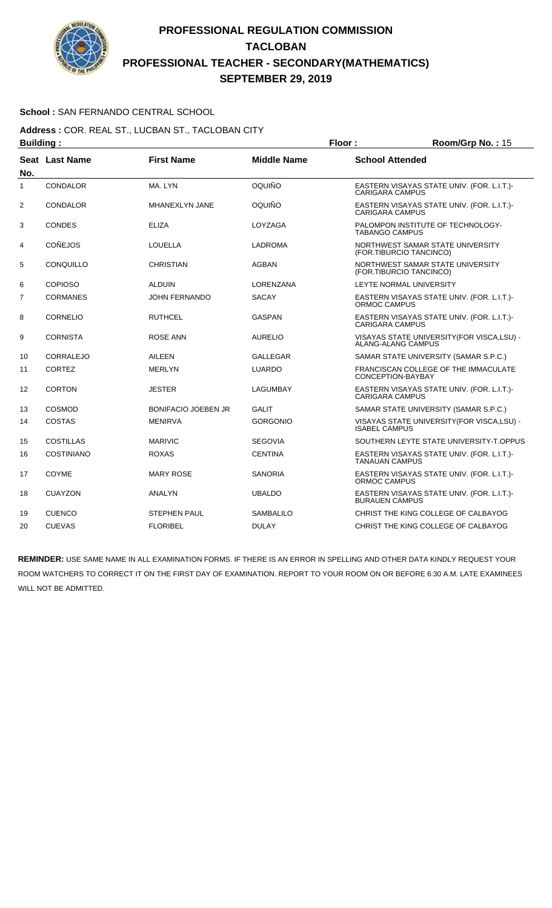

### **School :** SAN FERNANDO CENTRAL SCHOOL

**Address :** COR. REAL ST., LUCBAN ST., TACLOBAN CITY **Building : Floor : Floor : Room/Grp No. : 15** 

| No.            | Seat Last Name    | <b>First Name</b>          | <b>Middle Name</b> | <b>School Attended</b>                                               |
|----------------|-------------------|----------------------------|--------------------|----------------------------------------------------------------------|
| 1              | <b>CONDALOR</b>   | MA. LYN                    | OQUIÑO             | EASTERN VISAYAS STATE UNIV. (FOR. L.I.T.)-<br><b>CARIGARA CAMPUS</b> |
| $\overline{2}$ | CONDALOR          | MHANEXLYN JANE             | OQUIÑO             | EASTERN VISAYAS STATE UNIV. (FOR. L.I.T.)-<br><b>CARIGARA CAMPUS</b> |
| 3              | <b>CONDES</b>     | <b>ELIZA</b>               | LOYZAGA            | PALOMPON INSTITUTE OF TECHNOLOGY-<br><b>TABANGO CAMPUS</b>           |
| 4              | <b>CONEJOS</b>    | LOUELLA                    | <b>LADROMA</b>     | NORTHWEST SAMAR STATE UNIVERSITY<br>(FOR.TIBURCIO TANCINCO)          |
| 5              | CONQUILLO         | <b>CHRISTIAN</b>           | <b>AGBAN</b>       | NORTHWEST SAMAR STATE UNIVERSITY<br>(FOR.TIBURCIO TANCINCO)          |
| 6              | <b>COPIOSO</b>    | <b>ALDUIN</b>              | LORENZANA          | LEYTE NORMAL UNIVERSITY                                              |
| $\overline{7}$ | <b>CORMANES</b>   | <b>JOHN FERNANDO</b>       | <b>SACAY</b>       | EASTERN VISAYAS STATE UNIV. (FOR. L.I.T.)-<br>ORMOC CAMPUS           |
| 8              | <b>CORNELIO</b>   | <b>RUTHCEL</b>             | <b>GASPAN</b>      | EASTERN VISAYAS STATE UNIV. (FOR. L.I.T.)-<br><b>CARIGARA CAMPUS</b> |
| 9              | <b>CORNISTA</b>   | ROSE ANN                   | <b>AURELIO</b>     | VISAYAS STATE UNIVERSITY (FOR VISCA, LSU) -<br>ALANG-ALANG CAMPUS    |
| 10             | <b>CORRALEJO</b>  | <b>AILEEN</b>              | <b>GALLEGAR</b>    | SAMAR STATE UNIVERSITY (SAMAR S.P.C.)                                |
| 11             | <b>CORTEZ</b>     | <b>MERLYN</b>              | <b>LUARDO</b>      | FRANCISCAN COLLEGE OF THE IMMACULATE<br>CONCEPTION-BAYBAY            |
| 12             | <b>CORTON</b>     | <b>JESTER</b>              | LAGUMBAY           | EASTERN VISAYAS STATE UNIV. (FOR. L.I.T.)-<br><b>CARIGARA CAMPUS</b> |
| 13             | <b>COSMOD</b>     | <b>BONIFACIO JOEBEN JR</b> | <b>GALIT</b>       | SAMAR STATE UNIVERSITY (SAMAR S.P.C.)                                |
| 14             | <b>COSTAS</b>     | <b>MENIRVA</b>             | <b>GORGONIO</b>    | VISAYAS STATE UNIVERSITY(FOR VISCA,LSU) -<br><b>ISABEL CAMPUS</b>    |
| 15             | <b>COSTILLAS</b>  | <b>MARIVIC</b>             | <b>SEGOVIA</b>     | SOUTHERN LEYTE STATE UNIVERSITY-T.OPPUS                              |
| 16             | <b>COSTINIANO</b> | <b>ROXAS</b>               | <b>CENTINA</b>     | EASTERN VISAYAS STATE UNIV. (FOR. L.I.T.)-<br><b>TANAUAN CAMPUS</b>  |
| 17             | COYME             | <b>MARY ROSE</b>           | <b>SANORIA</b>     | EASTERN VISAYAS STATE UNIV. (FOR. L.I.T.)-<br>ORMOC CAMPUS           |
| 18             | <b>CUAYZON</b>    | ANALYN                     | <b>UBALDO</b>      | EASTERN VISAYAS STATE UNIV. (FOR. L.I.T.)-<br><b>BURAUEN CAMPUS</b>  |
| 19             | <b>CUENCO</b>     | <b>STEPHEN PAUL</b>        | <b>SAMBALILO</b>   | CHRIST THE KING COLLEGE OF CALBAYOG                                  |
| 20             | <b>CUEVAS</b>     | <b>FLORIBEL</b>            | <b>DULAY</b>       | CHRIST THE KING COLLEGE OF CALBAYOG                                  |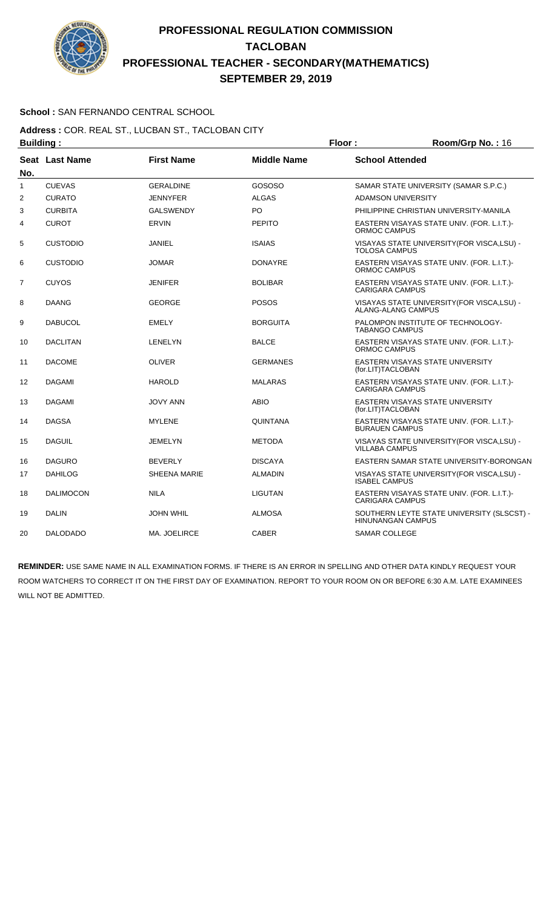

### **School :** SAN FERNANDO CENTRAL SCHOOL

#### **Address :** COR. REAL ST., LUCBAN ST., TACLOBAN CITY **Building : Floor : Floor : Room/Grp No. : 16**

| винишми г |                       |                     |                    |                                                                      |
|-----------|-----------------------|---------------------|--------------------|----------------------------------------------------------------------|
| No.       | <b>Seat Last Name</b> | <b>First Name</b>   | <b>Middle Name</b> | <b>School Attended</b>                                               |
| 1         | <b>CUEVAS</b>         | <b>GERALDINE</b>    | GOSOSO             | SAMAR STATE UNIVERSITY (SAMAR S.P.C.)                                |
| 2         | <b>CURATO</b>         | <b>JENNYFER</b>     | <b>ALGAS</b>       | <b>ADAMSON UNIVERSITY</b>                                            |
| 3         | <b>CURBITA</b>        | <b>GALSWENDY</b>    | PO                 | PHILIPPINE CHRISTIAN UNIVERSITY-MANILA                               |
| 4         | <b>CUROT</b>          | <b>ERVIN</b>        | <b>PEPITO</b>      | EASTERN VISAYAS STATE UNIV. (FOR. L.I.T.)-<br>ORMOC CAMPUS           |
| 5         | <b>CUSTODIO</b>       | <b>JANIEL</b>       | <b>ISAIAS</b>      | VISAYAS STATE UNIVERSITY (FOR VISCA, LSU) -<br><b>TOLOSA CAMPUS</b>  |
| 6         | <b>CUSTODIO</b>       | <b>JOMAR</b>        | <b>DONAYRE</b>     | EASTERN VISAYAS STATE UNIV. (FOR. L.I.T.)-<br><b>ORMOC CAMPUS</b>    |
| 7         | <b>CUYOS</b>          | <b>JENIFER</b>      | <b>BOLIBAR</b>     | EASTERN VISAYAS STATE UNIV. (FOR. L.I.T.)-<br><b>CARIGARA CAMPUS</b> |
| 8         | <b>DAANG</b>          | <b>GEORGE</b>       | <b>POSOS</b>       | VISAYAS STATE UNIVERSITY (FOR VISCA, LSU) -<br>ALANG-ALANG CAMPUS    |
| 9         | <b>DABUCOL</b>        | <b>EMELY</b>        | <b>BORGUITA</b>    | PALOMPON INSTITUTE OF TECHNOLOGY-<br><b>TABANGO CAMPUS</b>           |
| 10        | <b>DACLITAN</b>       | LENELYN             | <b>BALCE</b>       | EASTERN VISAYAS STATE UNIV. (FOR. L.I.T.)-<br>ORMOC CAMPUS           |
| 11        | <b>DACOME</b>         | <b>OLIVER</b>       | <b>GERMANES</b>    | EASTERN VISAYAS STATE UNIVERSITY<br>(for.LIT)TACLOBAN                |
| 12        | <b>DAGAMI</b>         | <b>HAROLD</b>       | <b>MALARAS</b>     | EASTERN VISAYAS STATE UNIV. (FOR. L.I.T.)-<br><b>CARIGARA CAMPUS</b> |
| 13        | <b>DAGAMI</b>         | JOVY ANN            | <b>ABIO</b>        | EASTERN VISAYAS STATE UNIVERSITY<br>(for.LIT)TACLOBAN                |
| 14        | <b>DAGSA</b>          | <b>MYLENE</b>       | QUINTANA           | EASTERN VISAYAS STATE UNIV. (FOR. L.I.T.)-<br><b>BURAUEN CAMPUS</b>  |
| 15        | <b>DAGUIL</b>         | JEMELYN             | <b>METODA</b>      | VISAYAS STATE UNIVERSITY(FOR VISCA,LSU) -<br><b>VILLABA CAMPUS</b>   |
| 16        | <b>DAGURO</b>         | <b>BEVERLY</b>      | <b>DISCAYA</b>     | EASTERN SAMAR STATE UNIVERSITY-BORONGAN                              |
| 17        | <b>DAHILOG</b>        | <b>SHEENA MARIE</b> | <b>ALMADIN</b>     | VISAYAS STATE UNIVERSITY (FOR VISCA, LSU) -<br><b>ISABEL CAMPUS</b>  |
| 18        | <b>DALIMOCON</b>      | <b>NILA</b>         | <b>LIGUTAN</b>     | EASTERN VISAYAS STATE UNIV. (FOR. L.I.T.)-<br><b>CARIGARA CAMPUS</b> |
| 19        | <b>DALIN</b>          | <b>JOHN WHIL</b>    | <b>ALMOSA</b>      | SOUTHERN LEYTE STATE UNIVERSITY (SLSCST) -<br>HINUNANGAN CAMPUS      |
| 20        | <b>DALODADO</b>       | MA. JOELIRCE        | <b>CABER</b>       | <b>SAMAR COLLEGE</b>                                                 |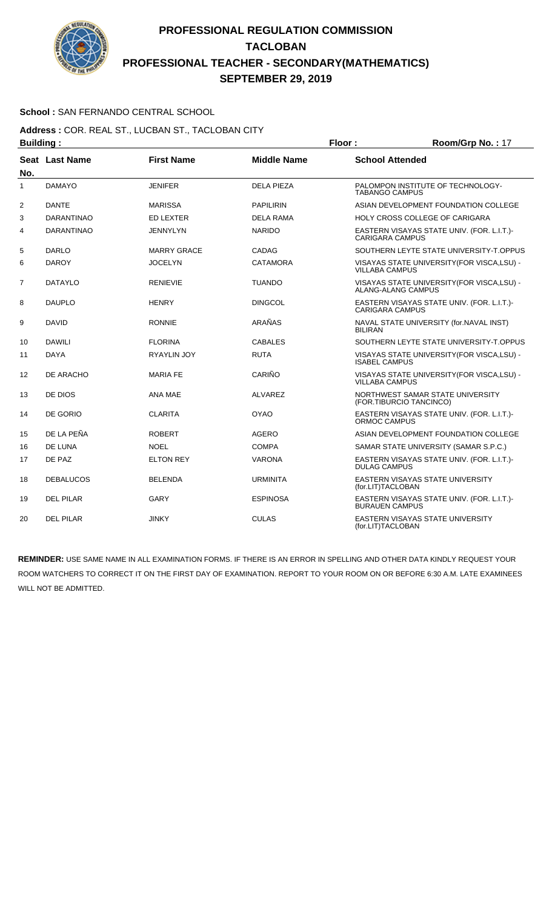

### **School :** SAN FERNANDO CENTRAL SCHOOL

#### **Address :** COR. REAL ST., LUCBAN ST., TACLOBAN CITY **Building : Floor : Floor : Room/Grp No. : 17**

|     | . <u>.</u> .      |                    |                    |                                                                          |
|-----|-------------------|--------------------|--------------------|--------------------------------------------------------------------------|
| No. | Seat Last Name    | <b>First Name</b>  | <b>Middle Name</b> | <b>School Attended</b>                                                   |
| 1   | <b>DAMAYO</b>     | <b>JENIFER</b>     | <b>DELA PIEZA</b>  | PALOMPON INSTITUTE OF TECHNOLOGY-<br><b>TABANGO CAMPUS</b>               |
| 2   | <b>DANTE</b>      | <b>MARISSA</b>     | <b>PAPILIRIN</b>   | ASIAN DEVELOPMENT FOUNDATION COLLEGE                                     |
| 3   | <b>DARANTINAO</b> | <b>ED LEXTER</b>   | DELA RAMA          | HOLY CROSS COLLEGE OF CARIGARA                                           |
| 4   | <b>DARANTINAO</b> | <b>JENNYLYN</b>    | <b>NARIDO</b>      | EASTERN VISAYAS STATE UNIV. (FOR. L.I.T.)-<br><b>CARIGARA CAMPUS</b>     |
| 5   | <b>DARLO</b>      | <b>MARRY GRACE</b> | <b>CADAG</b>       | SOUTHERN LEYTE STATE UNIVERSITY-T.OPPUS                                  |
| 6   | <b>DAROY</b>      | <b>JOCELYN</b>     | <b>CATAMORA</b>    | VISAYAS STATE UNIVERSITY (FOR VISCA, LSU) -<br><b>VILLABA CAMPUS</b>     |
| 7   | <b>DATAYLO</b>    | <b>RENIEVIE</b>    | <b>TUANDO</b>      | VISAYAS STATE UNIVERSITY (FOR VISCA, LSU) -<br><b>ALANG-ALANG CAMPUS</b> |
| 8   | <b>DAUPLO</b>     | <b>HENRY</b>       | <b>DINGCOL</b>     | EASTERN VISAYAS STATE UNIV. (FOR. L.I.T.)-<br><b>CARIGARA CAMPUS</b>     |
| 9   | <b>DAVID</b>      | <b>RONNIE</b>      | ARAÑAS             | NAVAL STATE UNIVERSITY (for.NAVAL INST)<br><b>BILIRAN</b>                |
| 10  | <b>DAWILI</b>     | <b>FLORINA</b>     | <b>CABALES</b>     | SOUTHERN LEYTE STATE UNIVERSITY-T.OPPUS                                  |
| 11  | <b>DAYA</b>       | <b>RYAYLIN JOY</b> | <b>RUTA</b>        | VISAYAS STATE UNIVERSITY (FOR VISCA, LSU) -<br><b>ISABEL CAMPUS</b>      |
| 12  | DE ARACHO         | <b>MARIA FE</b>    | CARIÑO             | VISAYAS STATE UNIVERSITY (FOR VISCA, LSU) -<br><b>VILLABA CAMPUS</b>     |
| 13  | DE DIOS           | ANA MAE            | <b>ALVAREZ</b>     | NORTHWEST SAMAR STATE UNIVERSITY<br>(FOR.TIBURCIO TANCINCO)              |
| 14  | DE GORIO          | <b>CLARITA</b>     | <b>OYAO</b>        | EASTERN VISAYAS STATE UNIV. (FOR. L.I.T.)-<br>ORMOC CAMPUS               |
| 15  | DE LA PEÑA        | <b>ROBERT</b>      | <b>AGERO</b>       | ASIAN DEVELOPMENT FOUNDATION COLLEGE                                     |
| 16  | DE LUNA           | <b>NOEL</b>        | <b>COMPA</b>       | SAMAR STATE UNIVERSITY (SAMAR S.P.C.)                                    |
| 17  | DE PAZ            | <b>ELTON REY</b>   | <b>VARONA</b>      | EASTERN VISAYAS STATE UNIV. (FOR. L.I.T.)-<br><b>DULAG CAMPUS</b>        |
| 18  | <b>DEBALUCOS</b>  | <b>BELENDA</b>     | <b>URMINITA</b>    | EASTERN VISAYAS STATE UNIVERSITY<br>(for.LIT)TACLOBAN                    |
| 19  | <b>DEL PILAR</b>  | <b>GARY</b>        | <b>ESPINOSA</b>    | EASTERN VISAYAS STATE UNIV. (FOR. L.I.T.)-<br><b>BURAUEN CAMPUS</b>      |
| 20  | <b>DEL PILAR</b>  | <b>JINKY</b>       | <b>CULAS</b>       | <b>EASTERN VISAYAS STATE UNIVERSITY</b><br>(for.LIT)TACLOBAN             |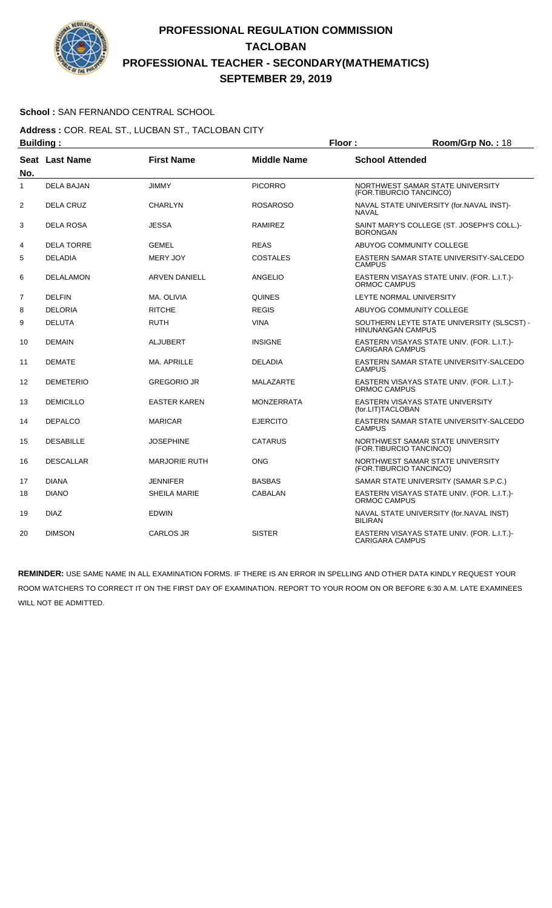

### **School :** SAN FERNANDO CENTRAL SCHOOL

**Address :** COR. REAL ST., LUCBAN ST., TACLOBAN CITY **Building : Floor : Room/Grp No. :** 18

| No.            | Seat Last Name    | <b>First Name</b>    | <b>Middle Name</b> | <b>School Attended</b>                                                 |
|----------------|-------------------|----------------------|--------------------|------------------------------------------------------------------------|
| $\mathbf{1}$   | <b>DELA BAJAN</b> | <b>JIMMY</b>         | <b>PICORRO</b>     | NORTHWEST SAMAR STATE UNIVERSITY<br>(FOR.TIBURCIO TANCINCO)            |
| 2              | <b>DELA CRUZ</b>  | <b>CHARLYN</b>       | <b>ROSAROSO</b>    | NAVAL STATE UNIVERSITY (for.NAVAL INST)-<br><b>NAVAL</b>               |
| 3              | <b>DELA ROSA</b>  | <b>JESSA</b>         | RAMIREZ            | SAINT MARY'S COLLEGE (ST. JOSEPH'S COLL.)-<br><b>BORONGAN</b>          |
| 4              | <b>DELA TORRE</b> | <b>GEMEL</b>         | <b>REAS</b>        | ABUYOG COMMUNITY COLLEGE                                               |
| 5              | <b>DELADIA</b>    | <b>MERY JOY</b>      | <b>COSTALES</b>    | EASTERN SAMAR STATE UNIVERSITY-SALCEDO<br><b>CAMPUS</b>                |
| 6              | <b>DELALAMON</b>  | <b>ARVEN DANIELL</b> | ANGELIO            | EASTERN VISAYAS STATE UNIV. (FOR. L.I.T.)-<br><b>ORMOC CAMPUS</b>      |
| $\overline{7}$ | <b>DELFIN</b>     | MA. OLIVIA           | QUINES             | LEYTE NORMAL UNIVERSITY                                                |
| 8              | <b>DELORIA</b>    | <b>RITCHE</b>        | <b>REGIS</b>       | ABUYOG COMMUNITY COLLEGE                                               |
| 9              | <b>DELUTA</b>     | <b>RUTH</b>          | <b>VINA</b>        | SOUTHERN LEYTE STATE UNIVERSITY (SLSCST) -<br><b>HINUNANGAN CAMPUS</b> |
| 10             | <b>DEMAIN</b>     | <b>ALJUBERT</b>      | <b>INSIGNE</b>     | EASTERN VISAYAS STATE UNIV. (FOR. L.I.T.)-<br><b>CARIGARA CAMPUS</b>   |
| 11             | <b>DEMATE</b>     | <b>MA. APRILLE</b>   | <b>DELADIA</b>     | EASTERN SAMAR STATE UNIVERSITY-SALCEDO<br><b>CAMPUS</b>                |
| 12             | <b>DEMETERIO</b>  | <b>GREGORIO JR</b>   | MALAZARTE          | EASTERN VISAYAS STATE UNIV. (FOR. L.I.T.)-<br>ORMOC CAMPUS             |
| 13             | <b>DEMICILLO</b>  | <b>EASTER KAREN</b>  | MONZERRATA         | EASTERN VISAYAS STATE UNIVERSITY<br>(for.LIT)TACLOBAN                  |
| 14             | <b>DEPALCO</b>    | <b>MARICAR</b>       | <b>EJERCITO</b>    | EASTERN SAMAR STATE UNIVERSITY-SALCEDO<br><b>CAMPUS</b>                |
| 15             | <b>DESABILLE</b>  | <b>JOSEPHINE</b>     | CATARUS            | NORTHWEST SAMAR STATE UNIVERSITY<br>(FOR.TIBURCIO TANCINCO)            |
| 16             | <b>DESCALLAR</b>  | <b>MARJORIE RUTH</b> | ONG                | NORTHWEST SAMAR STATE UNIVERSITY<br>(FOR.TIBURCIO TANCINCO)            |
| 17             | <b>DIANA</b>      | <b>JENNIFER</b>      | <b>BASBAS</b>      | SAMAR STATE UNIVERSITY (SAMAR S.P.C.)                                  |
| 18             | <b>DIANO</b>      | <b>SHEILA MARIE</b>  | CABALAN            | EASTERN VISAYAS STATE UNIV. (FOR. L.I.T.)-<br><b>ORMOC CAMPUS</b>      |
| 19             | <b>DIAZ</b>       | <b>EDWIN</b>         |                    | NAVAL STATE UNIVERSITY (for.NAVAL INST)<br><b>BILIRAN</b>              |
| 20             | <b>DIMSON</b>     | <b>CARLOS JR</b>     | <b>SISTER</b>      | EASTERN VISAYAS STATE UNIV. (FOR. L.I.T.)-<br><b>CARIGARA CAMPUS</b>   |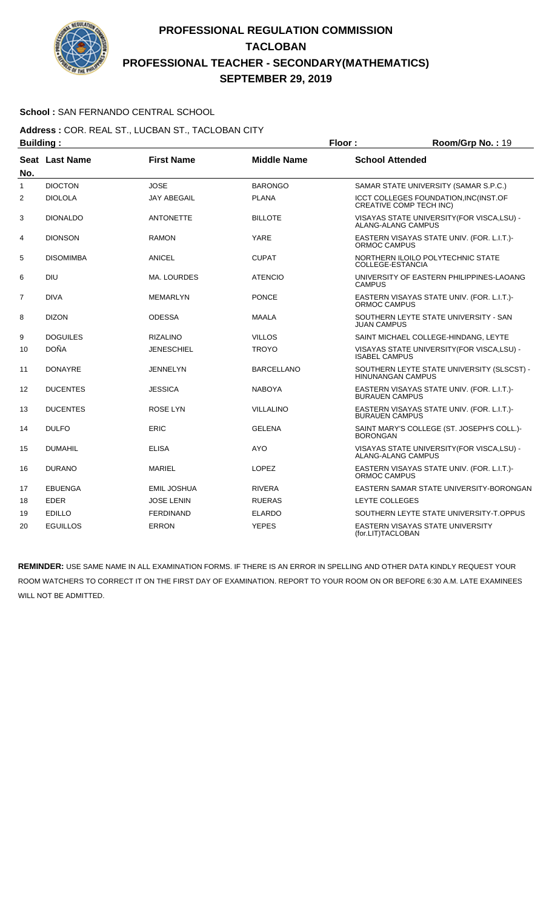

### **School :** SAN FERNANDO CENTRAL SCHOOL

#### **Address :** COR. REAL ST., LUCBAN ST., TACLOBAN CITY **Building : Floor : Room/Grp No. : 19**

| винишми г      |                       |                    |                    |                                                                          |
|----------------|-----------------------|--------------------|--------------------|--------------------------------------------------------------------------|
| No.            | <b>Seat Last Name</b> | <b>First Name</b>  | <b>Middle Name</b> | <b>School Attended</b>                                                   |
| 1              | <b>DIOCTON</b>        | <b>JOSE</b>        | <b>BARONGO</b>     | SAMAR STATE UNIVERSITY (SAMAR S.P.C.)                                    |
| $\overline{2}$ | <b>DIOLOLA</b>        | <b>JAY ABEGAIL</b> | <b>PLANA</b>       | ICCT COLLEGES FOUNDATION, INC(INST.OF<br><b>CREATIVE COMP TECH INC)</b>  |
| 3              | <b>DIONALDO</b>       | <b>ANTONETTE</b>   | <b>BILLOTE</b>     | VISAYAS STATE UNIVERSITY (FOR VISCA, LSU) -<br><b>ALANG-ALANG CAMPUS</b> |
| 4              | <b>DIONSON</b>        | <b>RAMON</b>       | YARE               | EASTERN VISAYAS STATE UNIV. (FOR. L.I.T.)-<br><b>ORMOC CAMPUS</b>        |
| 5              | <b>DISOMIMBA</b>      | <b>ANICEL</b>      | <b>CUPAT</b>       | NORTHERN ILOILO POLYTECHNIC STATE<br>COLLEGE-ESTANCIA                    |
| 6              | <b>DIU</b>            | <b>MA. LOURDES</b> | <b>ATENCIO</b>     | UNIVERSITY OF EASTERN PHILIPPINES-LAOANG<br><b>CAMPUS</b>                |
| $\overline{7}$ | <b>DIVA</b>           | <b>MEMARLYN</b>    | <b>PONCE</b>       | EASTERN VISAYAS STATE UNIV. (FOR. L.I.T.)-<br>ORMOC CAMPUS               |
| 8              | <b>DIZON</b>          | <b>ODESSA</b>      | <b>MAALA</b>       | SOUTHERN LEYTE STATE UNIVERSITY - SAN<br><b>JUAN CAMPUS</b>              |
| 9              | <b>DOGUILES</b>       | <b>RIZALINO</b>    | <b>VILLOS</b>      | SAINT MICHAEL COLLEGE-HINDANG, LEYTE                                     |
| 10             | <b>DOÑA</b>           | <b>JENESCHIEL</b>  | <b>TROYO</b>       | VISAYAS STATE UNIVERSITY (FOR VISCA, LSU) -<br><b>ISABEL CAMPUS</b>      |
| 11             | <b>DONAYRE</b>        | <b>JENNELYN</b>    | <b>BARCELLANO</b>  | SOUTHERN LEYTE STATE UNIVERSITY (SLSCST) -<br><b>HINUNANGAN CAMPUS</b>   |
| 12             | <b>DUCENTES</b>       | <b>JESSICA</b>     | <b>NABOYA</b>      | EASTERN VISAYAS STATE UNIV. (FOR. L.I.T.)-<br><b>BURAUEN CAMPUS</b>      |
| 13             | <b>DUCENTES</b>       | ROSE LYN           | <b>VILLALINO</b>   | EASTERN VISAYAS STATE UNIV. (FOR. L.I.T.)-<br><b>BURAUEN CAMPUS</b>      |
| 14             | <b>DULFO</b>          | ERIC               | <b>GELENA</b>      | SAINT MARY'S COLLEGE (ST. JOSEPH'S COLL.)-<br><b>BORONGAN</b>            |
| 15             | <b>DUMAHIL</b>        | <b>ELISA</b>       | <b>AYO</b>         | VISAYAS STATE UNIVERSITY (FOR VISCA, LSU) -<br><b>ALANG-ALANG CAMPUS</b> |
| 16             | <b>DURANO</b>         | <b>MARIEL</b>      | <b>LOPEZ</b>       | EASTERN VISAYAS STATE UNIV. (FOR. L.I.T.)-<br><b>ORMOC CAMPUS</b>        |
| 17             | <b>EBUENGA</b>        | <b>EMIL JOSHUA</b> | <b>RIVERA</b>      | EASTERN SAMAR STATE UNIVERSITY-BORONGAN                                  |
| 18             | <b>EDER</b>           | <b>JOSE LENIN</b>  | <b>RUERAS</b>      | LEYTE COLLEGES                                                           |
| 19             | <b>EDILLO</b>         | <b>FERDINAND</b>   | <b>ELARDO</b>      | SOUTHERN LEYTE STATE UNIVERSITY-T.OPPUS                                  |
| 20             | <b>EGUILLOS</b>       | <b>ERRON</b>       | <b>YEPES</b>       | EASTERN VISAYAS STATE UNIVERSITY<br>(for.LIT)TACLOBAN                    |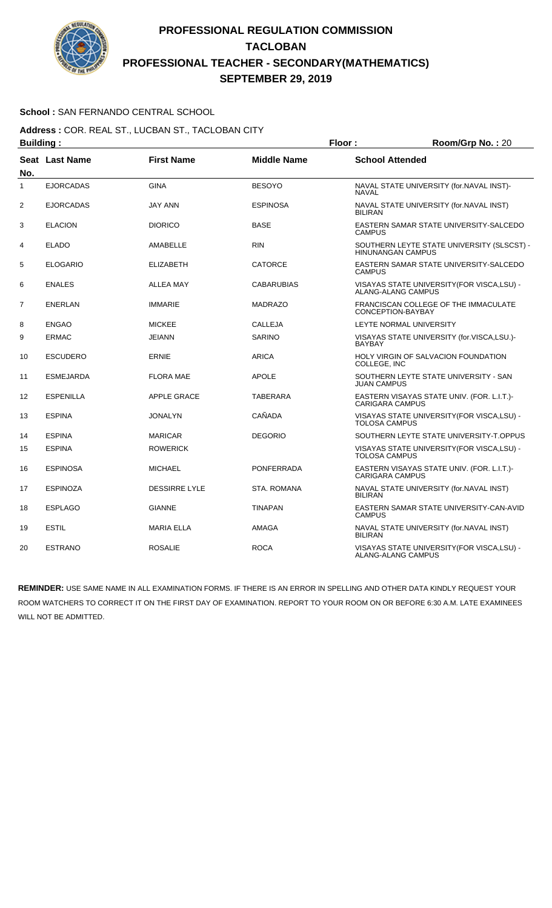

### **School :** SAN FERNANDO CENTRAL SCHOOL

**Address :** COR. REAL ST., LUCBAN ST., TACLOBAN CITY **Building : Floor : Room/Grp No. :** 20

| No.            | <b>Seat Last Name</b> | <b>First Name</b>    | <b>Middle Name</b> | <b>School Attended</b>                                                 |
|----------------|-----------------------|----------------------|--------------------|------------------------------------------------------------------------|
| 1              | <b>EJORCADAS</b>      | <b>GINA</b>          | <b>BESOYO</b>      | NAVAL STATE UNIVERSITY (for.NAVAL INST)-<br><b>NAVAL</b>               |
| $\overline{2}$ | <b>EJORCADAS</b>      | <b>JAY ANN</b>       | <b>ESPINOSA</b>    | NAVAL STATE UNIVERSITY (for.NAVAL INST)<br><b>BILIRAN</b>              |
| 3              | <b>ELACION</b>        | <b>DIORICO</b>       | <b>BASE</b>        | EASTERN SAMAR STATE UNIVERSITY-SALCEDO<br><b>CAMPUS</b>                |
| 4              | <b>ELADO</b>          | AMABELLE             | <b>RIN</b>         | SOUTHERN LEYTE STATE UNIVERSITY (SLSCST) -<br><b>HINUNANGAN CAMPUS</b> |
| 5              | <b>ELOGARIO</b>       | <b>ELIZABETH</b>     | <b>CATORCE</b>     | EASTERN SAMAR STATE UNIVERSITY-SALCEDO<br><b>CAMPUS</b>                |
| 6              | <b>ENALES</b>         | <b>ALLEA MAY</b>     | <b>CABARUBIAS</b>  | VISAYAS STATE UNIVERSITY (FOR VISCA, LSU) -<br>ALANG-ALANG CAMPUS      |
| $\overline{7}$ | <b>ENERLAN</b>        | <b>IMMARIE</b>       | <b>MADRAZO</b>     | FRANCISCAN COLLEGE OF THE IMMACULATE<br>CONCEPTION-BAYBAY              |
| 8              | <b>ENGAO</b>          | <b>MICKEE</b>        | CALLEJA            | LEYTE NORMAL UNIVERSITY                                                |
| 9              | <b>ERMAC</b>          | <b>JEIANN</b>        | <b>SARINO</b>      | VISAYAS STATE UNIVERSITY (for.VISCA,LSU.)-<br><b>BAYBAY</b>            |
| 10             | <b>ESCUDERO</b>       | <b>ERNIE</b>         | <b>ARICA</b>       | <b>HOLY VIRGIN OF SALVACION FOUNDATION</b><br>COLLEGE, INC             |
| 11             | <b>ESMEJARDA</b>      | <b>FLORA MAE</b>     | <b>APOLE</b>       | SOUTHERN LEYTE STATE UNIVERSITY - SAN<br><b>JUAN CAMPUS</b>            |
| 12             | <b>ESPENILLA</b>      | APPLE GRACE          | TABERARA           | EASTERN VISAYAS STATE UNIV. (FOR. L.I.T.)-<br><b>CARIGARA CAMPUS</b>   |
| 13             | <b>ESPINA</b>         | <b>JONALYN</b>       | CAÑADA             | VISAYAS STATE UNIVERSITY(FOR VISCA,LSU) -<br><b>TOLOSA CAMPUS</b>      |
| 14             | <b>ESPINA</b>         | <b>MARICAR</b>       | <b>DEGORIO</b>     | SOUTHERN LEYTE STATE UNIVERSITY-T.OPPUS                                |
| 15             | <b>ESPINA</b>         | <b>ROWERICK</b>      |                    | VISAYAS STATE UNIVERSITY(FOR VISCA,LSU) -<br><b>TOLOSA CAMPUS</b>      |
| 16             | <b>ESPINOSA</b>       | <b>MICHAEL</b>       | PONFERRADA         | EASTERN VISAYAS STATE UNIV. (FOR. L.I.T.)-<br><b>CARIGARA CAMPUS</b>   |
| 17             | <b>ESPINOZA</b>       | <b>DESSIRRE LYLE</b> | STA, ROMANA        | NAVAL STATE UNIVERSITY (for.NAVAL INST)<br><b>BILIRAN</b>              |
| 18             | <b>ESPLAGO</b>        | <b>GIANNE</b>        | <b>TINAPAN</b>     | EASTERN SAMAR STATE UNIVERSITY-CAN-AVID<br><b>CAMPUS</b>               |
| 19             | <b>ESTIL</b>          | <b>MARIA ELLA</b>    | AMAGA              | NAVAL STATE UNIVERSITY (for.NAVAL INST)<br><b>BILIRAN</b>              |
| 20             | <b>ESTRANO</b>        | <b>ROSALIE</b>       | <b>ROCA</b>        | VISAYAS STATE UNIVERSITY (FOR VISCA, LSU) -<br>ALANG-ALANG CAMPUS      |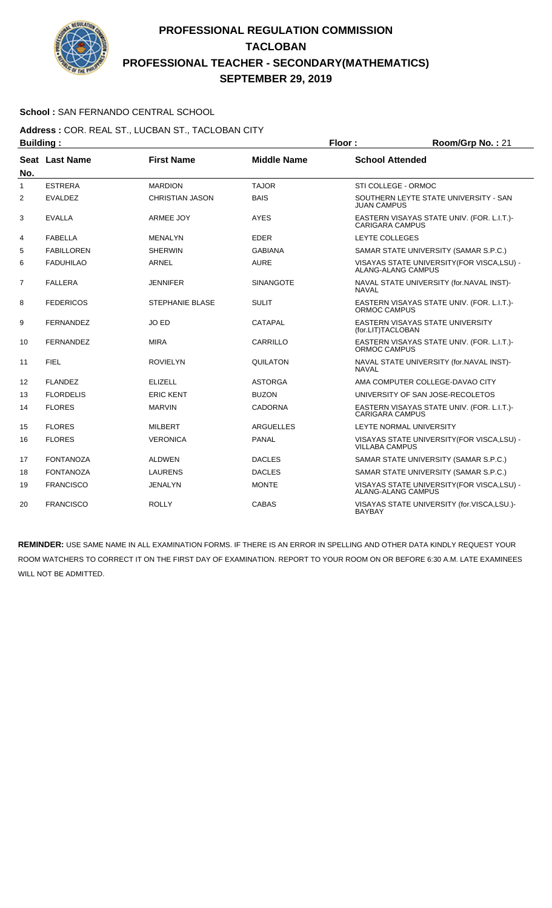

### **School :** SAN FERNANDO CENTRAL SCHOOL

#### **Address :** COR. REAL ST., LUCBAN ST., TACLOBAN CITY **Building : Floor : Room/Grp No. :** 21

| No. | Seat Last Name    | <b>First Name</b>      | <b>Middle Name</b> | <b>School Attended</b>                                                   |
|-----|-------------------|------------------------|--------------------|--------------------------------------------------------------------------|
| 1   | <b>ESTRERA</b>    | <b>MARDION</b>         | <b>TAJOR</b>       | STI COLLEGE - ORMOC                                                      |
| 2   | <b>EVALDEZ</b>    | <b>CHRISTIAN JASON</b> | <b>BAIS</b>        | SOUTHERN LEYTE STATE UNIVERSITY - SAN<br><b>JUAN CAMPUS</b>              |
| 3   | <b>EVALLA</b>     | ARMEE JOY              | <b>AYES</b>        | EASTERN VISAYAS STATE UNIV. (FOR. L.I.T.)-<br><b>CARIGARA CAMPUS</b>     |
| 4   | <b>FABELLA</b>    | <b>MENALYN</b>         | <b>EDER</b>        | <b>LEYTE COLLEGES</b>                                                    |
| 5   | <b>FABILLOREN</b> | <b>SHERWIN</b>         | <b>GABIANA</b>     | SAMAR STATE UNIVERSITY (SAMAR S.P.C.)                                    |
| 6   | <b>FADUHILAO</b>  | <b>ARNEL</b>           | <b>AURE</b>        | VISAYAS STATE UNIVERSITY (FOR VISCA, LSU) -<br><b>ALANG-ALANG CAMPUS</b> |
| 7   | <b>FALLERA</b>    | <b>JENNIFER</b>        | <b>SINANGOTE</b>   | NAVAL STATE UNIVERSITY (for.NAVAL INST)-<br><b>NAVAL</b>                 |
| 8   | <b>FEDERICOS</b>  | <b>STEPHANIE BLASE</b> | <b>SULIT</b>       | EASTERN VISAYAS STATE UNIV. (FOR. L.I.T.)-<br>ORMOC CAMPUS               |
| 9   | <b>FERNANDEZ</b>  | JO ED                  | <b>CATAPAL</b>     | EASTERN VISAYAS STATE UNIVERSITY<br>(for.LIT)TACLOBAN                    |
| 10  | <b>FERNANDEZ</b>  | <b>MIRA</b>            | CARRILLO           | EASTERN VISAYAS STATE UNIV. (FOR. L.I.T.)-<br><b>ORMOC CAMPUS</b>        |
| 11  | <b>FIEL</b>       | <b>ROVIELYN</b>        | <b>QUILATON</b>    | NAVAL STATE UNIVERSITY (for.NAVAL INST)-<br><b>NAVAL</b>                 |
| 12  | <b>FLANDEZ</b>    | <b>ELIZELL</b>         | <b>ASTORGA</b>     | AMA COMPUTER COLLEGE-DAVAO CITY                                          |
| 13  | <b>FLORDELIS</b>  | <b>ERIC KENT</b>       | <b>BUZON</b>       | UNIVERSITY OF SAN JOSE-RECOLETOS                                         |
| 14  | <b>FLORES</b>     | <b>MARVIN</b>          | <b>CADORNA</b>     | EASTERN VISAYAS STATE UNIV. (FOR. L.I.T.)-<br><b>CARIGARA CAMPUS</b>     |
| 15  | <b>FLORES</b>     | <b>MILBERT</b>         | <b>ARGUELLES</b>   | LEYTE NORMAL UNIVERSITY                                                  |
| 16  | <b>FLORES</b>     | <b>VERONICA</b>        | <b>PANAL</b>       | VISAYAS STATE UNIVERSITY (FOR VISCA, LSU) -<br><b>VILLABA CAMPUS</b>     |
| 17  | <b>FONTANOZA</b>  | <b>ALDWEN</b>          | <b>DACLES</b>      | SAMAR STATE UNIVERSITY (SAMAR S.P.C.)                                    |
| 18  | <b>FONTANOZA</b>  | <b>LAURENS</b>         | <b>DACLES</b>      | SAMAR STATE UNIVERSITY (SAMAR S.P.C.)                                    |
| 19  | <b>FRANCISCO</b>  | JENALYN                | <b>MONTE</b>       | VISAYAS STATE UNIVERSITY (FOR VISCA, LSU) -<br><b>ALANG-ALANG CAMPUS</b> |
| 20  | <b>FRANCISCO</b>  | <b>ROLLY</b>           | <b>CABAS</b>       | VISAYAS STATE UNIVERSITY (for.VISCA,LSU.)-<br><b>BAYBAY</b>              |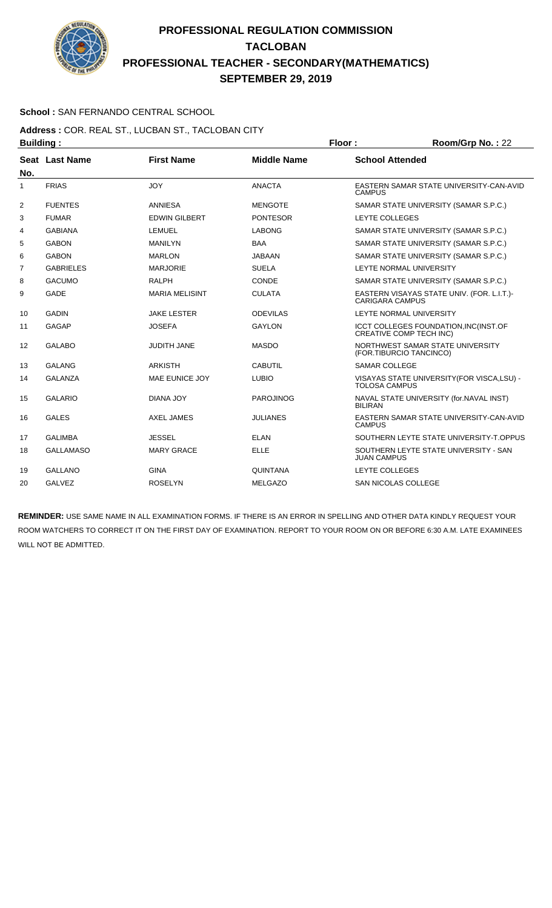

### **School :** SAN FERNANDO CENTRAL SCHOOL

**Address :** COR. REAL ST., LUCBAN ST., TACLOBAN CITY **Building : Floor : Room/Grp No. :** 22

| No. | Seat Last Name   | <b>First Name</b>     | <b>Middle Name</b> | <b>School Attended</b>                                                         |
|-----|------------------|-----------------------|--------------------|--------------------------------------------------------------------------------|
| 1   | <b>FRIAS</b>     | <b>JOY</b>            | <b>ANACTA</b>      | EASTERN SAMAR STATE UNIVERSITY-CAN-AVID<br><b>CAMPUS</b>                       |
| 2   | <b>FUENTES</b>   | ANNIESA               | <b>MENGOTE</b>     | SAMAR STATE UNIVERSITY (SAMAR S.P.C.)                                          |
| 3   | <b>FUMAR</b>     | <b>EDWIN GILBERT</b>  | <b>PONTESOR</b>    | LEYTE COLLEGES                                                                 |
| 4   | <b>GABIANA</b>   | <b>LEMUEL</b>         | <b>LABONG</b>      | SAMAR STATE UNIVERSITY (SAMAR S.P.C.)                                          |
| 5   | <b>GABON</b>     | <b>MANILYN</b>        | <b>BAA</b>         | SAMAR STATE UNIVERSITY (SAMAR S.P.C.)                                          |
| 6   | <b>GABON</b>     | <b>MARLON</b>         | <b>JABAAN</b>      | SAMAR STATE UNIVERSITY (SAMAR S.P.C.)                                          |
| 7   | <b>GABRIELES</b> | <b>MARJORIE</b>       | <b>SUELA</b>       | LEYTE NORMAL UNIVERSITY                                                        |
| 8   | <b>GACUMO</b>    | <b>RALPH</b>          | <b>CONDE</b>       | SAMAR STATE UNIVERSITY (SAMAR S.P.C.)                                          |
| 9   | <b>GADE</b>      | <b>MARIA MELISINT</b> | <b>CULATA</b>      | EASTERN VISAYAS STATE UNIV. (FOR. L.I.T.)-<br><b>CARIGARA CAMPUS</b>           |
| 10  | <b>GADIN</b>     | <b>JAKE LESTER</b>    | <b>ODEVILAS</b>    | LEYTE NORMAL UNIVERSITY                                                        |
| 11  | GAGAP            | <b>JOSEFA</b>         | <b>GAYLON</b>      | <b>ICCT COLLEGES FOUNDATION, INC(INST.OF</b><br><b>CREATIVE COMP TECH INC)</b> |
| 12  | <b>GALABO</b>    | <b>JUDITH JANE</b>    | <b>MASDO</b>       | NORTHWEST SAMAR STATE UNIVERSITY<br>(FOR.TIBURCIO TANCINCO)                    |
| 13  | <b>GALANG</b>    | <b>ARKISTH</b>        | <b>CABUTIL</b>     | <b>SAMAR COLLEGE</b>                                                           |
| 14  | <b>GALANZA</b>   | MAE EUNICE JOY        | <b>LUBIO</b>       | VISAYAS STATE UNIVERSITY (FOR VISCA, LSU) -<br><b>TOLOSA CAMPUS</b>            |
| 15  | <b>GALARIO</b>   | DIANA JOY             | <b>PAROJINOG</b>   | NAVAL STATE UNIVERSITY (for.NAVAL INST)<br><b>BILIRAN</b>                      |
| 16  | <b>GALES</b>     | <b>AXEL JAMES</b>     | <b>JULIANES</b>    | EASTERN SAMAR STATE UNIVERSITY-CAN-AVID<br><b>CAMPUS</b>                       |
| 17  | <b>GALIMBA</b>   | <b>JESSEL</b>         | <b>ELAN</b>        | SOUTHERN LEYTE STATE UNIVERSITY-T.OPPUS                                        |
| 18  | <b>GALLAMASO</b> | <b>MARY GRACE</b>     | <b>ELLE</b>        | SOUTHERN LEYTE STATE UNIVERSITY - SAN<br><b>JUAN CAMPUS</b>                    |
| 19  | <b>GALLANO</b>   | <b>GINA</b>           | QUINTANA           | LEYTE COLLEGES                                                                 |
| 20  | <b>GALVEZ</b>    | <b>ROSELYN</b>        | <b>MELGAZO</b>     | <b>SAN NICOLAS COLLEGE</b>                                                     |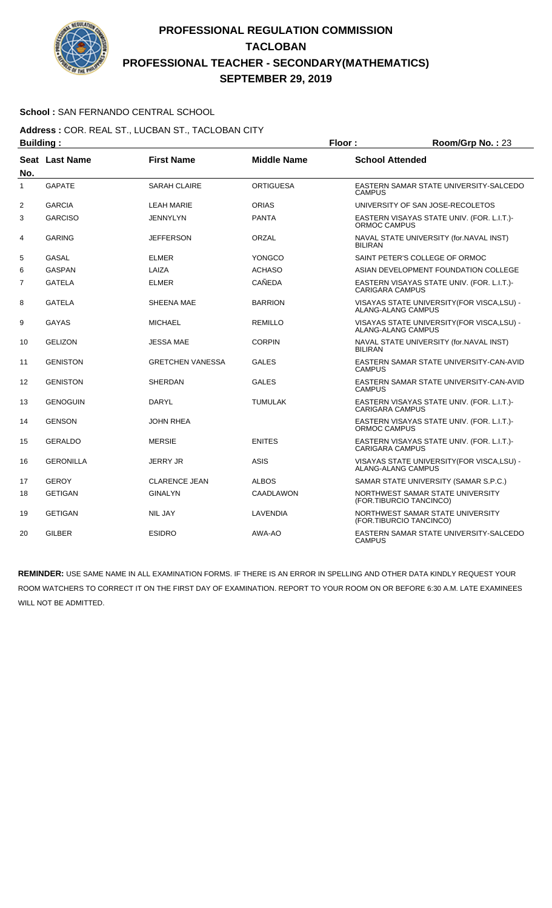

### **School :** SAN FERNANDO CENTRAL SCHOOL

**Address :** COR. REAL ST., LUCBAN ST., TACLOBAN CITY **Building : Floor : Room/Grp No. :** 23

| No. | <b>Seat Last Name</b> | <b>First Name</b>       | <b>Middle Name</b> | <b>School Attended</b>                                                   |
|-----|-----------------------|-------------------------|--------------------|--------------------------------------------------------------------------|
| 1   | <b>GAPATE</b>         | <b>SARAH CLAIRE</b>     | <b>ORTIGUESA</b>   | EASTERN SAMAR STATE UNIVERSITY-SALCEDO<br><b>CAMPUS</b>                  |
| 2   | <b>GARCIA</b>         | <b>LEAH MARIE</b>       | <b>ORIAS</b>       | UNIVERSITY OF SAN JOSE-RECOLETOS                                         |
| 3   | <b>GARCISO</b>        | <b>JENNYLYN</b>         | <b>PANTA</b>       | EASTERN VISAYAS STATE UNIV. (FOR. L.I.T.)-<br>ORMOC CAMPUS               |
| 4   | <b>GARING</b>         | <b>JEFFERSON</b>        | ORZAL              | NAVAL STATE UNIVERSITY (for.NAVAL INST)<br><b>BILIRAN</b>                |
| 5   | GASAL                 | <b>ELMER</b>            | YONGCO             | SAINT PETER'S COLLEGE OF ORMOC                                           |
| 6   | <b>GASPAN</b>         | LAIZA                   | <b>ACHASO</b>      | ASIAN DEVELOPMENT FOUNDATION COLLEGE                                     |
| 7   | <b>GATELA</b>         | <b>ELMER</b>            | CAÑEDA             | EASTERN VISAYAS STATE UNIV. (FOR. L.I.T.)-<br><b>CARIGARA CAMPUS</b>     |
| 8   | <b>GATELA</b>         | SHEENA MAE              | <b>BARRION</b>     | VISAYAS STATE UNIVERSITY (FOR VISCA, LSU) -<br>ALANG-ALANG CAMPUS        |
| 9   | GAYAS                 | <b>MICHAEL</b>          | <b>REMILLO</b>     | VISAYAS STATE UNIVERSITY(FOR VISCA,LSU) -<br><b>ALANG-ALANG CAMPUS</b>   |
| 10  | <b>GELIZON</b>        | <b>JESSA MAE</b>        | <b>CORPIN</b>      | NAVAL STATE UNIVERSITY (for. NAVAL INST)<br><b>BILIRAN</b>               |
| 11  | <b>GENISTON</b>       | <b>GRETCHEN VANESSA</b> | <b>GALES</b>       | EASTERN SAMAR STATE UNIVERSITY-CAN-AVID<br><b>CAMPUS</b>                 |
| 12  | <b>GENISTON</b>       | <b>SHERDAN</b>          | <b>GALES</b>       | EASTERN SAMAR STATE UNIVERSITY-CAN-AVID<br><b>CAMPUS</b>                 |
| 13  | <b>GENOGUIN</b>       | <b>DARYL</b>            | <b>TUMULAK</b>     | EASTERN VISAYAS STATE UNIV. (FOR. L.I.T.)-<br>CARIGARA CAMPUS            |
| 14  | <b>GENSON</b>         | <b>JOHN RHEA</b>        |                    | EASTERN VISAYAS STATE UNIV. (FOR. L.I.T.)-<br>ORMOC CAMPUS               |
| 15  | <b>GERALDO</b>        | <b>MERSIE</b>           | <b>ENITES</b>      | EASTERN VISAYAS STATE UNIV. (FOR. L.I.T.)-<br><b>CARIGARA CAMPUS</b>     |
| 16  | <b>GERONILLA</b>      | <b>JERRY JR</b>         | ASIS               | VISAYAS STATE UNIVERSITY (FOR VISCA, LSU) -<br><b>ALANG-ALANG CAMPUS</b> |
| 17  | <b>GEROY</b>          | <b>CLARENCE JEAN</b>    | <b>ALBOS</b>       | SAMAR STATE UNIVERSITY (SAMAR S.P.C.)                                    |
| 18  | <b>GETIGAN</b>        | <b>GINALYN</b>          | <b>CAADLAWON</b>   | NORTHWEST SAMAR STATE UNIVERSITY<br>(FOR.TIBURCIO TANCINCO)              |
| 19  | <b>GETIGAN</b>        | <b>NIL JAY</b>          | LAVENDIA           | NORTHWEST SAMAR STATE UNIVERSITY<br>(FOR.TIBURCIO TANCINCO)              |
| 20  | <b>GILBER</b>         | <b>ESIDRO</b>           | AWA-AO             | EASTERN SAMAR STATE UNIVERSITY-SALCEDO<br><b>CAMPUS</b>                  |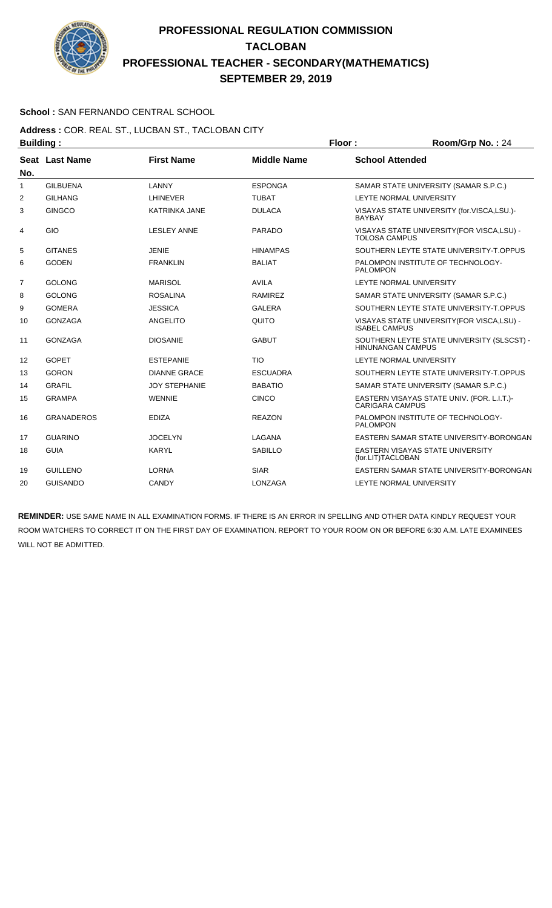

### **School :** SAN FERNANDO CENTRAL SCHOOL

**Address :** COR. REAL ST., LUCBAN ST., TACLOBAN CITY **Building : Floor : Room/Grp No. :** 24

| No.            | Seat Last Name    | <b>First Name</b>    | <b>Middle Name</b> | <b>School Attended</b>                                                 |
|----------------|-------------------|----------------------|--------------------|------------------------------------------------------------------------|
| 1              | <b>GILBUENA</b>   | LANNY                | <b>ESPONGA</b>     | SAMAR STATE UNIVERSITY (SAMAR S.P.C.)                                  |
| $\overline{2}$ | <b>GILHANG</b>    | <b>LHINEVER</b>      | <b>TUBAT</b>       | <b>LEYTE NORMAL UNIVERSITY</b>                                         |
| 3              | <b>GINGCO</b>     | <b>KATRINKA JANE</b> | <b>DULACA</b>      | VISAYAS STATE UNIVERSITY (for.VISCA,LSU.)-<br><b>BAYBAY</b>            |
| 4              | GIO               | <b>LESLEY ANNE</b>   | <b>PARADO</b>      | VISAYAS STATE UNIVERSITY (FOR VISCA, LSU) -<br><b>TOLOSA CAMPUS</b>    |
| 5              | <b>GITANES</b>    | <b>JENIE</b>         | <b>HINAMPAS</b>    | SOUTHERN LEYTE STATE UNIVERSITY-T.OPPUS                                |
| 6              | <b>GODEN</b>      | <b>FRANKLIN</b>      | <b>BALIAT</b>      | PALOMPON INSTITUTE OF TECHNOLOGY-<br><b>PALOMPON</b>                   |
| $\overline{7}$ | <b>GOLONG</b>     | <b>MARISOL</b>       | <b>AVILA</b>       | LEYTE NORMAL UNIVERSITY                                                |
| 8              | <b>GOLONG</b>     | <b>ROSALINA</b>      | <b>RAMIREZ</b>     | SAMAR STATE UNIVERSITY (SAMAR S.P.C.)                                  |
| 9              | <b>GOMERA</b>     | <b>JESSICA</b>       | <b>GALERA</b>      | SOUTHERN LEYTE STATE UNIVERSITY-T.OPPUS                                |
| 10             | <b>GONZAGA</b>    | ANGELITO             | QUITO              | VISAYAS STATE UNIVERSITY (FOR VISCA, LSU) -<br><b>ISABEL CAMPUS</b>    |
| 11             | <b>GONZAGA</b>    | <b>DIOSANIE</b>      | <b>GABUT</b>       | SOUTHERN LEYTE STATE UNIVERSITY (SLSCST) -<br><b>HINUNANGAN CAMPUS</b> |
| 12             | <b>GOPET</b>      | <b>ESTEPANIE</b>     | <b>TIO</b>         | LEYTE NORMAL UNIVERSITY                                                |
| 13             | <b>GORON</b>      | <b>DIANNE GRACE</b>  | <b>ESCUADRA</b>    | SOUTHERN LEYTE STATE UNIVERSITY-T.OPPUS                                |
| 14             | <b>GRAFIL</b>     | <b>JOY STEPHANIE</b> | <b>BABATIO</b>     | SAMAR STATE UNIVERSITY (SAMAR S.P.C.)                                  |
| 15             | <b>GRAMPA</b>     | <b>WENNIE</b>        | <b>CINCO</b>       | EASTERN VISAYAS STATE UNIV. (FOR. L.I.T.)-<br><b>CARIGARA CAMPUS</b>   |
| 16             | <b>GRANADEROS</b> | <b>EDIZA</b>         | <b>REAZON</b>      | PALOMPON INSTITUTE OF TECHNOLOGY-<br><b>PALOMPON</b>                   |
| 17             | <b>GUARINO</b>    | <b>JOCELYN</b>       | LAGANA             | EASTERN SAMAR STATE UNIVERSITY-BORONGAN                                |
| 18             | <b>GUIA</b>       | <b>KARYL</b>         | <b>SABILLO</b>     | <b>EASTERN VISAYAS STATE UNIVERSITY</b><br>(for.LIT)TACLOBAN           |
| 19             | <b>GUILLENO</b>   | <b>LORNA</b>         | <b>SIAR</b>        | EASTERN SAMAR STATE UNIVERSITY-BORONGAN                                |
| 20             | <b>GUISANDO</b>   | <b>CANDY</b>         | LONZAGA            | LEYTE NORMAL UNIVERSITY                                                |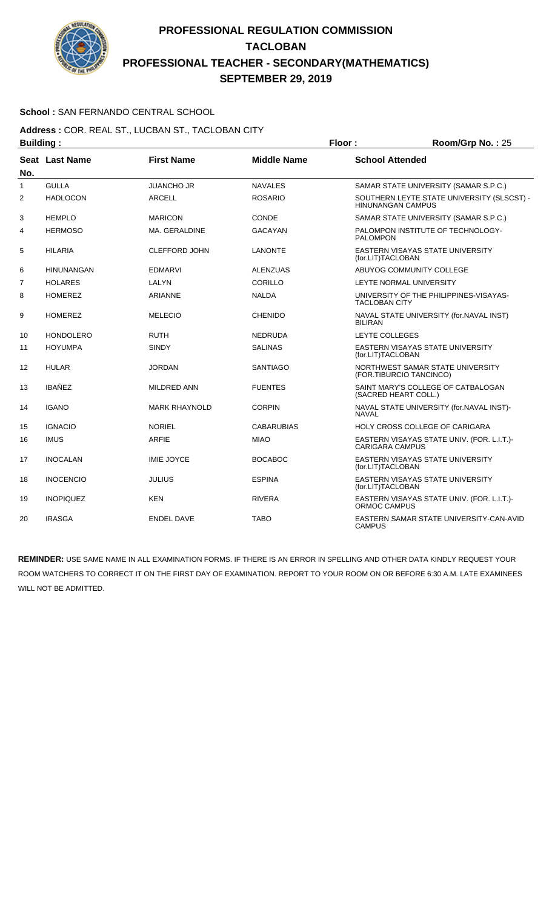

### **School :** SAN FERNANDO CENTRAL SCHOOL

#### **Address :** COR. REAL ST., LUCBAN ST., TACLOBAN CITY **Building : Floor : Room/Grp No. :** 25

| . <u>.</u>     |                   |                      |                    |                                                                        |
|----------------|-------------------|----------------------|--------------------|------------------------------------------------------------------------|
| No.            | Seat Last Name    | <b>First Name</b>    | <b>Middle Name</b> | <b>School Attended</b>                                                 |
| $\mathbf{1}$   | <b>GULLA</b>      | <b>JUANCHO JR</b>    | <b>NAVALES</b>     | SAMAR STATE UNIVERSITY (SAMAR S.P.C.)                                  |
| 2              | <b>HADLOCON</b>   | <b>ARCELL</b>        | <b>ROSARIO</b>     | SOUTHERN LEYTE STATE UNIVERSITY (SLSCST) -<br><b>HINUNANGAN CAMPUS</b> |
| 3              | <b>HEMPLO</b>     | <b>MARICON</b>       | CONDE              | SAMAR STATE UNIVERSITY (SAMAR S.P.C.)                                  |
| 4              | <b>HERMOSO</b>    | MA. GERALDINE        | <b>GACAYAN</b>     | PALOMPON INSTITUTE OF TECHNOLOGY-<br><b>PALOMPON</b>                   |
| 5              | <b>HILARIA</b>    | <b>CLEFFORD JOHN</b> | <b>LANONTE</b>     | EASTERN VISAYAS STATE UNIVERSITY<br>(for.LIT)TACLOBAN                  |
| 6              | <b>HINUNANGAN</b> | <b>EDMARVI</b>       | <b>ALENZUAS</b>    | ABUYOG COMMUNITY COLLEGE                                               |
| $\overline{7}$ | <b>HOLARES</b>    | LALYN                | CORILLO            | LEYTE NORMAL UNIVERSITY                                                |
| 8              | <b>HOMEREZ</b>    | <b>ARIANNE</b>       | <b>NALDA</b>       | UNIVERSITY OF THE PHILIPPINES-VISAYAS-<br><b>TACLOBAN CITY</b>         |
| 9              | <b>HOMEREZ</b>    | <b>MELECIO</b>       | <b>CHENIDO</b>     | NAVAL STATE UNIVERSITY (for.NAVAL INST)<br><b>BILIRAN</b>              |
| 10             | <b>HONDOLERO</b>  | <b>RUTH</b>          | <b>NEDRUDA</b>     | LEYTE COLLEGES                                                         |
| 11             | <b>HOYUMPA</b>    | <b>SINDY</b>         | <b>SALINAS</b>     | EASTERN VISAYAS STATE UNIVERSITY<br>(for.LIT)TACLOBAN                  |
| 12             | <b>HULAR</b>      | <b>JORDAN</b>        | <b>SANTIAGO</b>    | NORTHWEST SAMAR STATE UNIVERSITY<br>(FOR.TIBURCIO TANCINCO)            |
| 13             | <b>IBAÑEZ</b>     | MILDRED ANN          | <b>FUENTES</b>     | SAINT MARY'S COLLEGE OF CATBALOGAN<br>(SACRED HEART COLL.)             |
| 14             | <b>IGANO</b>      | <b>MARK RHAYNOLD</b> | <b>CORPIN</b>      | NAVAL STATE UNIVERSITY (for.NAVAL INST)-<br><b>NAVAL</b>               |
| 15             | <b>IGNACIO</b>    | <b>NORIEL</b>        | <b>CABARUBIAS</b>  | <b>HOLY CROSS COLLEGE OF CARIGARA</b>                                  |
| 16             | <b>IMUS</b>       | <b>ARFIE</b>         | <b>MIAO</b>        | EASTERN VISAYAS STATE UNIV. (FOR. L.I.T.)-<br><b>CARIGARA CAMPUS</b>   |
| 17             | <b>INOCALAN</b>   | <b>IMIE JOYCE</b>    | <b>BOCABOC</b>     | EASTERN VISAYAS STATE UNIVERSITY<br>(for.LIT)TACLOBAN                  |
| 18             | <b>INOCENCIO</b>  | <b>JULIUS</b>        | <b>ESPINA</b>      | EASTERN VISAYAS STATE UNIVERSITY<br>(for.LIT)TACLOBAN                  |
| 19             | <b>INOPIQUEZ</b>  | <b>KEN</b>           | <b>RIVERA</b>      | EASTERN VISAYAS STATE UNIV. (FOR. L.I.T.)-<br>ORMOC CAMPUS             |
| 20             | <b>IRASGA</b>     | <b>ENDEL DAVE</b>    | <b>TABO</b>        | EASTERN SAMAR STATE UNIVERSITY-CAN-AVID<br><b>CAMPUS</b>               |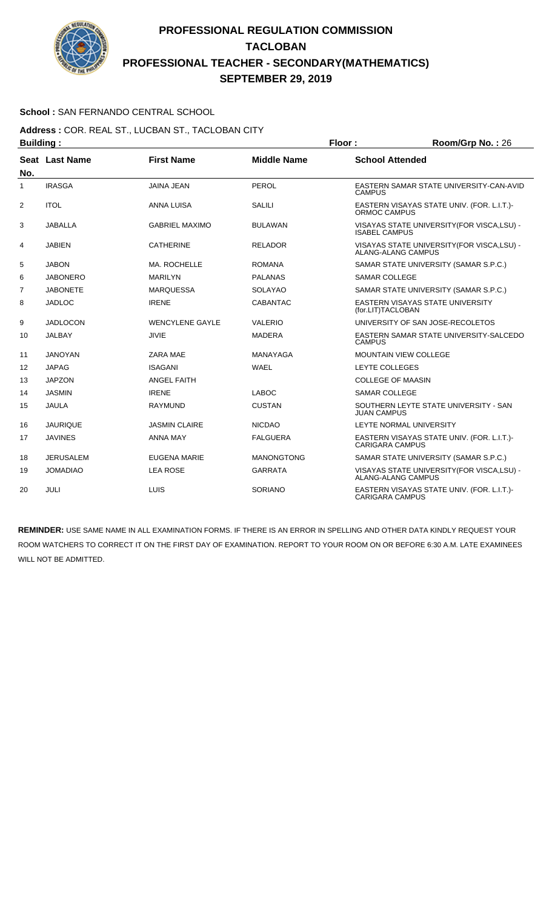

### **School :** SAN FERNANDO CENTRAL SCHOOL

**Address :** COR. REAL ST., LUCBAN ST., TACLOBAN CITY **Building : Floor : Room/Grp No. :** 26

| No.            | Seat Last Name  | <b>First Name</b>      | <b>Middle Name</b> | <b>School Attended</b>                                               |
|----------------|-----------------|------------------------|--------------------|----------------------------------------------------------------------|
| 1              | <b>IRASGA</b>   | <b>JAINA JEAN</b>      | PEROL              | EASTERN SAMAR STATE UNIVERSITY-CAN-AVID<br><b>CAMPUS</b>             |
| $\overline{2}$ | <b>ITOL</b>     | <b>ANNA LUISA</b>      | <b>SALILI</b>      | EASTERN VISAYAS STATE UNIV. (FOR. L.I.T.)-<br><b>ORMOC CAMPUS</b>    |
| 3              | <b>JABALLA</b>  | <b>GABRIEL MAXIMO</b>  | <b>BULAWAN</b>     | VISAYAS STATE UNIVERSITY (FOR VISCA, LSU) -<br><b>ISABEL CAMPUS</b>  |
| 4              | <b>JABIEN</b>   | <b>CATHERINE</b>       | <b>RELADOR</b>     | VISAYAS STATE UNIVERSITY (FOR VISCA, LSU) -<br>ALANG-ALANG CAMPUS    |
| 5              | <b>JABON</b>    | MA. ROCHELLE           | <b>ROMANA</b>      | SAMAR STATE UNIVERSITY (SAMAR S.P.C.)                                |
| 6              | <b>JABONERO</b> | <b>MARILYN</b>         | <b>PALANAS</b>     | <b>SAMAR COLLEGE</b>                                                 |
| 7              | <b>JABONETE</b> | <b>MARQUESSA</b>       | <b>SOLAYAO</b>     | SAMAR STATE UNIVERSITY (SAMAR S.P.C.)                                |
| 8              | <b>JADLOC</b>   | <b>IRENE</b>           | <b>CABANTAC</b>    | EASTERN VISAYAS STATE UNIVERSITY<br>(for.LIT)TACLOBAN                |
| 9              | <b>JADLOCON</b> | <b>WENCYLENE GAYLE</b> | <b>VALERIO</b>     | UNIVERSITY OF SAN JOSE-RECOLETOS                                     |
| 10             | <b>JALBAY</b>   | <b>JIVIE</b>           | <b>MADERA</b>      | EASTERN SAMAR STATE UNIVERSITY-SALCEDO<br><b>CAMPUS</b>              |
| 11             | <b>JANOYAN</b>  | ZARA MAE               | <b>MANAYAGA</b>    | <b>MOUNTAIN VIEW COLLEGE</b>                                         |
| 12             | <b>JAPAG</b>    | <b>ISAGANI</b>         | <b>WAEL</b>        | LEYTE COLLEGES                                                       |
| 13             | <b>JAPZON</b>   | <b>ANGEL FAITH</b>     |                    | <b>COLLEGE OF MAASIN</b>                                             |
| 14             | <b>JASMIN</b>   | <b>IRENE</b>           | <b>LABOC</b>       | <b>SAMAR COLLEGE</b>                                                 |
| 15             | <b>JAULA</b>    | <b>RAYMUND</b>         | <b>CUSTAN</b>      | SOUTHERN LEYTE STATE UNIVERSITY - SAN<br><b>JUAN CAMPUS</b>          |
| 16             | <b>JAURIQUE</b> | <b>JASMIN CLAIRE</b>   | <b>NICDAO</b>      | LEYTE NORMAL UNIVERSITY                                              |
| 17             | <b>JAVINES</b>  | <b>ANNA MAY</b>        | <b>FALGUERA</b>    | EASTERN VISAYAS STATE UNIV. (FOR. L.I.T.)-<br><b>CARIGARA CAMPUS</b> |
| 18             | JERUSALEM       | EUGENA MARIE           | <b>MANONGTONG</b>  | SAMAR STATE UNIVERSITY (SAMAR S.P.C.)                                |
| 19             | <b>JOMADIAO</b> | <b>LEA ROSE</b>        | <b>GARRATA</b>     | VISAYAS STATE UNIVERSITY (FOR VISCA, LSU) -<br>ALANG-ALANG CAMPUS    |
| 20             | JULI            | <b>LUIS</b>            | SORIANO            | EASTERN VISAYAS STATE UNIV. (FOR. L.I.T.)-<br><b>CARIGARA CAMPUS</b> |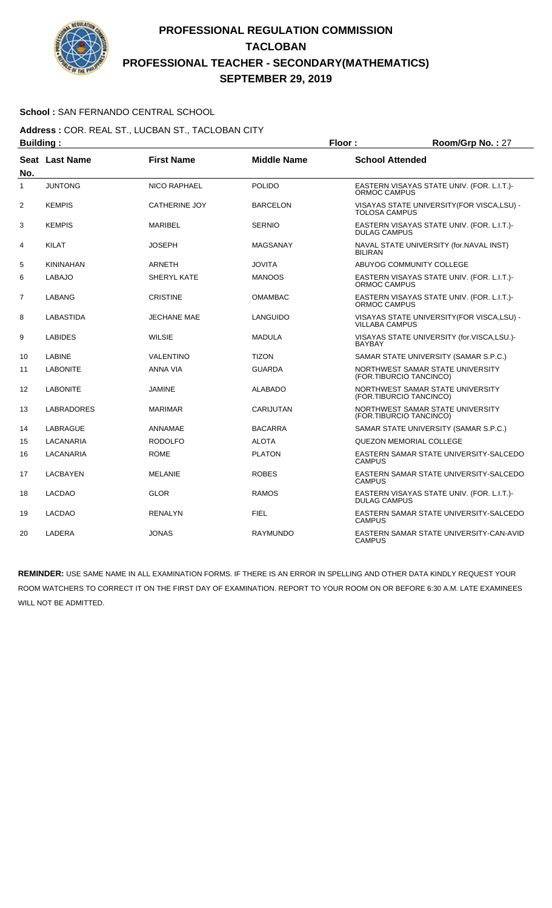

### **School :** SAN FERNANDO CENTRAL SCHOOL

**Address :** COR. REAL ST., LUCBAN ST., TACLOBAN CITY **Building : Floor : Floor : Room/Grp No. : 27** 

| No.            | Seat Last Name    | <b>First Name</b>    | <b>Middle Name</b> | <b>School Attended</b>                                              |
|----------------|-------------------|----------------------|--------------------|---------------------------------------------------------------------|
| $\mathbf{1}$   | <b>JUNTONG</b>    | <b>NICO RAPHAEL</b>  | <b>POLIDO</b>      | EASTERN VISAYAS STATE UNIV. (FOR. L.I.T.)-<br>ORMOC CAMPUS          |
| 2              | <b>KEMPIS</b>     | <b>CATHERINE JOY</b> | <b>BARCELON</b>    | VISAYAS STATE UNIVERSITY (FOR VISCA, LSU) -<br><b>TOLOSA CAMPUS</b> |
| 3              | <b>KEMPIS</b>     | MARIBEL              | <b>SERNIO</b>      | EASTERN VISAYAS STATE UNIV. (FOR. L.I.T.)-<br><b>DULAG CAMPUS</b>   |
| 4              | <b>KILAT</b>      | <b>JOSEPH</b>        | MAGSANAY           | NAVAL STATE UNIVERSITY (for.NAVAL INST)<br><b>BILIRAN</b>           |
| 5              | <b>KININAHAN</b>  | <b>ARNETH</b>        | <b>JOVITA</b>      | ABUYOG COMMUNITY COLLEGE                                            |
| 6              | <b>LABAJO</b>     | SHERYL KATE          | <b>MANOOS</b>      | EASTERN VISAYAS STATE UNIV. (FOR. L.I.T.)-<br><b>ORMOC CAMPUS</b>   |
| $\overline{7}$ | <b>LABANG</b>     | <b>CRISTINE</b>      | <b>OMAMBAC</b>     | EASTERN VISAYAS STATE UNIV. (FOR. L.I.T.)-<br>ORMOC CAMPUS          |
| 8              | <b>LABASTIDA</b>  | <b>JECHANE MAE</b>   | LANGUIDO           | VISAYAS STATE UNIVERSITY(FOR VISCA,LSU) -<br><b>VILLABA CAMPUS</b>  |
| 9              | <b>LABIDES</b>    | <b>WILSIE</b>        | <b>MADULA</b>      | VISAYAS STATE UNIVERSITY (for.VISCA,LSU.)-<br><b>BAYBAY</b>         |
| 10             | <b>LABINE</b>     | <b>VALENTINO</b>     | <b>TIZON</b>       | SAMAR STATE UNIVERSITY (SAMAR S.P.C.)                               |
| 11             | <b>LABONITE</b>   | <b>ANNA VIA</b>      | <b>GUARDA</b>      | NORTHWEST SAMAR STATE UNIVERSITY<br>(FOR.TIBURCIO TANCINCO)         |
| 12             | <b>LABONITE</b>   | <b>JAMINE</b>        | <b>ALABADO</b>     | NORTHWEST SAMAR STATE UNIVERSITY<br>(FOR.TIBURCIO TANCINCO)         |
| 13             | <b>LABRADORES</b> | <b>MARIMAR</b>       | CARIJUTAN          | NORTHWEST SAMAR STATE UNIVERSITY<br>(FOR.TIBURCIO TANCINCO)         |
| 14             | <b>LABRAGUE</b>   | ANNAMAE              | <b>BACARRA</b>     | SAMAR STATE UNIVERSITY (SAMAR S.P.C.)                               |
| 15             | LACANARIA         | <b>RODOLFO</b>       | <b>ALOTA</b>       | QUEZON MEMORIAL COLLEGE                                             |
| 16             | LACANARIA         | <b>ROME</b>          | <b>PLATON</b>      | EASTERN SAMAR STATE UNIVERSITY-SALCEDO<br><b>CAMPUS</b>             |
| 17             | <b>LACBAYEN</b>   | <b>MELANIE</b>       | <b>ROBES</b>       | EASTERN SAMAR STATE UNIVERSITY-SALCEDO<br><b>CAMPUS</b>             |
| 18             | <b>LACDAO</b>     | <b>GLOR</b>          | <b>RAMOS</b>       | EASTERN VISAYAS STATE UNIV. (FOR. L.I.T.)-<br><b>DULAG CAMPUS</b>   |
| 19             | <b>LACDAO</b>     | <b>RENALYN</b>       | <b>FIEL</b>        | EASTERN SAMAR STATE UNIVERSITY-SALCEDO<br><b>CAMPUS</b>             |
| 20             | <b>LADERA</b>     | <b>JONAS</b>         | <b>RAYMUNDO</b>    | EASTERN SAMAR STATE UNIVERSITY-CAN-AVID<br><b>CAMPUS</b>            |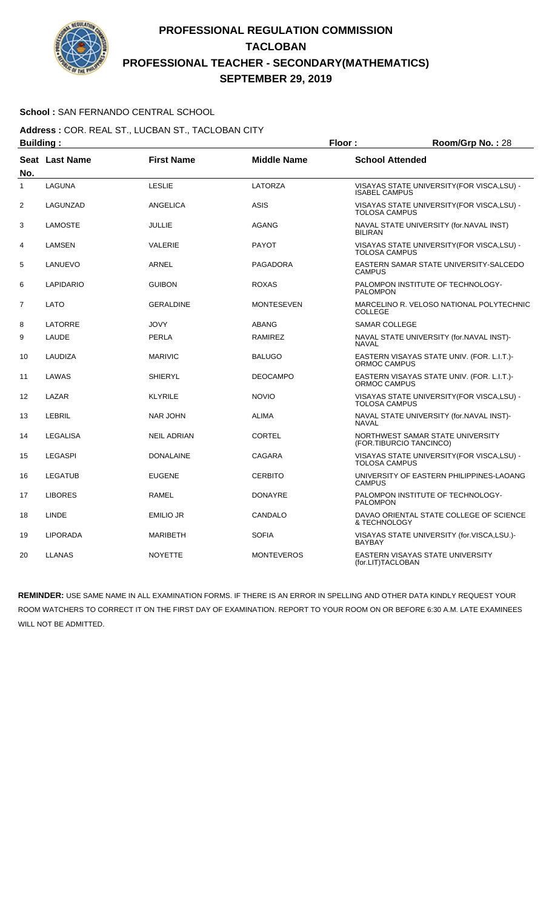

### **School :** SAN FERNANDO CENTRAL SCHOOL

**Address :** COR. REAL ST., LUCBAN ST., TACLOBAN CITY **Building : Floor : Room/Grp No. :** 28

| No. | Seat Last Name   | <b>First Name</b>  | <b>Middle Name</b> | <b>School Attended</b>                                              |
|-----|------------------|--------------------|--------------------|---------------------------------------------------------------------|
| 1   | <b>LAGUNA</b>    | <b>LESLIE</b>      | <b>LATORZA</b>     | VISAYAS STATE UNIVERSITY(FOR VISCA,LSU) -<br><b>ISABEL CAMPUS</b>   |
| 2   | LAGUNZAD         | ANGELICA           | <b>ASIS</b>        | VISAYAS STATE UNIVERSITY(FOR VISCA,LSU) -<br><b>TOLOSA CAMPUS</b>   |
| 3   | <b>LAMOSTE</b>   | <b>JULLIE</b>      | <b>AGANG</b>       | NAVAL STATE UNIVERSITY (for.NAVAL INST)<br><b>BILIRAN</b>           |
| 4   | LAMSEN           | VALERIE            | <b>PAYOT</b>       | VISAYAS STATE UNIVERSITY (FOR VISCA, LSU) -<br><b>TOLOSA CAMPUS</b> |
| 5   | LANUEVO          | <b>ARNEL</b>       | <b>PAGADORA</b>    | EASTERN SAMAR STATE UNIVERSITY-SALCEDO<br><b>CAMPUS</b>             |
| 6   | <b>LAPIDARIO</b> | <b>GUIBON</b>      | <b>ROXAS</b>       | PALOMPON INSTITUTE OF TECHNOLOGY-<br><b>PALOMPON</b>                |
| 7   | <b>LATO</b>      | <b>GERALDINE</b>   | <b>MONTESEVEN</b>  | MARCELINO R. VELOSO NATIONAL POLYTECHNIC<br><b>COLLEGE</b>          |
| 8   | LATORRE          | <b>JOVY</b>        | <b>ABANG</b>       | <b>SAMAR COLLEGE</b>                                                |
| 9   | LAUDE            | <b>PERLA</b>       | <b>RAMIREZ</b>     | NAVAL STATE UNIVERSITY (for.NAVAL INST)-<br><b>NAVAL</b>            |
| 10  | LAUDIZA          | <b>MARIVIC</b>     | <b>BALUGO</b>      | EASTERN VISAYAS STATE UNIV. (FOR. L.I.T.)-<br>ORMOC CAMPUS          |
| 11  | LAWAS            | <b>SHIERYL</b>     | <b>DEOCAMPO</b>    | EASTERN VISAYAS STATE UNIV. (FOR. L.I.T.)-<br><b>ORMOC CAMPUS</b>   |
| 12  | LAZAR            | <b>KLYRILE</b>     | <b>NOVIO</b>       | VISAYAS STATE UNIVERSITY (FOR VISCA, LSU) -<br><b>TOLOSA CAMPUS</b> |
| 13  | <b>LEBRIL</b>    | <b>NAR JOHN</b>    | <b>ALIMA</b>       | NAVAL STATE UNIVERSITY (for.NAVAL INST)-<br><b>NAVAL</b>            |
| 14  | <b>LEGALISA</b>  | <b>NEIL ADRIAN</b> | <b>CORTEL</b>      | NORTHWEST SAMAR STATE UNIVERSITY<br>(FOR.TIBURCIO TANCINCO)         |
| 15  | <b>LEGASPI</b>   | <b>DONALAINE</b>   | CAGARA             | VISAYAS STATE UNIVERSITY(FOR VISCA,LSU) -<br><b>TOLOSA CAMPUS</b>   |
| 16  | <b>LEGATUB</b>   | <b>EUGENE</b>      | <b>CERBITO</b>     | UNIVERSITY OF EASTERN PHILIPPINES-LAOANG<br><b>CAMPUS</b>           |
| 17  | <b>LIBORES</b>   | <b>RAMEL</b>       | <b>DONAYRE</b>     | PALOMPON INSTITUTE OF TECHNOLOGY-<br><b>PALOMPON</b>                |
| 18  | LINDE            | <b>EMILIO JR</b>   | CANDALO            | DAVAO ORIENTAL STATE COLLEGE OF SCIENCE<br>& TECHNOLOGY             |
| 19  | <b>LIPORADA</b>  | <b>MARIBETH</b>    | <b>SOFIA</b>       | VISAYAS STATE UNIVERSITY (for.VISCA,LSU.)-<br><b>BAYBAY</b>         |
| 20  | LLANAS           | <b>NOYETTE</b>     | <b>MONTEVEROS</b>  | <b>EASTERN VISAYAS STATE UNIVERSITY</b><br>(for.LIT)TACLOBAN        |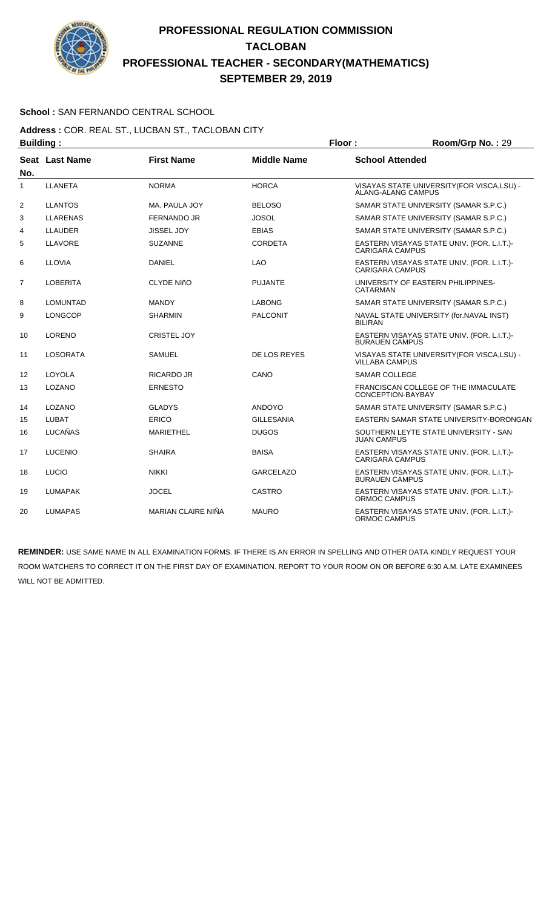

### **School :** SAN FERNANDO CENTRAL SCHOOL

#### **Address :** COR. REAL ST., LUCBAN ST., TACLOBAN CITY **Building : Floor : Room/Grp No. :** 29

| oununiy .      |                 |                    |                    | .<br>1100111101101101120                                             |
|----------------|-----------------|--------------------|--------------------|----------------------------------------------------------------------|
| No.            | Seat Last Name  | <b>First Name</b>  | <b>Middle Name</b> | <b>School Attended</b>                                               |
| 1              | <b>LLANETA</b>  | <b>NORMA</b>       | <b>HORCA</b>       | VISAYAS STATE UNIVERSITY (FOR VISCA, LSU) -<br>ALANG-ALANG CAMPUS    |
| $\overline{2}$ | <b>LLANTOS</b>  | MA. PAULA JOY      | <b>BELOSO</b>      | SAMAR STATE UNIVERSITY (SAMAR S.P.C.)                                |
| 3              | <b>LLARENAS</b> | <b>FERNANDO JR</b> | <b>JOSOL</b>       | SAMAR STATE UNIVERSITY (SAMAR S.P.C.)                                |
| 4              | <b>LLAUDER</b>  | <b>JISSEL JOY</b>  | <b>EBIAS</b>       | SAMAR STATE UNIVERSITY (SAMAR S.P.C.)                                |
| 5              | <b>LLAVORE</b>  | <b>SUZANNE</b>     | <b>CORDETA</b>     | EASTERN VISAYAS STATE UNIV. (FOR. L.I.T.)-<br><b>CARIGARA CAMPUS</b> |
| 6              | <b>LLOVIA</b>   | <b>DANIEL</b>      | <b>LAO</b>         | EASTERN VISAYAS STATE UNIV. (FOR. L.I.T.)-<br><b>CARIGARA CAMPUS</b> |
| 7              | <b>LOBERITA</b> | <b>CLYDE NIñO</b>  | <b>PUJANTE</b>     | UNIVERSITY OF EASTERN PHILIPPINES-<br><b>CATARMAN</b>                |
| 8              | LOMUNTAD        | <b>MANDY</b>       | <b>LABONG</b>      | SAMAR STATE UNIVERSITY (SAMAR S.P.C.)                                |
| 9              | <b>LONGCOP</b>  | <b>SHARMIN</b>     | <b>PALCONIT</b>    | NAVAL STATE UNIVERSITY (for.NAVAL INST)<br><b>BILIRAN</b>            |
| 10             | <b>LORENO</b>   | <b>CRISTEL JOY</b> |                    | EASTERN VISAYAS STATE UNIV. (FOR. L.I.T.)-<br><b>BURAUEN CAMPUS</b>  |
| 11             | <b>LOSORATA</b> | <b>SAMUEL</b>      | DE LOS REYES       | VISAYAS STATE UNIVERSITY (FOR VISCA, LSU) -<br><b>VILLABA CAMPUS</b> |
| 12             | LOYOLA          | <b>RICARDO JR</b>  | CANO               | <b>SAMAR COLLEGE</b>                                                 |
| 13             | LOZANO          | <b>ERNESTO</b>     |                    | FRANCISCAN COLLEGE OF THE IMMACULATE<br>CONCEPTION-BAYBAY            |
| 14             | LOZANO          | <b>GLADYS</b>      | <b>ANDOYO</b>      | SAMAR STATE UNIVERSITY (SAMAR S.P.C.)                                |
| 15             | <b>LUBAT</b>    | <b>ERICO</b>       | <b>GILLESANIA</b>  | EASTERN SAMAR STATE UNIVERSITY-BORONGAN                              |
| 16             | LUCAÑAS         | <b>MARIETHEL</b>   | <b>DUGOS</b>       | SOUTHERN LEYTE STATE UNIVERSITY - SAN<br><b>JUAN CAMPUS</b>          |
| 17             | <b>LUCENIO</b>  | <b>SHAIRA</b>      | <b>BAISA</b>       | EASTERN VISAYAS STATE UNIV. (FOR. L.I.T.)-<br><b>CARIGARA CAMPUS</b> |
| 18             | LUCIO           | <b>NIKKI</b>       | <b>GARCELAZO</b>   | EASTERN VISAYAS STATE UNIV. (FOR. L.I.T.)-<br><b>BURAUEN CAMPUS</b>  |
| 19             | <b>LUMAPAK</b>  | <b>JOCEL</b>       | CASTRO             | EASTERN VISAYAS STATE UNIV. (FOR. L.I.T.)-<br>ORMOC CAMPUS           |
| 20             | <b>LUMAPAS</b>  | MARIAN CLAIRE NIÑA | <b>MAURO</b>       | EASTERN VISAYAS STATE UNIV. (FOR. L.I.T.)-<br>ORMOC CAMPUS           |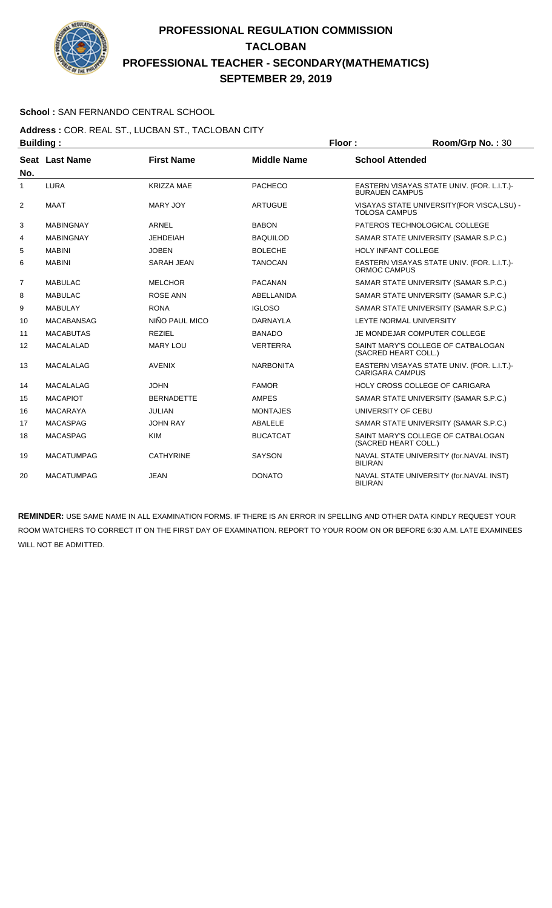

### **School :** SAN FERNANDO CENTRAL SCHOOL

**Address :** COR. REAL ST., LUCBAN ST., TACLOBAN CITY **Building : Floor : Floor : Room/Grp No. : 30** 

| No.            | Seat Last Name    | <b>First Name</b> | <b>Middle Name</b> | <b>School Attended</b>                                               |
|----------------|-------------------|-------------------|--------------------|----------------------------------------------------------------------|
| 1              | <b>LURA</b>       | <b>KRIZZA MAE</b> | <b>PACHECO</b>     | EASTERN VISAYAS STATE UNIV. (FOR. L.I.T.)-<br><b>BURAUEN CAMPUS</b>  |
| $\overline{2}$ | <b>MAAT</b>       | MARY JOY          | <b>ARTUGUE</b>     | VISAYAS STATE UNIVERSITY (FOR VISCA, LSU) -<br><b>TOLOSA CAMPUS</b>  |
| 3              | <b>MABINGNAY</b>  | ARNEL             | <b>BABON</b>       | PATEROS TECHNOLOGICAL COLLEGE                                        |
| 4              | <b>MABINGNAY</b>  | <b>JEHDEIAH</b>   | <b>BAQUILOD</b>    | SAMAR STATE UNIVERSITY (SAMAR S.P.C.)                                |
| 5              | <b>MABINI</b>     | <b>JOBEN</b>      | <b>BOLECHE</b>     | <b>HOLY INFANT COLLEGE</b>                                           |
| 6              | <b>MABINI</b>     | <b>SARAH JEAN</b> | <b>TANOCAN</b>     | EASTERN VISAYAS STATE UNIV. (FOR. L.I.T.)-<br><b>ORMOC CAMPUS</b>    |
| 7              | <b>MABULAC</b>    | <b>MELCHOR</b>    | <b>PACANAN</b>     | SAMAR STATE UNIVERSITY (SAMAR S.P.C.)                                |
| 8              | <b>MABULAC</b>    | <b>ROSE ANN</b>   | <b>ABELLANIDA</b>  | SAMAR STATE UNIVERSITY (SAMAR S.P.C.)                                |
| 9              | <b>MABULAY</b>    | <b>RONA</b>       | <b>IGLOSO</b>      | SAMAR STATE UNIVERSITY (SAMAR S.P.C.)                                |
| 10             | <b>MACABANSAG</b> | NIÑO PAUL MICO    | <b>DARNAYLA</b>    | LEYTE NORMAL UNIVERSITY                                              |
| 11             | <b>MACABUTAS</b>  | <b>REZIEL</b>     | <b>BANADO</b>      | JE MONDEJAR COMPUTER COLLEGE                                         |
| 12             | <b>MACALALAD</b>  | <b>MARY LOU</b>   | <b>VERTERRA</b>    | SAINT MARY'S COLLEGE OF CATBALOGAN<br>(SACRED HEART COLL.)           |
| 13             | <b>MACALALAG</b>  | <b>AVENIX</b>     | <b>NARBONITA</b>   | EASTERN VISAYAS STATE UNIV. (FOR. L.I.T.)-<br><b>CARIGARA CAMPUS</b> |
| 14             | <b>MACALALAG</b>  | <b>JOHN</b>       | <b>FAMOR</b>       | HOLY CROSS COLLEGE OF CARIGARA                                       |
| 15             | <b>MACAPIOT</b>   | <b>BERNADETTE</b> | <b>AMPES</b>       | SAMAR STATE UNIVERSITY (SAMAR S.P.C.)                                |
| 16             | <b>MACARAYA</b>   | <b>JULIAN</b>     | <b>MONTAJES</b>    | UNIVERSITY OF CEBU                                                   |
| 17             | <b>MACASPAG</b>   | <b>JOHN RAY</b>   | ABALELE            | SAMAR STATE UNIVERSITY (SAMAR S.P.C.)                                |
| 18             | <b>MACASPAG</b>   | <b>KIM</b>        | <b>BUCATCAT</b>    | SAINT MARY'S COLLEGE OF CATBALOGAN<br>(SACRED HEART COLL.)           |
| 19             | <b>MACATUMPAG</b> | <b>CATHYRINE</b>  | <b>SAYSON</b>      | NAVAL STATE UNIVERSITY (for.NAVAL INST)<br><b>BILIRAN</b>            |
| 20             | <b>MACATUMPAG</b> | JEAN              | <b>DONATO</b>      | NAVAL STATE UNIVERSITY (for.NAVAL INST)<br><b>BILIRAN</b>            |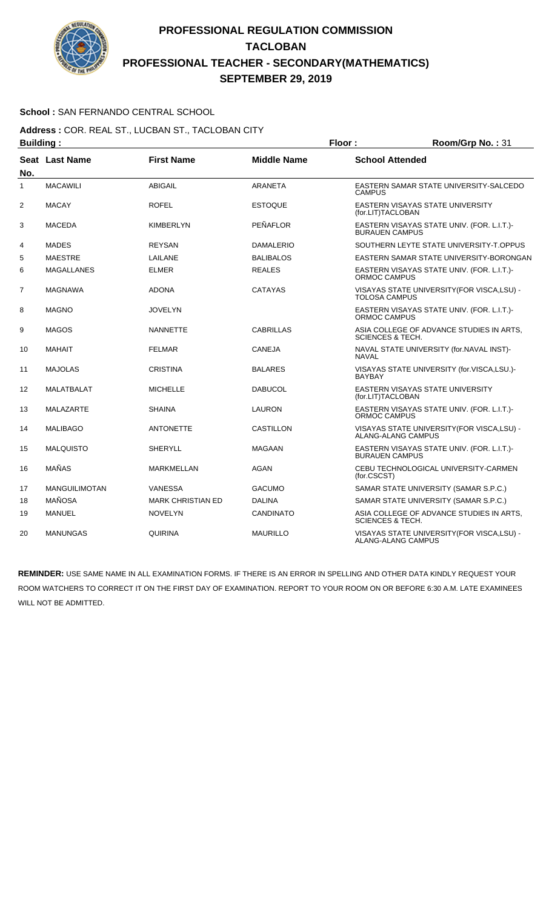

### **School :** SAN FERNANDO CENTRAL SCHOOL

**Address :** COR. REAL ST., LUCBAN ST., TACLOBAN CITY **Building : Floor : Room/Grp No. : 31** 

| No.            | Seat Last Name       | <b>First Name</b>        | <b>Middle Name</b> | <b>School Attended</b>                                                   |
|----------------|----------------------|--------------------------|--------------------|--------------------------------------------------------------------------|
| $\mathbf{1}$   | <b>MACAWILI</b>      | <b>ABIGAIL</b>           | <b>ARANETA</b>     | EASTERN SAMAR STATE UNIVERSITY-SALCEDO<br><b>CAMPUS</b>                  |
| 2              | <b>MACAY</b>         | <b>ROFEL</b>             | <b>ESTOQUE</b>     | EASTERN VISAYAS STATE UNIVERSITY<br>(for.LIT)TACLOBAN                    |
| 3              | <b>MACEDA</b>        | <b>KIMBERLYN</b>         | PEÑAFLOR           | EASTERN VISAYAS STATE UNIV. (FOR. L.I.T.)-<br><b>BURAUEN CAMPUS</b>      |
| 4              | <b>MADES</b>         | <b>REYSAN</b>            | <b>DAMALERIO</b>   | SOUTHERN LEYTE STATE UNIVERSITY-T.OPPUS                                  |
| 5              | <b>MAESTRE</b>       | LAILANE                  | <b>BALIBALOS</b>   | EASTERN SAMAR STATE UNIVERSITY-BORONGAN                                  |
| 6              | <b>MAGALLANES</b>    | <b>ELMER</b>             | <b>REALES</b>      | EASTERN VISAYAS STATE UNIV. (FOR. L.I.T.)-<br>ORMOC CAMPUS               |
| $\overline{7}$ | <b>MAGNAWA</b>       | <b>ADONA</b>             | <b>CATAYAS</b>     | VISAYAS STATE UNIVERSITY (FOR VISCA, LSU) -<br><b>TOLOSA CAMPUS</b>      |
| 8              | <b>MAGNO</b>         | <b>JOVELYN</b>           |                    | EASTERN VISAYAS STATE UNIV. (FOR. L.I.T.)-<br><b>ORMOC CAMPUS</b>        |
| 9              | <b>MAGOS</b>         | <b>NANNETTE</b>          | <b>CABRILLAS</b>   | ASIA COLLEGE OF ADVANCE STUDIES IN ARTS.<br><b>SCIENCES &amp; TECH.</b>  |
| 10             | <b>MAHAIT</b>        | <b>FELMAR</b>            | <b>CANEJA</b>      | NAVAL STATE UNIVERSITY (for.NAVAL INST)-<br><b>NAVAL</b>                 |
| 11             | <b>MAJOLAS</b>       | <b>CRISTINA</b>          | <b>BALARES</b>     | VISAYAS STATE UNIVERSITY (for.VISCA,LSU.)-<br><b>BAYBAY</b>              |
| 12             | MALATBALAT           | <b>MICHELLE</b>          | <b>DABUCOL</b>     | EASTERN VISAYAS STATE UNIVERSITY<br>(for.LIT)TACLOBAN                    |
| 13             | <b>MALAZARTE</b>     | <b>SHAINA</b>            | <b>LAURON</b>      | EASTERN VISAYAS STATE UNIV. (FOR. L.I.T.)-<br>ORMOC CAMPUS               |
| 14             | <b>MALIBAGO</b>      | <b>ANTONETTE</b>         | CASTILLON          | VISAYAS STATE UNIVERSITY (FOR VISCA, LSU) -<br><b>ALANG-ALANG CAMPUS</b> |
| 15             | <b>MALQUISTO</b>     | <b>SHERYLL</b>           | <b>MAGAAN</b>      | EASTERN VISAYAS STATE UNIV. (FOR. L.I.T.)-<br>BURAUEN CAMPUS             |
| 16             | <b>MAÑAS</b>         | <b>MARKMELLAN</b>        | AGAN               | CEBU TECHNOLOGICAL UNIVERSITY-CARMEN<br>(for.CSCST)                      |
| 17             | <b>MANGUILIMOTAN</b> | <b>VANESSA</b>           | <b>GACUMO</b>      | SAMAR STATE UNIVERSITY (SAMAR S.P.C.)                                    |
| 18             | <b>MAÑOSA</b>        | <b>MARK CHRISTIAN ED</b> | <b>DALINA</b>      | SAMAR STATE UNIVERSITY (SAMAR S.P.C.)                                    |
| 19             | <b>MANUEL</b>        | <b>NOVELYN</b>           | <b>CANDINATO</b>   | ASIA COLLEGE OF ADVANCE STUDIES IN ARTS,<br><b>SCIENCES &amp; TECH.</b>  |
| 20             | <b>MANUNGAS</b>      | <b>QUIRINA</b>           | <b>MAURILLO</b>    | VISAYAS STATE UNIVERSITY (FOR VISCA, LSU) -<br>ALANG-ALANG CAMPUS        |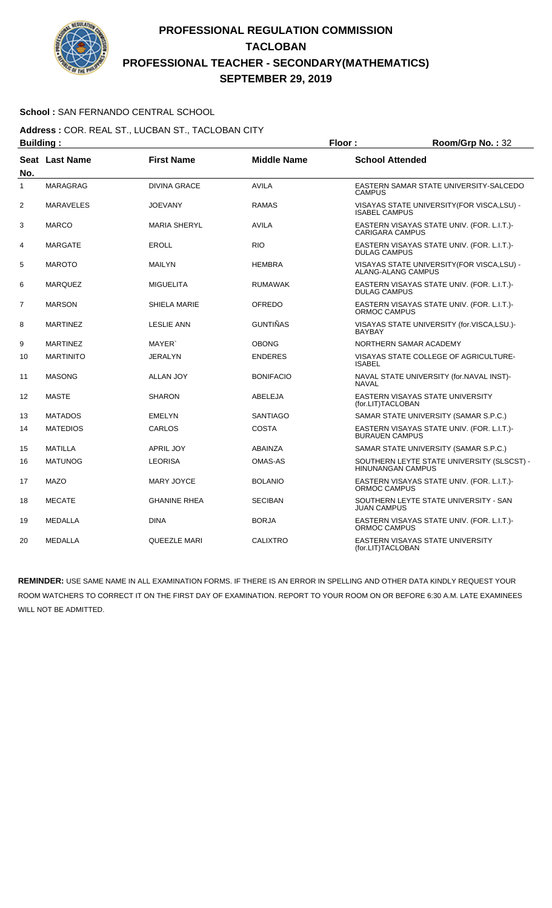

### **School :** SAN FERNANDO CENTRAL SCHOOL

**Address :** COR. REAL ST., LUCBAN ST., TACLOBAN CITY **Building : Floor : Floor : Room/Grp No. : 32** 

| Pananig .      |                  |                     | .                  |                                                                        |
|----------------|------------------|---------------------|--------------------|------------------------------------------------------------------------|
| No.            | Seat Last Name   | <b>First Name</b>   | <b>Middle Name</b> | <b>School Attended</b>                                                 |
| 1              | <b>MARAGRAG</b>  | <b>DIVINA GRACE</b> | <b>AVILA</b>       | EASTERN SAMAR STATE UNIVERSITY-SALCEDO<br><b>CAMPUS</b>                |
| $\overline{2}$ | <b>MARAVELES</b> | <b>JOEVANY</b>      | <b>RAMAS</b>       | VISAYAS STATE UNIVERSITY(FOR VISCA,LSU) -<br><b>ISABEL CAMPUS</b>      |
| 3              | <b>MARCO</b>     | <b>MARIA SHERYL</b> | <b>AVILA</b>       | EASTERN VISAYAS STATE UNIV. (FOR. L.I.T.)-<br><b>CARIGARA CAMPUS</b>   |
| 4              | <b>MARGATE</b>   | <b>EROLL</b>        | <b>RIO</b>         | EASTERN VISAYAS STATE UNIV. (FOR. L.I.T.)-<br><b>DULAG CAMPUS</b>      |
| 5              | <b>MAROTO</b>    | <b>MAILYN</b>       | <b>HEMBRA</b>      | VISAYAS STATE UNIVERSITY (FOR VISCA, LSU) -<br>ALANG-ALANG CAMPUS      |
| 6              | <b>MARQUEZ</b>   | <b>MIGUELITA</b>    | <b>RUMAWAK</b>     | EASTERN VISAYAS STATE UNIV. (FOR. L.I.T.)-<br><b>DULAG CAMPUS</b>      |
| $\overline{7}$ | <b>MARSON</b>    | <b>SHIELA MARIE</b> | OFREDO             | EASTERN VISAYAS STATE UNIV. (FOR. L.I.T.)-<br>ORMOC CAMPUS             |
| 8              | <b>MARTINEZ</b>  | <b>LESLIE ANN</b>   | <b>GUNTIÑAS</b>    | VISAYAS STATE UNIVERSITY (for.VISCA,LSU.)-<br><b>BAYBAY</b>            |
| 9              | <b>MARTINEZ</b>  | MAYER <sup>®</sup>  | <b>OBONG</b>       | NORTHERN SAMAR ACADEMY                                                 |
| 10             | <b>MARTINITO</b> | <b>JERALYN</b>      | <b>ENDERES</b>     | VISAYAS STATE COLLEGE OF AGRICULTURE-<br><b>ISABEL</b>                 |
| 11             | <b>MASONG</b>    | <b>ALLAN JOY</b>    | <b>BONIFACIO</b>   | NAVAL STATE UNIVERSITY (for.NAVAL INST)-<br><b>NAVAL</b>               |
| 12             | <b>MASTE</b>     | <b>SHARON</b>       | ABELEJA            | EASTERN VISAYAS STATE UNIVERSITY<br>(for.LIT)TACLOBAN                  |
| 13             | <b>MATADOS</b>   | <b>EMELYN</b>       | <b>SANTIAGO</b>    | SAMAR STATE UNIVERSITY (SAMAR S.P.C.)                                  |
| 14             | <b>MATEDIOS</b>  | CARLOS              | <b>COSTA</b>       | EASTERN VISAYAS STATE UNIV. (FOR. L.I.T.)-<br><b>BURAUEN CAMPUS</b>    |
| 15             | <b>MATILLA</b>   | <b>APRIL JOY</b>    | ABAINZA            | SAMAR STATE UNIVERSITY (SAMAR S.P.C.)                                  |
| 16             | <b>MATUNOG</b>   | <b>LEORISA</b>      | <b>OMAS-AS</b>     | SOUTHERN LEYTE STATE UNIVERSITY (SLSCST) -<br><b>HINUNANGAN CAMPUS</b> |
| 17             | <b>MAZO</b>      | MARY JOYCE          | <b>BOLANIO</b>     | EASTERN VISAYAS STATE UNIV. (FOR. L.I.T.)-<br>ORMOC CAMPUS             |
| 18             | <b>MECATE</b>    | <b>GHANINE RHEA</b> | <b>SECIBAN</b>     | SOUTHERN LEYTE STATE UNIVERSITY - SAN<br><b>JUAN CAMPUS</b>            |
| 19             | <b>MEDALLA</b>   | <b>DINA</b>         | <b>BORJA</b>       | EASTERN VISAYAS STATE UNIV. (FOR. L.I.T.)-<br>ORMOC CAMPUS             |
| 20             | <b>MEDALLA</b>   | <b>QUEEZLE MARI</b> | <b>CALIXTRO</b>    | EASTERN VISAYAS STATE UNIVERSITY<br>(for.LIT)TACLOBAN                  |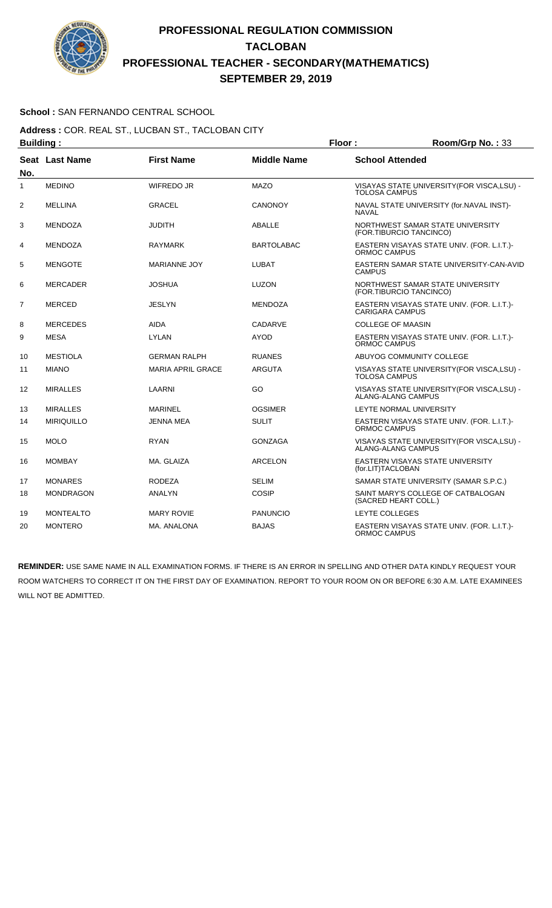

### **School :** SAN FERNANDO CENTRAL SCHOOL

**Address :** COR. REAL ST., LUCBAN ST., TACLOBAN CITY **Building : Floor : Room/Grp No. :** 33

| No.            | Seat Last Name    | <b>First Name</b>        | <b>Middle Name</b> | <b>School Attended</b>                                                   |
|----------------|-------------------|--------------------------|--------------------|--------------------------------------------------------------------------|
| 1              | <b>MEDINO</b>     | <b>WIFREDO JR</b>        | <b>MAZO</b>        | VISAYAS STATE UNIVERSITY (FOR VISCA, LSU) -<br><b>TOLOSA CAMPUS</b>      |
| $\overline{2}$ | MELLINA           | GRACEL                   | CANONOY            | NAVAL STATE UNIVERSITY (for.NAVAL INST)-<br><b>NAVAL</b>                 |
| 3              | <b>MENDOZA</b>    | <b>JUDITH</b>            | <b>ABALLE</b>      | NORTHWEST SAMAR STATE UNIVERSITY<br>(FOR.TIBURCIO TANCINCO)              |
| 4              | <b>MENDOZA</b>    | <b>RAYMARK</b>           | <b>BARTOLABAC</b>  | EASTERN VISAYAS STATE UNIV. (FOR. L.I.T.)-<br><b>ORMOC CAMPUS</b>        |
| 5              | <b>MENGOTE</b>    | <b>MARIANNE JOY</b>      | <b>LUBAT</b>       | EASTERN SAMAR STATE UNIVERSITY-CAN-AVID<br><b>CAMPUS</b>                 |
| 6              | <b>MERCADER</b>   | <b>JOSHUA</b>            | <b>LUZON</b>       | NORTHWEST SAMAR STATE UNIVERSITY<br>(FOR.TIBURCIO TANCINCO)              |
| $\overline{7}$ | <b>MERCED</b>     | <b>JESLYN</b>            | <b>MENDOZA</b>     | EASTERN VISAYAS STATE UNIV. (FOR. L.I.T.)-<br><b>CARIGARA CAMPUS</b>     |
| 8              | <b>MERCEDES</b>   | <b>AIDA</b>              | <b>CADARVE</b>     | <b>COLLEGE OF MAASIN</b>                                                 |
| 9              | <b>MESA</b>       | <b>LYLAN</b>             | <b>AYOD</b>        | EASTERN VISAYAS STATE UNIV. (FOR. L.I.T.)-<br><b>ORMOC CAMPUS</b>        |
| 10             | <b>MESTIOLA</b>   | <b>GERMAN RALPH</b>      | <b>RUANES</b>      | ABUYOG COMMUNITY COLLEGE                                                 |
| 11             | <b>MIANO</b>      | <b>MARIA APRIL GRACE</b> | <b>ARGUTA</b>      | VISAYAS STATE UNIVERSITY(FOR VISCA,LSU) -<br><b>TOLOSA CAMPUS</b>        |
| 12             | <b>MIRALLES</b>   | LAARNI                   | GO                 | VISAYAS STATE UNIVERSITY (FOR VISCA, LSU) -<br><b>ALANG-ALANG CAMPUS</b> |
| 13             | <b>MIRALLES</b>   | <b>MARINEL</b>           | <b>OGSIMER</b>     | LEYTE NORMAL UNIVERSITY                                                  |
| 14             | <b>MIRIQUILLO</b> | <b>JENNA MEA</b>         | <b>SULIT</b>       | EASTERN VISAYAS STATE UNIV. (FOR. L.I.T.)-<br>ORMOC CAMPUS               |
| 15             | <b>MOLO</b>       | <b>RYAN</b>              | <b>GONZAGA</b>     | VISAYAS STATE UNIVERSITY (FOR VISCA, LSU) -<br><b>ALANG-ALANG CAMPUS</b> |
| 16             | <b>MOMBAY</b>     | MA. GLAIZA               | <b>ARCELON</b>     | EASTERN VISAYAS STATE UNIVERSITY<br>(for.LIT)TACLOBAN                    |
| 17             | <b>MONARES</b>    | <b>RODEZA</b>            | <b>SELIM</b>       | SAMAR STATE UNIVERSITY (SAMAR S.P.C.)                                    |
| 18             | <b>MONDRAGON</b>  | <b>ANALYN</b>            | <b>COSIP</b>       | SAINT MARY'S COLLEGE OF CATBALOGAN<br>(SACRED HEART COLL.)               |
| 19             | <b>MONTEALTO</b>  | <b>MARY ROVIE</b>        | <b>PANUNCIO</b>    | <b>LEYTE COLLEGES</b>                                                    |
| 20             | <b>MONTERO</b>    | MA, ANALONA              | <b>BAJAS</b>       | EASTERN VISAYAS STATE UNIV. (FOR. L.I.T.)-<br>ORMOC CAMPUS               |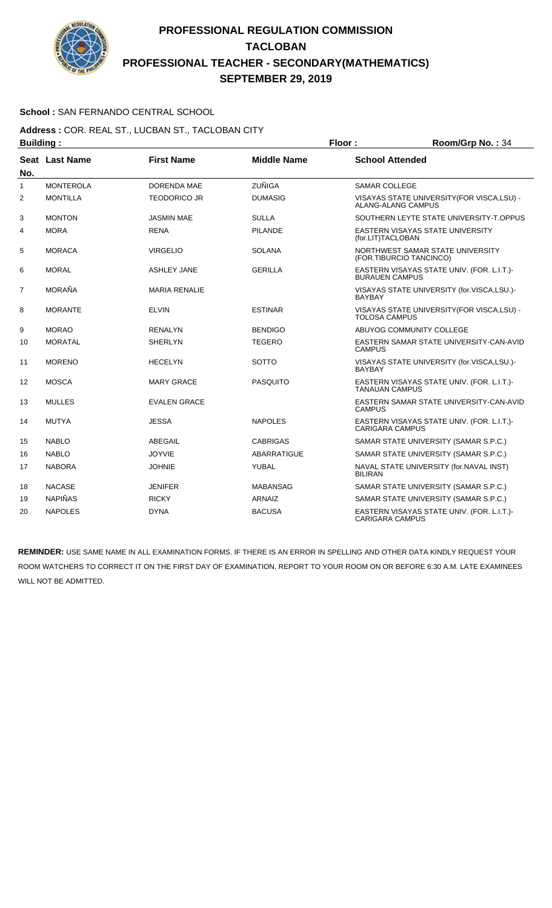

### **School :** SAN FERNANDO CENTRAL SCHOOL

#### **Address :** COR. REAL ST., LUCBAN ST., TACLOBAN CITY **Building : Floor : Floor : Room/Grp No. : 34**

| винишм г     |                  |                      |                    |                                                                          |
|--------------|------------------|----------------------|--------------------|--------------------------------------------------------------------------|
| No.          | Seat Last Name   | <b>First Name</b>    | <b>Middle Name</b> | <b>School Attended</b>                                                   |
| $\mathbf{1}$ | <b>MONTEROLA</b> | <b>DORENDA MAE</b>   | <b>ZUÑIGA</b>      | <b>SAMAR COLLEGE</b>                                                     |
| 2            | <b>MONTILLA</b>  | <b>TEODORICO JR</b>  | <b>DUMASIG</b>     | VISAYAS STATE UNIVERSITY (FOR VISCA, LSU) -<br><b>ALANG-ALANG CAMPUS</b> |
| 3            | <b>MONTON</b>    | <b>JASMIN MAE</b>    | <b>SULLA</b>       | SOUTHERN LEYTE STATE UNIVERSITY-T.OPPUS                                  |
| 4            | <b>MORA</b>      | <b>RENA</b>          | <b>PILANDE</b>     | EASTERN VISAYAS STATE UNIVERSITY<br>(for.LIT)TACLOBAN                    |
| 5            | <b>MORACA</b>    | <b>VIRGELIO</b>      | <b>SOLANA</b>      | NORTHWEST SAMAR STATE UNIVERSITY<br>(FOR.TIBURCIO TANCINCO)              |
| 6            | <b>MORAL</b>     | <b>ASHLEY JANE</b>   | <b>GERILLA</b>     | EASTERN VISAYAS STATE UNIV. (FOR. L.I.T.)-<br><b>BURAUEN CAMPUS</b>      |
| 7            | <b>MORAÑA</b>    | <b>MARIA RENALIE</b> |                    | VISAYAS STATE UNIVERSITY (for.VISCA,LSU.)-<br><b>BAYBAY</b>              |
| 8            | <b>MORANTE</b>   | <b>ELVIN</b>         | <b>ESTINAR</b>     | VISAYAS STATE UNIVERSITY(FOR VISCA,LSU) -<br><b>TOLOSA CAMPUS</b>        |
| 9            | <b>MORAO</b>     | <b>RENALYN</b>       | <b>BENDIGO</b>     | ABUYOG COMMUNITY COLLEGE                                                 |
| 10           | <b>MORATAL</b>   | <b>SHERLYN</b>       | <b>TEGERO</b>      | EASTERN SAMAR STATE UNIVERSITY-CAN-AVID<br><b>CAMPUS</b>                 |
| 11           | <b>MORENO</b>    | <b>HECELYN</b>       | <b>SOTTO</b>       | VISAYAS STATE UNIVERSITY (for.VISCA,LSU.)-<br><b>BAYBAY</b>              |
| 12           | <b>MOSCA</b>     | <b>MARY GRACE</b>    | <b>PASQUITO</b>    | EASTERN VISAYAS STATE UNIV. (FOR. L.I.T.)-<br><b>TANAUAN CAMPUS</b>      |
| 13           | <b>MULLES</b>    | <b>EVALEN GRACE</b>  |                    | EASTERN SAMAR STATE UNIVERSITY-CAN-AVID<br><b>CAMPUS</b>                 |
| 14           | <b>MUTYA</b>     | <b>JESSA</b>         | <b>NAPOLES</b>     | EASTERN VISAYAS STATE UNIV. (FOR. L.I.T.)-<br><b>CARIGARA CAMPUS</b>     |
| 15           | <b>NABLO</b>     | ABEGAIL              | <b>CABRIGAS</b>    | SAMAR STATE UNIVERSITY (SAMAR S.P.C.)                                    |
| 16           | <b>NABLO</b>     | <b>JOYVIE</b>        | <b>ABARRATIGUE</b> | SAMAR STATE UNIVERSITY (SAMAR S.P.C.)                                    |
| 17           | <b>NABORA</b>    | <b>JOHNIE</b>        | YUBAL              | NAVAL STATE UNIVERSITY (for.NAVAL INST)<br><b>BILIRAN</b>                |
| 18           | <b>NACASE</b>    | <b>JENIFER</b>       | <b>MABANSAG</b>    | SAMAR STATE UNIVERSITY (SAMAR S.P.C.)                                    |
| 19           | <b>NAPIÑAS</b>   | <b>RICKY</b>         | <b>ARNAIZ</b>      | SAMAR STATE UNIVERSITY (SAMAR S.P.C.)                                    |
| 20           | <b>NAPOLES</b>   | <b>DYNA</b>          | <b>BACUSA</b>      | EASTERN VISAYAS STATE UNIV. (FOR. L.I.T.)-<br><b>CARIGARA CAMPUS</b>     |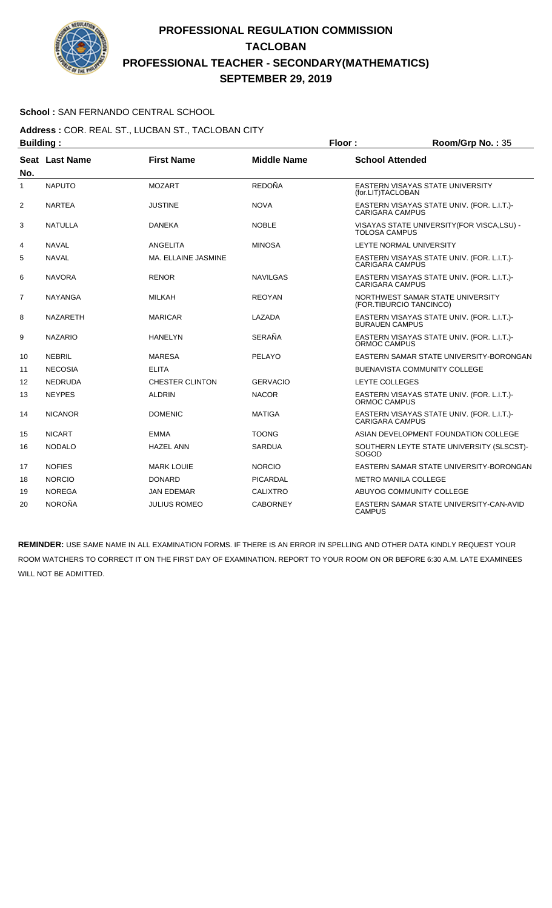

### **School :** SAN FERNANDO CENTRAL SCHOOL

**Address :** COR. REAL ST., LUCBAN ST., TACLOBAN CITY **Building : Floor : Room/Grp No. :** 35

| No.            | Seat Last Name  | <b>First Name</b>      | <b>Middle Name</b> | <b>School Attended</b>                                               |
|----------------|-----------------|------------------------|--------------------|----------------------------------------------------------------------|
| 1              | <b>NAPUTO</b>   | <b>MOZART</b>          | <b>REDOÑA</b>      | EASTERN VISAYAS STATE UNIVERSITY<br>(for.LIT)TACLOBAN                |
| $\overline{2}$ | <b>NARTEA</b>   | <b>JUSTINE</b>         | <b>NOVA</b>        | EASTERN VISAYAS STATE UNIV. (FOR. L.I.T.)-<br><b>CARIGARA CAMPUS</b> |
| 3              | <b>NATULLA</b>  | <b>DANEKA</b>          | <b>NOBLE</b>       | VISAYAS STATE UNIVERSITY(FOR VISCA,LSU) -<br><b>TOLOSA CAMPUS</b>    |
| 4              | <b>NAVAL</b>    | ANGELITA               | <b>MINOSA</b>      | LEYTE NORMAL UNIVERSITY                                              |
| 5              | <b>NAVAL</b>    | MA. ELLAINE JASMINE    |                    | EASTERN VISAYAS STATE UNIV. (FOR. L.I.T.)-<br><b>CARIGARA CAMPUS</b> |
| 6              | <b>NAVORA</b>   | <b>RENOR</b>           | <b>NAVILGAS</b>    | EASTERN VISAYAS STATE UNIV. (FOR. L.I.T.)-<br><b>CARIGARA CAMPUS</b> |
| $\overline{7}$ | <b>NAYANGA</b>  | <b>MILKAH</b>          | <b>REOYAN</b>      | NORTHWEST SAMAR STATE UNIVERSITY<br>(FOR.TIBURCIO TANCINCO)          |
| 8              | <b>NAZARETH</b> | <b>MARICAR</b>         | LAZADA             | EASTERN VISAYAS STATE UNIV. (FOR. L.I.T.)-<br><b>BURAUEN CAMPUS</b>  |
| 9              | <b>NAZARIO</b>  | <b>HANELYN</b>         | SERAÑA             | EASTERN VISAYAS STATE UNIV. (FOR. L.I.T.)-<br>ORMOC CAMPUS           |
| 10             | <b>NEBRIL</b>   | <b>MARESA</b>          | PELAYO             | EASTERN SAMAR STATE UNIVERSITY-BORONGAN                              |
| 11             | <b>NECOSIA</b>  | <b>ELITA</b>           |                    | <b>BUENAVISTA COMMUNITY COLLEGE</b>                                  |
| 12             | <b>NEDRUDA</b>  | <b>CHESTER CLINTON</b> | <b>GERVACIO</b>    | <b>LEYTE COLLEGES</b>                                                |
| 13             | <b>NEYPES</b>   | <b>ALDRIN</b>          | <b>NACOR</b>       | EASTERN VISAYAS STATE UNIV. (FOR. L.I.T.)-<br>ORMOC CAMPUS           |
| 14             | <b>NICANOR</b>  | <b>DOMENIC</b>         | <b>MATIGA</b>      | EASTERN VISAYAS STATE UNIV. (FOR. L.I.T.)-<br><b>CARIGARA CAMPUS</b> |
| 15             | <b>NICART</b>   | <b>EMMA</b>            | <b>TOONG</b>       | ASIAN DEVELOPMENT FOUNDATION COLLEGE                                 |
| 16             | <b>NODALO</b>   | <b>HAZEL ANN</b>       | <b>SARDUA</b>      | SOUTHERN LEYTE STATE UNIVERSITY (SLSCST)-<br>SOGOD                   |
| 17             | <b>NOFIES</b>   | <b>MARK LOUIE</b>      | <b>NORCIO</b>      | EASTERN SAMAR STATE UNIVERSITY-BORONGAN                              |
| 18             | <b>NORCIO</b>   | <b>DONARD</b>          | <b>PICARDAL</b>    | <b>METRO MANILA COLLEGE</b>                                          |
| 19             | <b>NOREGA</b>   | JAN EDEMAR             | <b>CALIXTRO</b>    | ABUYOG COMMUNITY COLLEGE                                             |
| 20             | <b>NOROÑA</b>   | <b>JULIUS ROMEO</b>    | <b>CABORNEY</b>    | EASTERN SAMAR STATE UNIVERSITY-CAN-AVID<br><b>CAMPUS</b>             |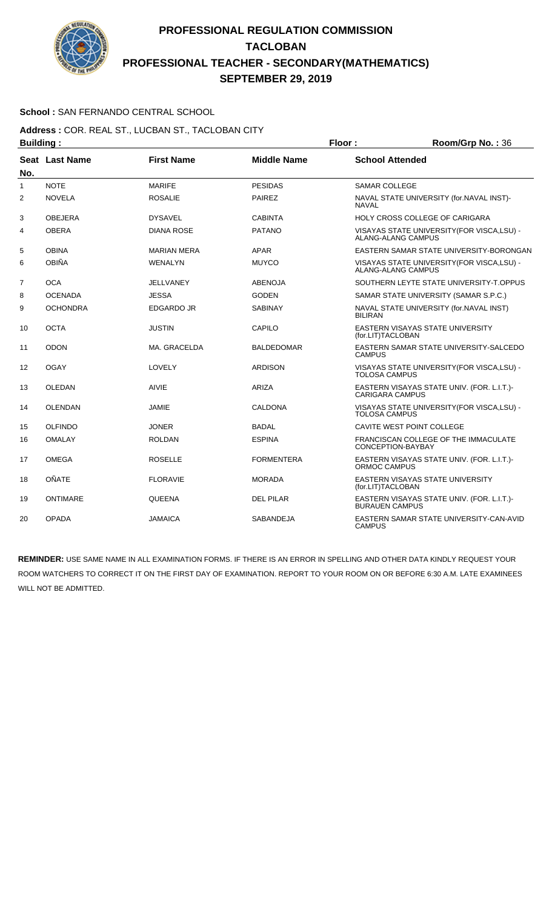

### **School :** SAN FERNANDO CENTRAL SCHOOL

#### **Address :** COR. REAL ST., LUCBAN ST., TACLOBAN CITY **Building : Floor : Room/Grp No. :** 36

|                | .               |                    |                    |                                                                      |
|----------------|-----------------|--------------------|--------------------|----------------------------------------------------------------------|
| No.            | Seat Last Name  | <b>First Name</b>  | <b>Middle Name</b> | <b>School Attended</b>                                               |
| 1              | <b>NOTE</b>     | <b>MARIFE</b>      | <b>PESIDAS</b>     | <b>SAMAR COLLEGE</b>                                                 |
| $\overline{2}$ | <b>NOVELA</b>   | <b>ROSALIE</b>     | <b>PAIREZ</b>      | NAVAL STATE UNIVERSITY (for.NAVAL INST)-<br><b>NAVAL</b>             |
| 3              | <b>OBEJERA</b>  | <b>DYSAVEL</b>     | <b>CABINTA</b>     | HOLY CROSS COLLEGE OF CARIGARA                                       |
| 4              | <b>OBERA</b>    | <b>DIANA ROSE</b>  | <b>PATANO</b>      | VISAYAS STATE UNIVERSITY (FOR VISCA, LSU) -<br>ALANG-ALANG CAMPUS    |
| 5              | <b>OBINA</b>    | <b>MARIAN MERA</b> | <b>APAR</b>        | EASTERN SAMAR STATE UNIVERSITY-BORONGAN                              |
| 6              | <b>OBIÑA</b>    | <b>WENALYN</b>     | <b>MUYCO</b>       | VISAYAS STATE UNIVERSITY(FOR VISCA,LSU) -<br>ALANG-ALANG CAMPUS      |
| $\overline{7}$ | <b>OCA</b>      | <b>JELLVANEY</b>   | <b>ABENOJA</b>     | SOUTHERN LEYTE STATE UNIVERSITY-T.OPPUS                              |
| 8              | <b>OCENADA</b>  | <b>JESSA</b>       | <b>GODEN</b>       | SAMAR STATE UNIVERSITY (SAMAR S.P.C.)                                |
| 9              | <b>OCHONDRA</b> | <b>EDGARDO JR</b>  | <b>SABINAY</b>     | NAVAL STATE UNIVERSITY (for.NAVAL INST)<br><b>BILIRAN</b>            |
| 10             | <b>OCTA</b>     | <b>JUSTIN</b>      | CAPILO             | EASTERN VISAYAS STATE UNIVERSITY<br>(for.LIT)TACLOBAN                |
| 11             | <b>ODON</b>     | MA. GRACELDA       | <b>BALDEDOMAR</b>  | EASTERN SAMAR STATE UNIVERSITY-SALCEDO<br><b>CAMPUS</b>              |
| 12             | <b>OGAY</b>     | LOVELY             | <b>ARDISON</b>     | VISAYAS STATE UNIVERSITY (FOR VISCA, LSU) -<br><b>TOLOSA CAMPUS</b>  |
| 13             | <b>OLEDAN</b>   | <b>AIVIE</b>       | ARIZA              | EASTERN VISAYAS STATE UNIV. (FOR. L.I.T.)-<br><b>CARIGARA CAMPUS</b> |
| 14             | OLENDAN         | JAMIE              | CALDONA            | VISAYAS STATE UNIVERSITY (FOR VISCA, LSU) -<br><b>TOLOSA CAMPUS</b>  |
| 15             | <b>OLFINDO</b>  | <b>JONER</b>       | <b>BADAL</b>       | CAVITE WEST POINT COLLEGE                                            |
| 16             | <b>OMALAY</b>   | <b>ROLDAN</b>      | <b>ESPINA</b>      | FRANCISCAN COLLEGE OF THE IMMACULATE<br>CONCEPTION-BAYBAY            |
| 17             | <b>OMEGA</b>    | <b>ROSELLE</b>     | <b>FORMENTERA</b>  | EASTERN VISAYAS STATE UNIV. (FOR. L.I.T.)-<br>ORMOC CAMPUS           |
| 18             | OÑATE           | <b>FLORAVIE</b>    | <b>MORADA</b>      | EASTERN VISAYAS STATE UNIVERSITY<br>(for.LIT)TACLOBAN                |
| 19             | <b>ONTIMARE</b> | <b>QUEENA</b>      | <b>DEL PILAR</b>   | EASTERN VISAYAS STATE UNIV. (FOR. L.I.T.)-<br><b>BURAUEN CAMPUS</b>  |
| 20             | <b>OPADA</b>    | <b>JAMAICA</b>     | SABANDEJA          | EASTERN SAMAR STATE UNIVERSITY-CAN-AVID<br><b>CAMPUS</b>             |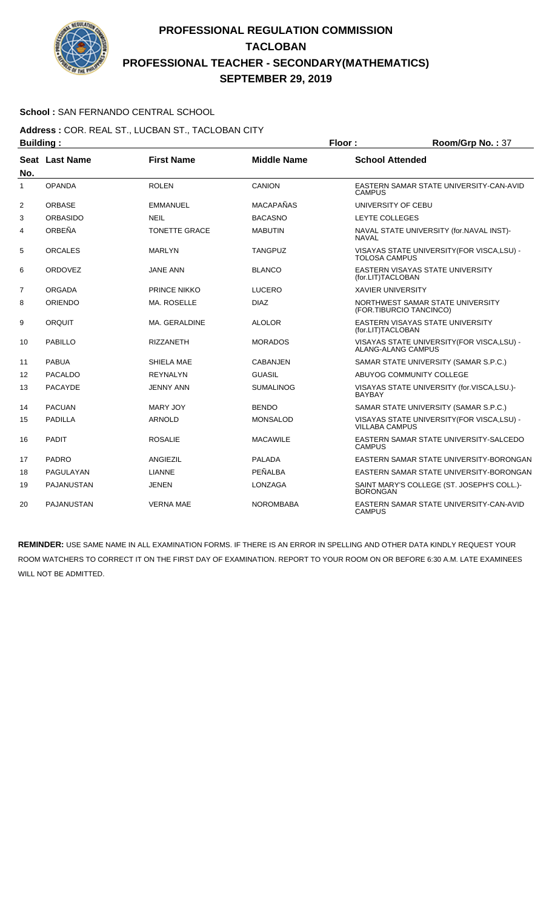

### **School :** SAN FERNANDO CENTRAL SCHOOL

#### **Address :** COR. REAL ST., LUCBAN ST., TACLOBAN CITY **Building : Floor : Floor : Room/Grp No. : 37**

| No. | Seat Last Name    | <b>First Name</b>    | <b>Middle Name</b> | <b>School Attended</b>                                               |  |
|-----|-------------------|----------------------|--------------------|----------------------------------------------------------------------|--|
| 1   | <b>OPANDA</b>     | <b>ROLEN</b>         | CANION             | EASTERN SAMAR STATE UNIVERSITY-CAN-AVID<br><b>CAMPUS</b>             |  |
| 2   | <b>ORBASE</b>     | <b>EMMANUEL</b>      | <b>MACAPAÑAS</b>   | UNIVERSITY OF CEBU                                                   |  |
| 3   | <b>ORBASIDO</b>   | <b>NEIL</b>          | <b>BACASNO</b>     | LEYTE COLLEGES                                                       |  |
| 4   | ORBEÑA            | <b>TONETTE GRACE</b> | <b>MABUTIN</b>     | NAVAL STATE UNIVERSITY (for.NAVAL INST)-<br><b>NAVAL</b>             |  |
| 5   | <b>ORCALES</b>    | <b>MARLYN</b>        | TANGPUZ            | VISAYAS STATE UNIVERSITY (FOR VISCA, LSU) -<br><b>TOLOSA CAMPUS</b>  |  |
| 6   | <b>ORDOVEZ</b>    | <b>JANE ANN</b>      | <b>BLANCO</b>      | <b>EASTERN VISAYAS STATE UNIVERSITY</b><br>(for.LIT)TACLOBAN         |  |
| 7   | ORGADA            | <b>PRINCE NIKKO</b>  | <b>LUCERO</b>      | <b>XAVIER UNIVERSITY</b>                                             |  |
| 8   | ORIENDO           | <b>MA. ROSELLE</b>   | <b>DIAZ</b>        | NORTHWEST SAMAR STATE UNIVERSITY<br>(FOR.TIBURCIO TANCINCO)          |  |
| 9   | ORQUIT            | MA. GERALDINE        | <b>ALOLOR</b>      | EASTERN VISAYAS STATE UNIVERSITY<br>(for.LIT)TACLOBAN                |  |
| 10  | <b>PABILLO</b>    | <b>RIZZANETH</b>     | <b>MORADOS</b>     | VISAYAS STATE UNIVERSITY (FOR VISCA, LSU) -<br>ALANG-ALANG CAMPUS    |  |
| 11  | <b>PABUA</b>      | SHIELA MAE           | CABANJEN           | SAMAR STATE UNIVERSITY (SAMAR S.P.C.)                                |  |
| 12  | <b>PACALDO</b>    | <b>REYNALYN</b>      | <b>GUASIL</b>      | ABUYOG COMMUNITY COLLEGE                                             |  |
| 13  | <b>PACAYDE</b>    | <b>JENNY ANN</b>     | <b>SUMALINOG</b>   | VISAYAS STATE UNIVERSITY (for.VISCA,LSU.)-<br><b>BAYBAY</b>          |  |
| 14  | <b>PACUAN</b>     | <b>MARY JOY</b>      | <b>BENDO</b>       | SAMAR STATE UNIVERSITY (SAMAR S.P.C.)                                |  |
| 15  | <b>PADILLA</b>    | <b>ARNOLD</b>        | <b>MONSALOD</b>    | VISAYAS STATE UNIVERSITY (FOR VISCA, LSU) -<br><b>VILLABA CAMPUS</b> |  |
| 16  | <b>PADIT</b>      | <b>ROSALIE</b>       | <b>MACAWILE</b>    | EASTERN SAMAR STATE UNIVERSITY-SALCEDO<br><b>CAMPUS</b>              |  |
| 17  | <b>PADRO</b>      | ANGIEZIL             | <b>PALADA</b>      | EASTERN SAMAR STATE UNIVERSITY-BORONGAN                              |  |
| 18  | PAGULAYAN         | <b>LIANNE</b>        | PEÑALBA            | EASTERN SAMAR STATE UNIVERSITY-BORONGAN                              |  |
| 19  | PAJANUSTAN        | JENEN                | <b>LONZAGA</b>     | SAINT MARY'S COLLEGE (ST. JOSEPH'S COLL.)-<br><b>BORONGAN</b>        |  |
| 20  | <b>PAJANUSTAN</b> | <b>VERNA MAE</b>     | <b>NOROMBABA</b>   | EASTERN SAMAR STATE UNIVERSITY-CAN-AVID<br><b>CAMPUS</b>             |  |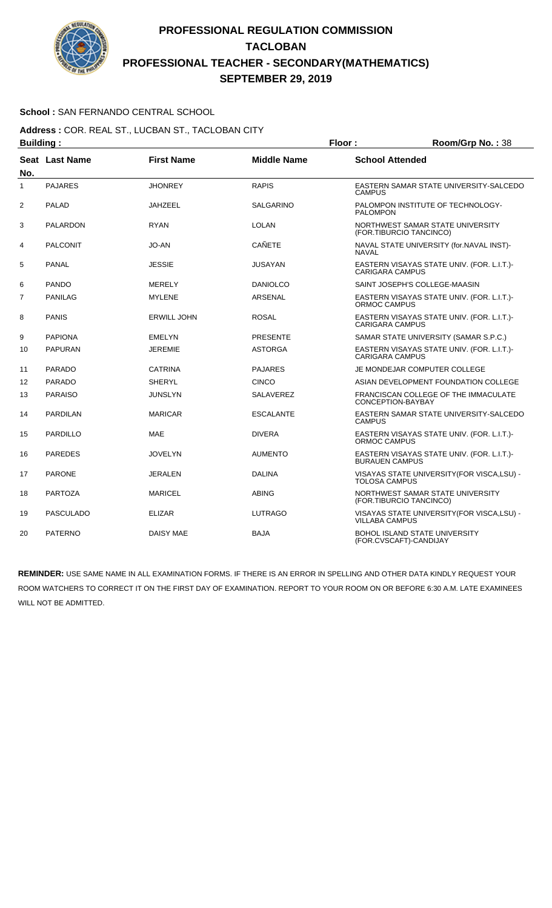

### **School :** SAN FERNANDO CENTRAL SCHOOL

**Address :** COR. REAL ST., LUCBAN ST., TACLOBAN CITY **Building : Floor : Room/Grp No. :** 38

|                   | -------- <u>-</u> - |                    |                    |                                                                      |
|-------------------|---------------------|--------------------|--------------------|----------------------------------------------------------------------|
| No.               | Seat Last Name      | <b>First Name</b>  | <b>Middle Name</b> | <b>School Attended</b>                                               |
| 1                 | <b>PAJARES</b>      | <b>JHONREY</b>     | <b>RAPIS</b>       | EASTERN SAMAR STATE UNIVERSITY-SALCEDO<br><b>CAMPUS</b>              |
| $\overline{2}$    | <b>PALAD</b>        | <b>JAHZEEL</b>     | <b>SALGARINO</b>   | PALOMPON INSTITUTE OF TECHNOLOGY-<br><b>PALOMPON</b>                 |
| 3                 | <b>PALARDON</b>     | <b>RYAN</b>        | LOLAN              | NORTHWEST SAMAR STATE UNIVERSITY<br>(FOR.TIBURCIO TANCINCO)          |
| 4                 | <b>PALCONIT</b>     | <b>JO-AN</b>       | <b>CAÑETE</b>      | NAVAL STATE UNIVERSITY (for.NAVAL INST)-<br><b>NAVAL</b>             |
| 5                 | <b>PANAL</b>        | <b>JESSIE</b>      | <b>JUSAYAN</b>     | EASTERN VISAYAS STATE UNIV. (FOR. L.I.T.)-<br><b>CARIGARA CAMPUS</b> |
| 6                 | <b>PANDO</b>        | <b>MERELY</b>      | <b>DANIOLCO</b>    | SAINT JOSEPH'S COLLEGE-MAASIN                                        |
| $\overline{7}$    | <b>PANILAG</b>      | <b>MYLENE</b>      | <b>ARSENAL</b>     | EASTERN VISAYAS STATE UNIV. (FOR. L.I.T.)-<br>ORMOC CAMPUS           |
| 8                 | <b>PANIS</b>        | <b>ERWILL JOHN</b> | <b>ROSAL</b>       | EASTERN VISAYAS STATE UNIV. (FOR. L.I.T.)-<br><b>CARIGARA CAMPUS</b> |
| 9                 | <b>PAPIONA</b>      | <b>EMELYN</b>      | <b>PRESENTE</b>    | SAMAR STATE UNIVERSITY (SAMAR S.P.C.)                                |
| 10                | <b>PAPURAN</b>      | <b>JEREMIE</b>     | <b>ASTORGA</b>     | EASTERN VISAYAS STATE UNIV. (FOR. L.I.T.)-<br><b>CARIGARA CAMPUS</b> |
| 11                | <b>PARADO</b>       | <b>CATRINA</b>     | <b>PAJARES</b>     | JE MONDEJAR COMPUTER COLLEGE                                         |
| $12 \overline{ }$ | <b>PARADO</b>       | <b>SHERYL</b>      | <b>CINCO</b>       | ASIAN DEVELOPMENT FOUNDATION COLLEGE                                 |
| 13                | <b>PARAISO</b>      | <b>JUNSLYN</b>     | <b>SALAVEREZ</b>   | FRANCISCAN COLLEGE OF THE IMMACULATE<br>CONCEPTION-BAYBAY            |
| 14                | <b>PARDILAN</b>     | <b>MARICAR</b>     | <b>ESCALANTE</b>   | EASTERN SAMAR STATE UNIVERSITY-SALCEDO<br><b>CAMPUS</b>              |
| 15                | PARDILLO            | <b>MAE</b>         | <b>DIVERA</b>      | EASTERN VISAYAS STATE UNIV. (FOR. L.I.T.)-<br>ORMOC CAMPUS           |
| 16                | <b>PAREDES</b>      | <b>JOVELYN</b>     | <b>AUMENTO</b>     | EASTERN VISAYAS STATE UNIV. (FOR. L.I.T.)-<br><b>BURAUEN CAMPUS</b>  |
| 17                | <b>PARONE</b>       | <b>JERALEN</b>     | <b>DALINA</b>      | VISAYAS STATE UNIVERSITY (FOR VISCA, LSU) -<br><b>TOLOSA CAMPUS</b>  |
| 18                | <b>PARTOZA</b>      | <b>MARICEL</b>     | <b>ABING</b>       | NORTHWEST SAMAR STATE UNIVERSITY<br>(FOR.TIBURCIO TANCINCO)          |
| 19                | <b>PASCULADO</b>    | <b>ELIZAR</b>      | <b>LUTRAGO</b>     | VISAYAS STATE UNIVERSITY (FOR VISCA, LSU) -<br><b>VILLABA CAMPUS</b> |
| 20                | <b>PATERNO</b>      | <b>DAISY MAE</b>   | <b>BAJA</b>        | BOHOL ISLAND STATE UNIVERSITY<br>(FOR.CVSCAFT)-CANDIJAY              |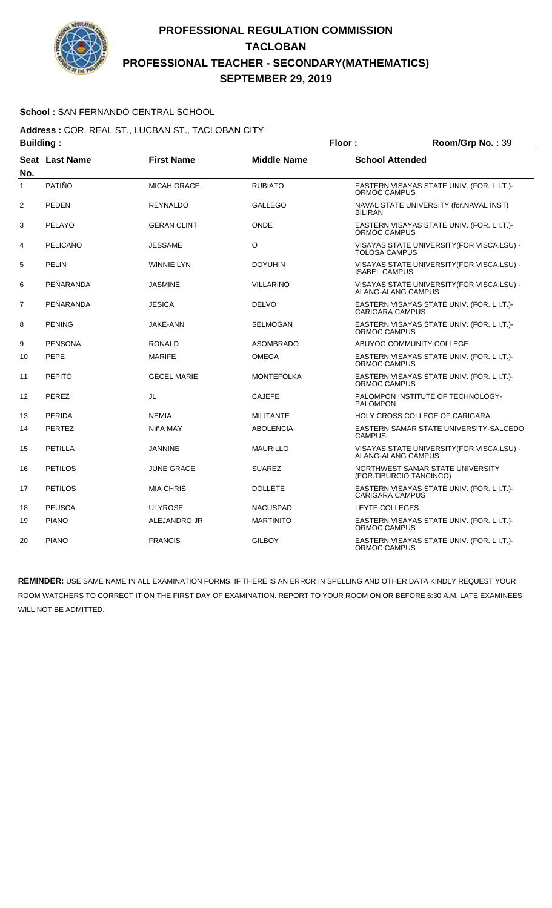

### **School :** SAN FERNANDO CENTRAL SCHOOL

**Address :** COR. REAL ST., LUCBAN ST., TACLOBAN CITY **Building : Floor : Room/Grp No. : 39** 

| No.            | <b>Seat Last Name</b> | <b>First Name</b>  | <b>Middle Name</b> | <b>School Attended</b>                                               |
|----------------|-----------------------|--------------------|--------------------|----------------------------------------------------------------------|
| 1              | PATIÑO                | <b>MICAH GRACE</b> | <b>RUBIATO</b>     | EASTERN VISAYAS STATE UNIV. (FOR. L.I.T.)-<br>ORMOC CAMPUS           |
| $\overline{2}$ | <b>PEDEN</b>          | <b>REYNALDO</b>    | GALLEGO            | NAVAL STATE UNIVERSITY (for. NAVAL INST)<br><b>BILIRAN</b>           |
| 3              | PELAYO                | <b>GERAN CLINT</b> | <b>ONDE</b>        | EASTERN VISAYAS STATE UNIV. (FOR. L.I.T.)-<br>ORMOC CAMPUS           |
| 4              | <b>PELICANO</b>       | <b>JESSAME</b>     | O                  | VISAYAS STATE UNIVERSITY (FOR VISCA, LSU) -<br><b>TOLOSA CAMPUS</b>  |
| 5              | <b>PELIN</b>          | <b>WINNIE LYN</b>  | <b>DOYUHIN</b>     | VISAYAS STATE UNIVERSITY (FOR VISCA, LSU) -<br><b>ISABEL CAMPUS</b>  |
| 6              | PEÑARANDA             | <b>JASMINE</b>     | <b>VILLARINO</b>   | VISAYAS STATE UNIVERSITY (FOR VISCA, LSU) -<br>ALANG-ALANG CAMPUS    |
| $\overline{7}$ | PEÑARANDA             | <b>JESICA</b>      | <b>DELVO</b>       | EASTERN VISAYAS STATE UNIV. (FOR. L.I.T.)-<br><b>CARIGARA CAMPUS</b> |
| 8              | <b>PENING</b>         | <b>JAKE-ANN</b>    | SELMOGAN           | EASTERN VISAYAS STATE UNIV. (FOR. L.I.T.)-<br>ORMOC CAMPUS           |
| 9              | <b>PENSONA</b>        | <b>RONALD</b>      | <b>ASOMBRADO</b>   | ABUYOG COMMUNITY COLLEGE                                             |
| 10             | <b>PEPE</b>           | <b>MARIFE</b>      | OMEGA              | EASTERN VISAYAS STATE UNIV. (FOR. L.I.T.)-<br>ORMOC CAMPUS           |
| 11             | <b>PEPITO</b>         | <b>GECEL MARIE</b> | <b>MONTEFOLKA</b>  | EASTERN VISAYAS STATE UNIV. (FOR. L.I.T.)-<br>ORMOC CAMPUS           |
| 12             | <b>PEREZ</b>          | JL                 | <b>CAJEFE</b>      | PALOMPON INSTITUTE OF TECHNOLOGY-<br><b>PALOMPON</b>                 |
| 13             | <b>PERIDA</b>         | <b>NEMIA</b>       | <b>MILITANTE</b>   | HOLY CROSS COLLEGE OF CARIGARA                                       |
| 14             | <b>PERTEZ</b>         | NIñA MAY           | <b>ABOLENCIA</b>   | EASTERN SAMAR STATE UNIVERSITY-SALCEDO<br><b>CAMPUS</b>              |
| 15             | PETILLA               | <b>JANNINE</b>     | <b>MAURILLO</b>    | VISAYAS STATE UNIVERSITY (FOR VISCA, LSU) -<br>ALANG-ALANG CAMPUS    |
| 16             | <b>PETILOS</b>        | <b>JUNE GRACE</b>  | <b>SUAREZ</b>      | NORTHWEST SAMAR STATE UNIVERSITY<br>(FOR.TIBURCIO TANCINCO)          |
| 17             | <b>PETILOS</b>        | <b>MIA CHRIS</b>   | <b>DOLLETE</b>     | EASTERN VISAYAS STATE UNIV. (FOR. L.I.T.)-<br><b>CARIGARA CAMPUS</b> |
| 18             | <b>PEUSCA</b>         | <b>ULYROSE</b>     | <b>NACUSPAD</b>    | LEYTE COLLEGES                                                       |
| 19             | <b>PIANO</b>          | ALEJANDRO JR       | <b>MARTINITO</b>   | EASTERN VISAYAS STATE UNIV. (FOR. L.I.T.)-<br>ORMOC CAMPUS           |
| 20             | <b>PIANO</b>          | <b>FRANCIS</b>     | <b>GILBOY</b>      | EASTERN VISAYAS STATE UNIV. (FOR. L.I.T.)-<br>ORMOC CAMPUS           |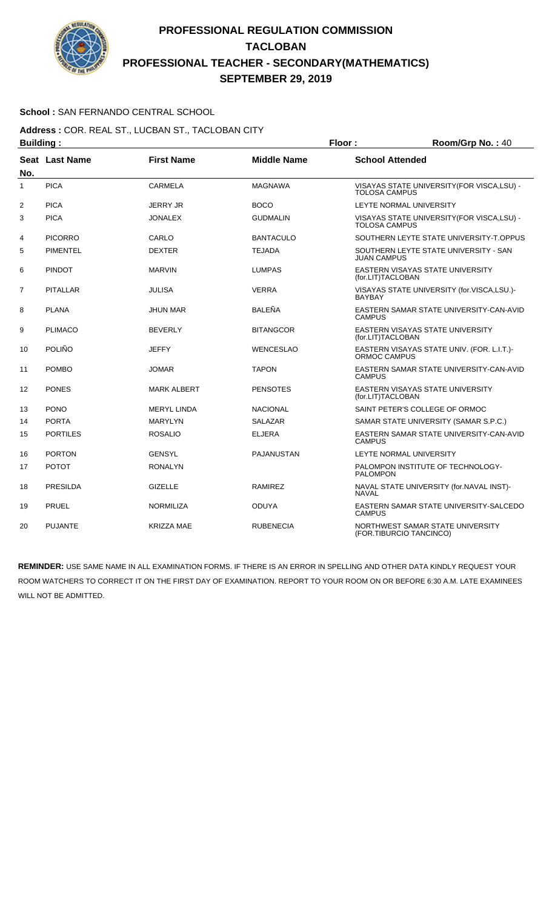

### **School :** SAN FERNANDO CENTRAL SCHOOL

**Address :** COR. REAL ST., LUCBAN ST., TACLOBAN CITY **Building : Floor : Floor : Room/Grp No. :** 40

| No.            | Seat Last Name  | <b>First Name</b>  | <b>Middle Name</b> | <b>School Attended</b>                                              |
|----------------|-----------------|--------------------|--------------------|---------------------------------------------------------------------|
| 1              | <b>PICA</b>     | CARMELA            | <b>MAGNAWA</b>     | VISAYAS STATE UNIVERSITY (FOR VISCA, LSU) -<br><b>TOLOSA CAMPUS</b> |
| 2              | <b>PICA</b>     | <b>JERRY JR</b>    | <b>BOCO</b>        | LEYTE NORMAL UNIVERSITY                                             |
| 3              | <b>PICA</b>     | <b>JONALEX</b>     | <b>GUDMALIN</b>    | VISAYAS STATE UNIVERSITY (FOR VISCA, LSU) -<br><b>TOLOSA CAMPUS</b> |
| 4              | <b>PICORRO</b>  | CARLO              | <b>BANTACULO</b>   | SOUTHERN LEYTE STATE UNIVERSITY-T.OPPUS                             |
| 5              | <b>PIMENTEL</b> | <b>DEXTER</b>      | <b>TEJADA</b>      | SOUTHERN LEYTE STATE UNIVERSITY - SAN<br><b>JUAN CAMPUS</b>         |
| 6              | <b>PINDOT</b>   | <b>MARVIN</b>      | <b>LUMPAS</b>      | EASTERN VISAYAS STATE UNIVERSITY<br>(for.LIT)TACLOBAN               |
| $\overline{7}$ | <b>PITALLAR</b> | <b>JULISA</b>      | <b>VERRA</b>       | VISAYAS STATE UNIVERSITY (for.VISCA,LSU.)-<br><b>BAYBAY</b>         |
| 8              | <b>PLANA</b>    | <b>JHUN MAR</b>    | <b>BALEÑA</b>      | EASTERN SAMAR STATE UNIVERSITY-CAN-AVID<br><b>CAMPUS</b>            |
| 9              | <b>PLIMACO</b>  | <b>BEVERLY</b>     | <b>BITANGCOR</b>   | EASTERN VISAYAS STATE UNIVERSITY<br>(for.LIT)TACLOBAN               |
| 10             | POLIÑO          | <b>JEFFY</b>       | <b>WENCESLAO</b>   | EASTERN VISAYAS STATE UNIV. (FOR. L.I.T.)-<br>ORMOC CAMPUS          |
| 11             | <b>POMBO</b>    | <b>JOMAR</b>       | <b>TAPON</b>       | EASTERN SAMAR STATE UNIVERSITY-CAN-AVID<br><b>CAMPUS</b>            |
| 12             | <b>PONES</b>    | <b>MARK ALBERT</b> | <b>PENSOTES</b>    | EASTERN VISAYAS STATE UNIVERSITY<br>(for.LIT)TACLOBAN               |
| 13             | <b>PONO</b>     | <b>MERYL LINDA</b> | <b>NACIONAL</b>    | SAINT PETER'S COLLEGE OF ORMOC                                      |
| 14             | <b>PORTA</b>    | <b>MARYLYN</b>     | <b>SALAZAR</b>     | SAMAR STATE UNIVERSITY (SAMAR S.P.C.)                               |
| 15             | <b>PORTILES</b> | <b>ROSALIO</b>     | <b>ELJERA</b>      | EASTERN SAMAR STATE UNIVERSITY-CAN-AVID<br><b>CAMPUS</b>            |
| 16             | <b>PORTON</b>   | <b>GENSYL</b>      | <b>PAJANUSTAN</b>  | LEYTE NORMAL UNIVERSITY                                             |
| 17             | <b>POTOT</b>    | <b>RONALYN</b>     |                    | PALOMPON INSTITUTE OF TECHNOLOGY-<br><b>PALOMPON</b>                |
| 18             | PRESILDA        | <b>GIZELLE</b>     | <b>RAMIREZ</b>     | NAVAL STATE UNIVERSITY (for.NAVAL INST)-<br><b>NAVAL</b>            |
| 19             | <b>PRUEL</b>    | <b>NORMILIZA</b>   | <b>ODUYA</b>       | EASTERN SAMAR STATE UNIVERSITY-SALCEDO<br><b>CAMPUS</b>             |
| 20             | <b>PUJANTE</b>  | <b>KRIZZA MAE</b>  | <b>RUBENECIA</b>   | NORTHWEST SAMAR STATE UNIVERSITY<br>(FOR.TIBURCIO TANCINCO)         |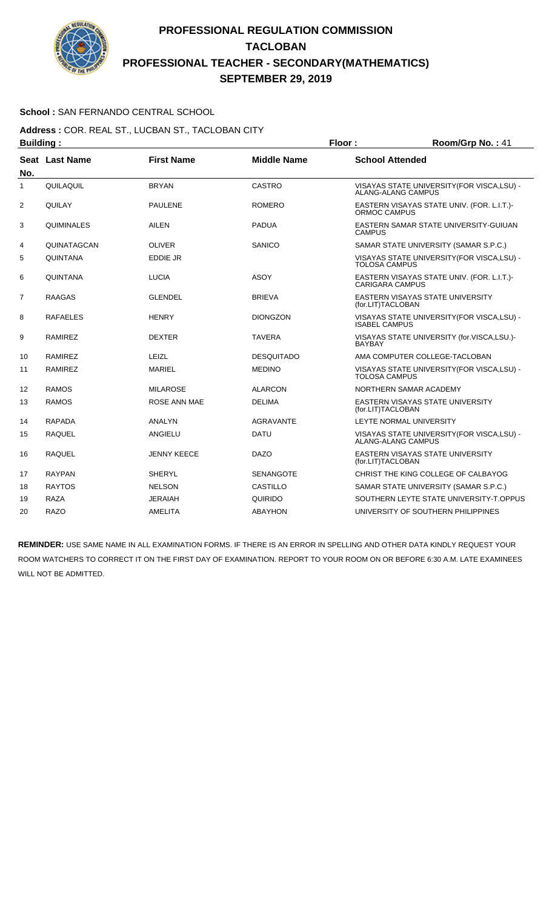

### **School :** SAN FERNANDO CENTRAL SCHOOL

**Address :** COR. REAL ST., LUCBAN ST., TACLOBAN CITY **Building : Floor : Room/Grp No. : 41** 

| No. | Seat Last Name  | <b>First Name</b>  | <b>Middle Name</b> | <b>School Attended</b>                                                   |
|-----|-----------------|--------------------|--------------------|--------------------------------------------------------------------------|
| 1   | QUILAQUIL       | <b>BRYAN</b>       | CASTRO             | VISAYAS STATE UNIVERSITY(FOR VISCA,LSU) -<br><b>ALANG-ALANG CAMPUS</b>   |
| 2   | QUILAY          | <b>PAULENE</b>     | <b>ROMERO</b>      | EASTERN VISAYAS STATE UNIV. (FOR. L.I.T.)-<br>ORMOC CAMPUS               |
| 3   | QUIMINALES      | AILEN              | <b>PADUA</b>       | EASTERN SAMAR STATE UNIVERSITY-GUIUAN<br><b>CAMPUS</b>                   |
| 4   | QUINATAGCAN     | <b>OLIVER</b>      | <b>SANICO</b>      | SAMAR STATE UNIVERSITY (SAMAR S.P.C.)                                    |
| 5   | <b>QUINTANA</b> | EDDIE JR           |                    | VISAYAS STATE UNIVERSITY (FOR VISCA, LSU) -<br><b>TOLOSA CAMPUS</b>      |
| 6   | <b>QUINTANA</b> | <b>LUCIA</b>       | <b>ASOY</b>        | EASTERN VISAYAS STATE UNIV. (FOR. L.I.T.)-<br><b>CARIGARA CAMPUS</b>     |
| 7   | <b>RAAGAS</b>   | <b>GLENDEL</b>     | <b>BRIEVA</b>      | EASTERN VISAYAS STATE UNIVERSITY<br>(for.LIT)TACLOBAN                    |
| 8   | <b>RAFAELES</b> | <b>HENRY</b>       | <b>DIONGZON</b>    | VISAYAS STATE UNIVERSITY(FOR VISCA,LSU) -<br><b>ISABEL CAMPUS</b>        |
| 9   | RAMIREZ         | <b>DEXTER</b>      | <b>TAVERA</b>      | VISAYAS STATE UNIVERSITY (for.VISCA,LSU.)-<br><b>BAYBAY</b>              |
| 10  | <b>RAMIREZ</b>  | LEIZL              | <b>DESQUITADO</b>  | AMA COMPUTER COLLEGE-TACLOBAN                                            |
| 11  | <b>RAMIREZ</b>  | <b>MARIEL</b>      | <b>MEDINO</b>      | VISAYAS STATE UNIVERSITY (FOR VISCA, LSU) -<br><b>TOLOSA CAMPUS</b>      |
| 12  | <b>RAMOS</b>    | <b>MILAROSE</b>    | <b>ALARCON</b>     | NORTHERN SAMAR ACADEMY                                                   |
| 13  | <b>RAMOS</b>    | ROSE ANN MAE       | <b>DELIMA</b>      | EASTERN VISAYAS STATE UNIVERSITY<br>(for.LIT)TACLOBAN                    |
| 14  | <b>RAPADA</b>   | <b>ANALYN</b>      | <b>AGRAVANTE</b>   | LEYTE NORMAL UNIVERSITY                                                  |
| 15  | <b>RAQUEL</b>   | ANGIELU            | <b>DATU</b>        | VISAYAS STATE UNIVERSITY (FOR VISCA, LSU) -<br><b>ALANG-ALANG CAMPUS</b> |
| 16  | <b>RAQUEL</b>   | <b>JENNY KEECE</b> | <b>DAZO</b>        | <b>EASTERN VISAYAS STATE UNIVERSITY</b><br>(for.LIT)TACLOBAN             |
| 17  | <b>RAYPAN</b>   | <b>SHERYL</b>      | <b>SENANGOTE</b>   | CHRIST THE KING COLLEGE OF CALBAYOG                                      |
| 18  | <b>RAYTOS</b>   | <b>NELSON</b>      | <b>CASTILLO</b>    | SAMAR STATE UNIVERSITY (SAMAR S.P.C.)                                    |
| 19  | <b>RAZA</b>     | JERAIAH            | QUIRIDO            | SOUTHERN LEYTE STATE UNIVERSITY-T.OPPUS                                  |
| 20  | <b>RAZO</b>     | AMELITA            | <b>ABAYHON</b>     | UNIVERSITY OF SOUTHERN PHILIPPINES                                       |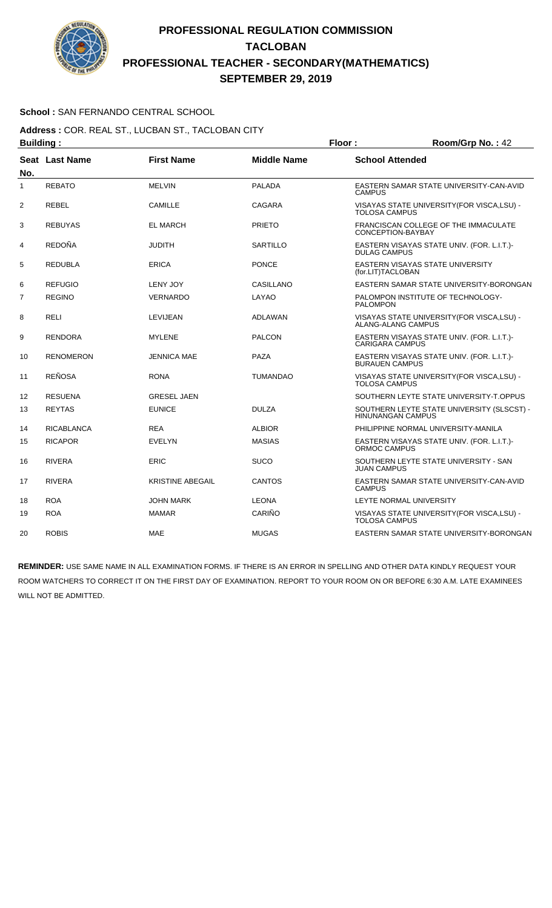

### **School :** SAN FERNANDO CENTRAL SCHOOL

**Address :** COR. REAL ST., LUCBAN ST., TACLOBAN CITY **Building : Floor : Floor : Room/Grp No. : 42** 

| -------- <u>-</u> |                       |                         |                    |                                                                          |
|-------------------|-----------------------|-------------------------|--------------------|--------------------------------------------------------------------------|
| No.               | <b>Seat Last Name</b> | <b>First Name</b>       | <b>Middle Name</b> | <b>School Attended</b>                                                   |
| 1                 | <b>REBATO</b>         | <b>MELVIN</b>           | PALADA             | EASTERN SAMAR STATE UNIVERSITY-CAN-AVID<br><b>CAMPUS</b>                 |
| 2                 | <b>REBEL</b>          | <b>CAMILLE</b>          | CAGARA             | VISAYAS STATE UNIVERSITY (FOR VISCA, LSU) -<br><b>TOLOSA CAMPUS</b>      |
| 3                 | <b>REBUYAS</b>        | <b>EL MARCH</b>         | <b>PRIETO</b>      | FRANCISCAN COLLEGE OF THE IMMACULATE<br>CONCEPTION-BAYBAY                |
| 4                 | <b>REDOÑA</b>         | <b>JUDITH</b>           | SARTILLO           | EASTERN VISAYAS STATE UNIV. (FOR. L.I.T.)-<br><b>DULAG CAMPUS</b>        |
| 5                 | <b>REDUBLA</b>        | <b>ERICA</b>            | <b>PONCE</b>       | EASTERN VISAYAS STATE UNIVERSITY<br>(for.LIT)TACLOBAN                    |
| 6                 | <b>REFUGIO</b>        | <b>LENY JOY</b>         | CASILLANO          | EASTERN SAMAR STATE UNIVERSITY-BORONGAN                                  |
| $\overline{7}$    | <b>REGINO</b>         | <b>VERNARDO</b>         | LAYAO              | PALOMPON INSTITUTE OF TECHNOLOGY-<br><b>PALOMPON</b>                     |
| 8                 | <b>RELI</b>           | LEVIJEAN                | <b>ADLAWAN</b>     | VISAYAS STATE UNIVERSITY (FOR VISCA, LSU) -<br><b>ALANG-ALANG CAMPUS</b> |
| 9                 | <b>RENDORA</b>        | <b>MYLENE</b>           | <b>PALCON</b>      | EASTERN VISAYAS STATE UNIV. (FOR. L.I.T.)-<br><b>CARIGARA CAMPUS</b>     |
| 10                | <b>RENOMERON</b>      | <b>JENNICA MAE</b>      | PAZA               | EASTERN VISAYAS STATE UNIV. (FOR. L.I.T.)-<br><b>BURAUEN CAMPUS</b>      |
| 11                | <b>REÑOSA</b>         | <b>RONA</b>             | <b>TUMANDAO</b>    | VISAYAS STATE UNIVERSITY (FOR VISCA, LSU) -<br><b>TOLOSA CAMPUS</b>      |
| 12                | <b>RESUENA</b>        | <b>GRESEL JAEN</b>      |                    | SOUTHERN LEYTE STATE UNIVERSITY-T.OPPUS                                  |
| 13                | <b>REYTAS</b>         | <b>EUNICE</b>           | <b>DULZA</b>       | SOUTHERN LEYTE STATE UNIVERSITY (SLSCST) -<br><b>HINUNANGAN CAMPUS</b>   |
| 14                | <b>RICABLANCA</b>     | <b>REA</b>              | <b>ALBIOR</b>      | PHILIPPINE NORMAL UNIVERSITY-MANILA                                      |
| 15                | <b>RICAPOR</b>        | <b>EVELYN</b>           | <b>MASIAS</b>      | EASTERN VISAYAS STATE UNIV. (FOR. L.I.T.)-<br>ORMOC CAMPUS               |
| 16                | <b>RIVERA</b>         | ERIC                    | <b>SUCO</b>        | SOUTHERN LEYTE STATE UNIVERSITY - SAN<br><b>JUAN CAMPUS</b>              |
| 17                | <b>RIVERA</b>         | <b>KRISTINE ABEGAIL</b> | <b>CANTOS</b>      | EASTERN SAMAR STATE UNIVERSITY-CAN-AVID<br><b>CAMPUS</b>                 |
| 18                | <b>ROA</b>            | <b>JOHN MARK</b>        | <b>LEONA</b>       | LEYTE NORMAL UNIVERSITY                                                  |
| 19                | <b>ROA</b>            | <b>MAMAR</b>            | CARIÑO             | VISAYAS STATE UNIVERSITY(FOR VISCA,LSU) -<br><b>TOLOSA CAMPUS</b>        |
| 20                | <b>ROBIS</b>          | <b>MAE</b>              | <b>MUGAS</b>       | EASTERN SAMAR STATE UNIVERSITY-BORONGAN                                  |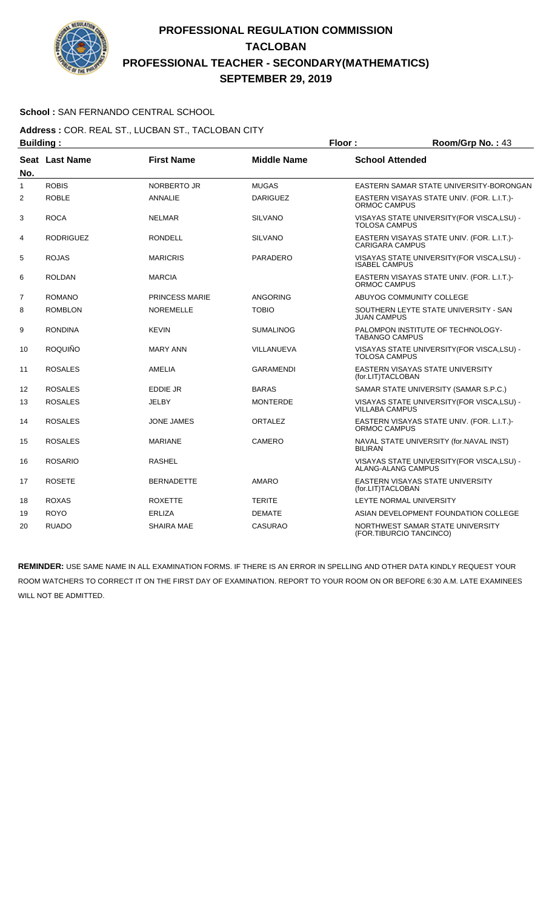

### **School :** SAN FERNANDO CENTRAL SCHOOL

**Address :** COR. REAL ST., LUCBAN ST., TACLOBAN CITY **Building : Floor : Room/Grp No. : 43** 

| No. | Seat Last Name   | <b>First Name</b>     | <b>Middle Name</b> | <b>School Attended</b>                                               |
|-----|------------------|-----------------------|--------------------|----------------------------------------------------------------------|
| 1   | <b>ROBIS</b>     | <b>NORBERTO JR</b>    | <b>MUGAS</b>       | EASTERN SAMAR STATE UNIVERSITY-BORONGAN                              |
| 2   | <b>ROBLE</b>     | <b>ANNALIE</b>        | <b>DARIGUEZ</b>    | EASTERN VISAYAS STATE UNIV. (FOR. L.I.T.)-<br>ORMOC CAMPUS           |
| 3   | <b>ROCA</b>      | <b>NELMAR</b>         | <b>SILVANO</b>     | VISAYAS STATE UNIVERSITY (FOR VISCA, LSU) -<br><b>TOLOSA CAMPUS</b>  |
| 4   | <b>RODRIGUEZ</b> | RONDELL               | <b>SILVANO</b>     | EASTERN VISAYAS STATE UNIV. (FOR. L.I.T.)-<br><b>CARIGARA CAMPUS</b> |
| 5   | <b>ROJAS</b>     | <b>MARICRIS</b>       | <b>PARADERO</b>    | VISAYAS STATE UNIVERSITY (FOR VISCA, LSU) -<br><b>ISABEL CAMPUS</b>  |
| 6   | <b>ROLDAN</b>    | <b>MARCIA</b>         |                    | EASTERN VISAYAS STATE UNIV. (FOR. L.I.T.)-<br><b>ORMOC CAMPUS</b>    |
| 7   | <b>ROMANO</b>    | <b>PRINCESS MARIE</b> | ANGORING           | ABUYOG COMMUNITY COLLEGE                                             |
| 8   | <b>ROMBLON</b>   | <b>NOREMELLE</b>      | <b>TOBIO</b>       | SOUTHERN LEYTE STATE UNIVERSITY - SAN<br><b>JUAN CAMPUS</b>          |
| 9   | <b>RONDINA</b>   | <b>KEVIN</b>          | <b>SUMALINOG</b>   | PALOMPON INSTITUTE OF TECHNOLOGY-<br><b>TABANGO CAMPUS</b>           |
| 10  | ROQUIÑO          | <b>MARY ANN</b>       | VILLANUEVA         | VISAYAS STATE UNIVERSITY(FOR VISCA,LSU) -<br><b>TOLOSA CAMPUS</b>    |
| 11  | <b>ROSALES</b>   | AMELIA                | <b>GARAMENDI</b>   | EASTERN VISAYAS STATE UNIVERSITY<br>(for.LIT)TACLOBAN                |
| 12  | <b>ROSALES</b>   | EDDIE JR              | <b>BARAS</b>       | SAMAR STATE UNIVERSITY (SAMAR S.P.C.)                                |
| 13  | <b>ROSALES</b>   | JELBY                 | <b>MONTERDE</b>    | VISAYAS STATE UNIVERSITY (FOR VISCA, LSU) -<br><b>VILLABA CAMPUS</b> |
| 14  | <b>ROSALES</b>   | JONE JAMES            | ORTALEZ            | EASTERN VISAYAS STATE UNIV. (FOR. L.I.T.)-<br>ORMOC CAMPUS           |
| 15  | <b>ROSALES</b>   | <b>MARIANE</b>        | <b>CAMERO</b>      | NAVAL STATE UNIVERSITY (for.NAVAL INST)<br><b>BILIRAN</b>            |
| 16  | <b>ROSARIO</b>   | <b>RASHEL</b>         |                    | VISAYAS STATE UNIVERSITY (FOR VISCA, LSU) -<br>ALANG-ALANG CAMPUS    |
| 17  | <b>ROSETE</b>    | <b>BERNADETTE</b>     | AMARO              | EASTERN VISAYAS STATE UNIVERSITY<br>(for.LIT)TACLOBAN                |
| 18  | <b>ROXAS</b>     | <b>ROXETTE</b>        | <b>TERITE</b>      | LEYTE NORMAL UNIVERSITY                                              |
| 19  | <b>ROYO</b>      | ERLIZA                | <b>DEMATE</b>      | ASIAN DEVELOPMENT FOUNDATION COLLEGE                                 |
| 20  | <b>RUADO</b>     | SHAIRA MAE            | <b>CASURAO</b>     | NORTHWEST SAMAR STATE UNIVERSITY<br>(FOR.TIBURCIO TANCINCO)          |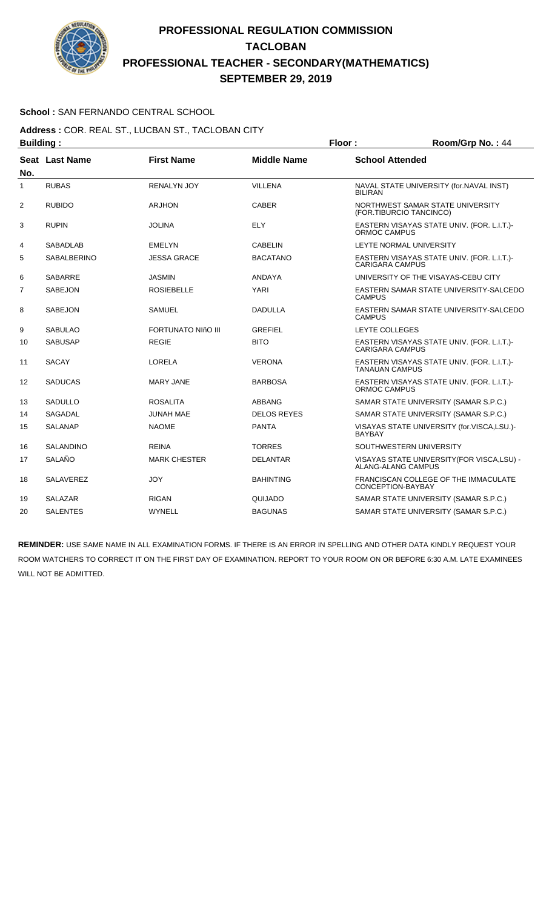

### **School :** SAN FERNANDO CENTRAL SCHOOL

**Address :** COR. REAL ST., LUCBAN ST., TACLOBAN CITY **Building : Floor : Floor : Room/Grp No. : 44** 

| No.            | <b>Seat Last Name</b> | <b>First Name</b>         | <b>Middle Name</b> | <b>School Attended</b>                                                   |
|----------------|-----------------------|---------------------------|--------------------|--------------------------------------------------------------------------|
| 1              | <b>RUBAS</b>          | <b>RENALYN JOY</b>        | <b>VILLENA</b>     | NAVAL STATE UNIVERSITY (for.NAVAL INST)<br><b>BILIRAN</b>                |
| $\overline{2}$ | <b>RUBIDO</b>         | <b>ARJHON</b>             | <b>CABER</b>       | NORTHWEST SAMAR STATE UNIVERSITY<br>(FOR.TIBURCIO TANCINCO)              |
| 3              | <b>RUPIN</b>          | <b>JOLINA</b>             | ELY                | EASTERN VISAYAS STATE UNIV. (FOR. L.I.T.)-<br>ORMOC CAMPUS               |
| 4              | <b>SABADLAB</b>       | <b>EMELYN</b>             | <b>CABELIN</b>     | LEYTE NORMAL UNIVERSITY                                                  |
| 5              | <b>SABALBERINO</b>    | <b>JESSA GRACE</b>        | <b>BACATANO</b>    | EASTERN VISAYAS STATE UNIV. (FOR. L.I.T.)-<br><b>CARIGARA CAMPUS</b>     |
| 6              | <b>SABARRE</b>        | <b>JASMIN</b>             | <b>ANDAYA</b>      | UNIVERSITY OF THE VISAYAS-CEBU CITY                                      |
| 7              | <b>SABEJON</b>        | <b>ROSIEBELLE</b>         | <b>YARI</b>        | EASTERN SAMAR STATE UNIVERSITY-SALCEDO<br><b>CAMPUS</b>                  |
| 8              | <b>SABEJON</b>        | <b>SAMUEL</b>             | <b>DADULLA</b>     | EASTERN SAMAR STATE UNIVERSITY-SALCEDO<br><b>CAMPUS</b>                  |
| 9              | <b>SABULAO</b>        | <b>FORTUNATO NIñO III</b> | GREFIEL            | LEYTE COLLEGES                                                           |
| 10             | <b>SABUSAP</b>        | <b>REGIE</b>              | <b>BITO</b>        | EASTERN VISAYAS STATE UNIV. (FOR. L.I.T.)-<br>CARIGARA CAMPUS            |
| 11             | <b>SACAY</b>          | LORELA                    | <b>VERONA</b>      | EASTERN VISAYAS STATE UNIV. (FOR. L.I.T.)-<br><b>TANAUAN CAMPUS</b>      |
| 12             | <b>SADUCAS</b>        | MARY JANE                 | <b>BARBOSA</b>     | EASTERN VISAYAS STATE UNIV. (FOR. L.I.T.)-<br>ORMOC CAMPUS               |
| 13             | <b>SADULLO</b>        | <b>ROSALITA</b>           | ABBANG             | SAMAR STATE UNIVERSITY (SAMAR S.P.C.)                                    |
| 14             | <b>SAGADAL</b>        | <b>JUNAH MAE</b>          | <b>DELOS REYES</b> | SAMAR STATE UNIVERSITY (SAMAR S.P.C.)                                    |
| 15             | <b>SALANAP</b>        | <b>NAOME</b>              | <b>PANTA</b>       | VISAYAS STATE UNIVERSITY (for.VISCA,LSU.)-<br><b>BAYBAY</b>              |
| 16             | <b>SALANDINO</b>      | <b>REINA</b>              | <b>TORRES</b>      | SOUTHWESTERN UNIVERSITY                                                  |
| 17             | SALAÑO                | <b>MARK CHESTER</b>       | <b>DELANTAR</b>    | VISAYAS STATE UNIVERSITY (FOR VISCA, LSU) -<br><b>ALANG-ALANG CAMPUS</b> |
| 18             | <b>SALAVEREZ</b>      | JOY                       | <b>BAHINTING</b>   | FRANCISCAN COLLEGE OF THE IMMACULATE<br>CONCEPTION-BAYBAY                |
| 19             | <b>SALAZAR</b>        | <b>RIGAN</b>              | QUIJADO            | SAMAR STATE UNIVERSITY (SAMAR S.P.C.)                                    |
| 20             | <b>SALENTES</b>       | WYNELL                    | <b>BAGUNAS</b>     | SAMAR STATE UNIVERSITY (SAMAR S.P.C.)                                    |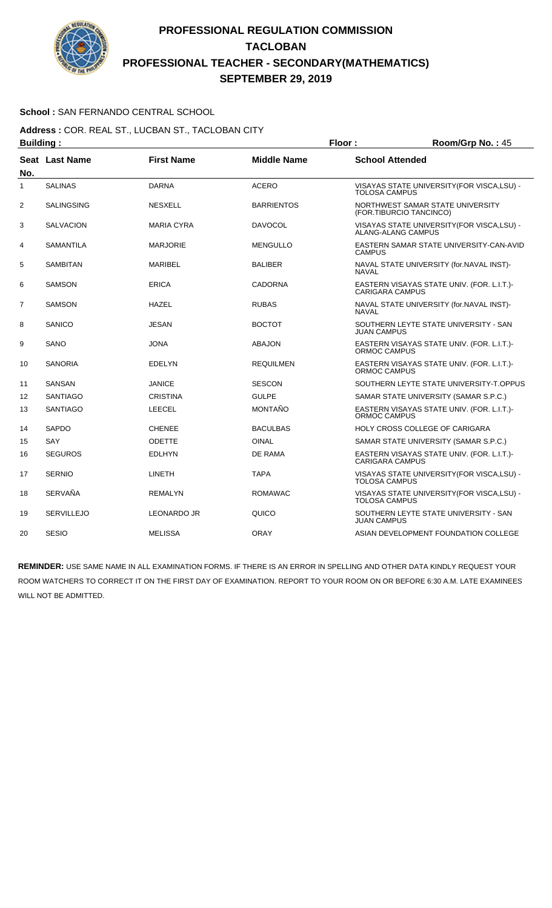

### **School :** SAN FERNANDO CENTRAL SCHOOL

**Address :** COR. REAL ST., LUCBAN ST., TACLOBAN CITY **Building : Floor : Floor : Room/Grp No. : 45** 

| No.            | <b>Seat Last Name</b> | <b>First Name</b>  | <b>Middle Name</b> | <b>School Attended</b>                                               |
|----------------|-----------------------|--------------------|--------------------|----------------------------------------------------------------------|
| 1              | <b>SALINAS</b>        | <b>DARNA</b>       | <b>ACERO</b>       | VISAYAS STATE UNIVERSITY (FOR VISCA, LSU) -<br><b>TOLOSA CAMPUS</b>  |
| $\overline{2}$ | <b>SALINGSING</b>     | <b>NESXELL</b>     | <b>BARRIENTOS</b>  | NORTHWEST SAMAR STATE UNIVERSITY<br>(FOR.TIBURCIO TANCINCO)          |
| 3              | <b>SALVACION</b>      | <b>MARIA CYRA</b>  | <b>DAVOCOL</b>     | VISAYAS STATE UNIVERSITY (FOR VISCA, LSU) -<br>ALANG-ALANG CAMPUS    |
| 4              | <b>SAMANTILA</b>      | <b>MARJORIE</b>    | <b>MENGULLO</b>    | EASTERN SAMAR STATE UNIVERSITY-CAN-AVID<br><b>CAMPUS</b>             |
| 5              | <b>SAMBITAN</b>       | <b>MARIBEL</b>     | <b>BALIBER</b>     | NAVAL STATE UNIVERSITY (for.NAVAL INST)-<br><b>NAVAL</b>             |
| 6              | <b>SAMSON</b>         | ERICA              | CADORNA            | EASTERN VISAYAS STATE UNIV. (FOR. L.I.T.)-<br><b>CARIGARA CAMPUS</b> |
| 7              | <b>SAMSON</b>         | <b>HAZEL</b>       | <b>RUBAS</b>       | NAVAL STATE UNIVERSITY (for.NAVAL INST)-<br><b>NAVAL</b>             |
| 8              | SANICO                | <b>JESAN</b>       | <b>BOCTOT</b>      | SOUTHERN LEYTE STATE UNIVERSITY - SAN<br><b>JUAN CAMPUS</b>          |
| 9              | SANO                  | <b>JONA</b>        | <b>ABAJON</b>      | EASTERN VISAYAS STATE UNIV. (FOR. L.I.T.)-<br>ORMOC CAMPUS           |
| 10             | <b>SANORIA</b>        | <b>EDELYN</b>      | <b>REQUILMEN</b>   | EASTERN VISAYAS STATE UNIV. (FOR. L.I.T.)-<br>ORMOC CAMPUS           |
| 11             | <b>SANSAN</b>         | <b>JANICE</b>      | <b>SESCON</b>      | SOUTHERN LEYTE STATE UNIVERSITY-T.OPPUS                              |
| 12             | <b>SANTIAGO</b>       | <b>CRISTINA</b>    | <b>GULPE</b>       | SAMAR STATE UNIVERSITY (SAMAR S.P.C.)                                |
| 13             | <b>SANTIAGO</b>       | <b>LEECEL</b>      | <b>MONTAÑO</b>     | EASTERN VISAYAS STATE UNIV. (FOR. L.I.T.)-<br><b>ORMOC CAMPUS</b>    |
| 14             | <b>SAPDO</b>          | <b>CHENEE</b>      | <b>BACULBAS</b>    | HOLY CROSS COLLEGE OF CARIGARA                                       |
| 15             | SAY                   | <b>ODETTE</b>      | <b>OINAL</b>       | SAMAR STATE UNIVERSITY (SAMAR S.P.C.)                                |
| 16             | <b>SEGUROS</b>        | <b>EDLHYN</b>      | DE RAMA            | EASTERN VISAYAS STATE UNIV. (FOR. L.I.T.)-<br><b>CARIGARA CAMPUS</b> |
| 17             | <b>SERNIO</b>         | LINETH             | <b>TAPA</b>        | VISAYAS STATE UNIVERSITY (FOR VISCA, LSU) -<br><b>TOLOSA CAMPUS</b>  |
| 18             | <b>SERVAÑA</b>        | <b>REMALYN</b>     | <b>ROMAWAC</b>     | VISAYAS STATE UNIVERSITY (FOR VISCA, LSU) -<br><b>TOLOSA CAMPUS</b>  |
| 19             | <b>SERVILLEJO</b>     | <b>LEONARDO JR</b> | QUICO              | SOUTHERN LEYTE STATE UNIVERSITY - SAN<br><b>JUAN CAMPUS</b>          |
| 20             | <b>SESIO</b>          | <b>MELISSA</b>     | <b>ORAY</b>        | ASIAN DEVELOPMENT FOUNDATION COLLEGE                                 |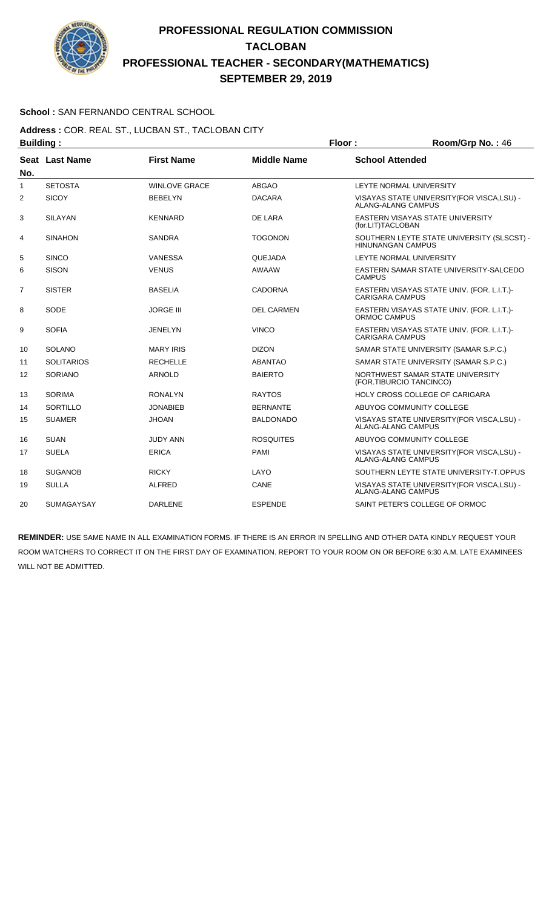

### **School :** SAN FERNANDO CENTRAL SCHOOL

#### **Address :** COR. REAL ST., LUCBAN ST., TACLOBAN CITY **Building : Floor : Floor : Room/Grp No. : 46**

| No.            | Seat Last Name    | <b>First Name</b>    | <b>Middle Name</b> | <b>School Attended</b>                                                   |
|----------------|-------------------|----------------------|--------------------|--------------------------------------------------------------------------|
| $\mathbf{1}$   | <b>SETOSTA</b>    | <b>WINLOVE GRACE</b> | <b>ABGAO</b>       | LEYTE NORMAL UNIVERSITY                                                  |
| 2              | <b>SICOY</b>      | <b>BEBELYN</b>       | <b>DACARA</b>      | VISAYAS STATE UNIVERSITY (FOR VISCA, LSU) -<br>ALANG-ALANG CAMPUS        |
| 3              | <b>SILAYAN</b>    | <b>KENNARD</b>       | DE LARA            | EASTERN VISAYAS STATE UNIVERSITY<br>(for.LIT)TACLOBAN                    |
| 4              | <b>SINAHON</b>    | <b>SANDRA</b>        | <b>TOGONON</b>     | SOUTHERN LEYTE STATE UNIVERSITY (SLSCST) -<br><b>HINUNANGAN CAMPUS</b>   |
| 5              | <b>SINCO</b>      | <b>VANESSA</b>       | QUEJADA            | LEYTE NORMAL UNIVERSITY                                                  |
| 6              | <b>SISON</b>      | <b>VENUS</b>         | <b>AWAAW</b>       | EASTERN SAMAR STATE UNIVERSITY-SALCEDO<br><b>CAMPUS</b>                  |
| $\overline{7}$ | <b>SISTER</b>     | <b>BASELIA</b>       | <b>CADORNA</b>     | EASTERN VISAYAS STATE UNIV. (FOR. L.I.T.)-<br><b>CARIGARA CAMPUS</b>     |
| 8              | SODE              | <b>JORGE III</b>     | <b>DEL CARMEN</b>  | EASTERN VISAYAS STATE UNIV. (FOR. L.I.T.)-<br><b>ORMOC CAMPUS</b>        |
| 9              | <b>SOFIA</b>      | <b>JENELYN</b>       | <b>VINCO</b>       | EASTERN VISAYAS STATE UNIV. (FOR. L.I.T.)-<br><b>CARIGARA CAMPUS</b>     |
| 10             | <b>SOLANO</b>     | <b>MARY IRIS</b>     | <b>DIZON</b>       | SAMAR STATE UNIVERSITY (SAMAR S.P.C.)                                    |
| 11             | <b>SOLITARIOS</b> | <b>RECHELLE</b>      | <b>ABANTAO</b>     | SAMAR STATE UNIVERSITY (SAMAR S.P.C.)                                    |
| 12             | <b>SORIANO</b>    | <b>ARNOLD</b>        | <b>BAIERTO</b>     | NORTHWEST SAMAR STATE UNIVERSITY<br>(FOR.TIBURCIO TANCINCO)              |
| 13             | <b>SORIMA</b>     | <b>RONALYN</b>       | <b>RAYTOS</b>      | HOLY CROSS COLLEGE OF CARIGARA                                           |
| 14             | SORTILLO          | <b>JONABIEB</b>      | <b>BERNANTE</b>    | ABUYOG COMMUNITY COLLEGE                                                 |
| 15             | <b>SUAMER</b>     | <b>JHOAN</b>         | <b>BALDONADO</b>   | VISAYAS STATE UNIVERSITY (FOR VISCA, LSU) -<br><b>ALANG-ALANG CAMPUS</b> |
| 16             | <b>SUAN</b>       | <b>JUDY ANN</b>      | <b>ROSQUITES</b>   | ABUYOG COMMUNITY COLLEGE                                                 |
| 17             | <b>SUELA</b>      | <b>ERICA</b>         | <b>PAMI</b>        | VISAYAS STATE UNIVERSITY (FOR VISCA, LSU) -<br><b>ALANG-ALANG CAMPUS</b> |
| 18             | <b>SUGANOB</b>    | <b>RICKY</b>         | LAYO               | SOUTHERN LEYTE STATE UNIVERSITY-T.OPPUS                                  |
| 19             | <b>SULLA</b>      | <b>ALFRED</b>        | CANE               | VISAYAS STATE UNIVERSITY (FOR VISCA, LSU) -<br><b>ALANG-ALANG CAMPUS</b> |
| 20             | <b>SUMAGAYSAY</b> | <b>DARLENE</b>       | <b>ESPENDE</b>     | SAINT PETER'S COLLEGE OF ORMOC                                           |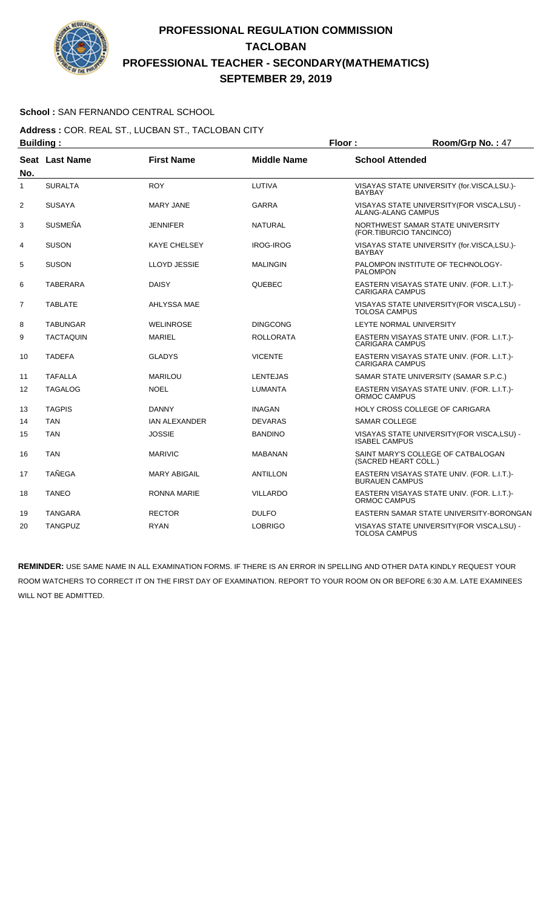

### **School :** SAN FERNANDO CENTRAL SCHOOL

**Address :** COR. REAL ST., LUCBAN ST., TACLOBAN CITY **Building : Floor : Floor : Room/Grp No. : 47** 

| No. | <b>Seat Last Name</b> | <b>First Name</b>    | <b>Middle Name</b> | <b>School Attended</b>                                               |
|-----|-----------------------|----------------------|--------------------|----------------------------------------------------------------------|
| 1   | <b>SURALTA</b>        | <b>ROY</b>           | LUTIVA             | VISAYAS STATE UNIVERSITY (for.VISCA,LSU.)-<br><b>BAYBAY</b>          |
| 2   | <b>SUSAYA</b>         | <b>MARY JANE</b>     | <b>GARRA</b>       | VISAYAS STATE UNIVERSITY (FOR VISCA, LSU) -<br>ALANG-ALANG CAMPUS    |
| 3   | <b>SUSMEÑA</b>        | JENNIFER             | <b>NATURAL</b>     | NORTHWEST SAMAR STATE UNIVERSITY<br>(FOR.TIBURCIO TANCINCO)          |
| 4   | <b>SUSON</b>          | <b>KAYE CHELSEY</b>  | <b>IROG-IROG</b>   | VISAYAS STATE UNIVERSITY (for.VISCA,LSU.)-<br><b>BAYBAY</b>          |
| 5   | <b>SUSON</b>          | LLOYD JESSIE         | <b>MALINGIN</b>    | PALOMPON INSTITUTE OF TECHNOLOGY-<br><b>PALOMPON</b>                 |
| 6   | <b>TABERARA</b>       | <b>DAISY</b>         | <b>QUEBEC</b>      | EASTERN VISAYAS STATE UNIV. (FOR. L.I.T.)-<br><b>CARIGARA CAMPUS</b> |
| 7   | <b>TABLATE</b>        | AHLYSSA MAE          |                    | VISAYAS STATE UNIVERSITY (FOR VISCA, LSU) -<br><b>TOLOSA CAMPUS</b>  |
| 8   | <b>TABUNGAR</b>       | <b>WELINROSE</b>     | <b>DINGCONG</b>    | LEYTE NORMAL UNIVERSITY                                              |
| 9   | <b>TACTAQUIN</b>      | <b>MARIEL</b>        | <b>ROLLORATA</b>   | EASTERN VISAYAS STATE UNIV. (FOR. L.I.T.)-<br><b>CARIGARA CAMPUS</b> |
| 10  | <b>TADEFA</b>         | <b>GLADYS</b>        | <b>VICENTE</b>     | EASTERN VISAYAS STATE UNIV. (FOR. L.I.T.)-<br><b>CARIGARA CAMPUS</b> |
| 11  | <b>TAFALLA</b>        | <b>MARILOU</b>       | <b>LENTEJAS</b>    | SAMAR STATE UNIVERSITY (SAMAR S.P.C.)                                |
| 12  | <b>TAGALOG</b>        | <b>NOEL</b>          | <b>LUMANTA</b>     | EASTERN VISAYAS STATE UNIV. (FOR. L.I.T.)-<br>ORMOC CAMPUS           |
| 13  | <b>TAGPIS</b>         | <b>DANNY</b>         | <b>INAGAN</b>      | <b>HOLY CROSS COLLEGE OF CARIGARA</b>                                |
| 14  | <b>TAN</b>            | <b>IAN ALEXANDER</b> | <b>DEVARAS</b>     | <b>SAMAR COLLEGE</b>                                                 |
| 15  | <b>TAN</b>            | <b>JOSSIE</b>        | <b>BANDINO</b>     | VISAYAS STATE UNIVERSITY (FOR VISCA, LSU) -<br><b>ISABEL CAMPUS</b>  |
| 16  | <b>TAN</b>            | <b>MARIVIC</b>       | <b>MABANAN</b>     | SAINT MARY'S COLLEGE OF CATBALOGAN<br>(SACRED HEART COLL.)           |
| 17  | <b>TAÑEGA</b>         | <b>MARY ABIGAIL</b>  | <b>ANTILLON</b>    | EASTERN VISAYAS STATE UNIV. (FOR. L.I.T.)-<br><b>BURAUEN CAMPUS</b>  |
| 18  | <b>TANEO</b>          | <b>RONNA MARIE</b>   | <b>VILLARDO</b>    | EASTERN VISAYAS STATE UNIV. (FOR. L.I.T.)-<br>ORMOC CAMPUS           |
| 19  | <b>TANGARA</b>        | <b>RECTOR</b>        | <b>DULFO</b>       | EASTERN SAMAR STATE UNIVERSITY-BORONGAN                              |
| 20  | <b>TANGPUZ</b>        | <b>RYAN</b>          | <b>LOBRIGO</b>     | VISAYAS STATE UNIVERSITY (FOR VISCA, LSU) -<br><b>TOLOSA CAMPUS</b>  |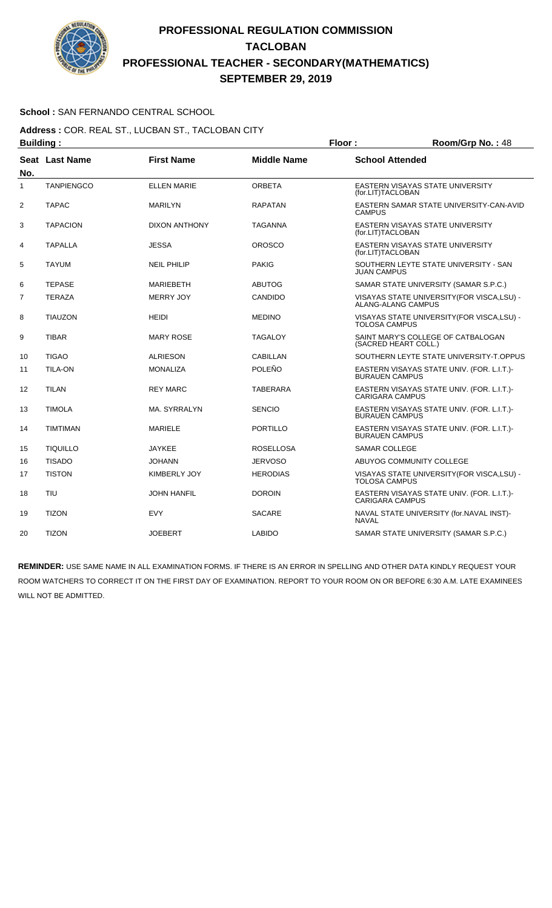

### **School :** SAN FERNANDO CENTRAL SCHOOL

#### **Address :** COR. REAL ST., LUCBAN ST., TACLOBAN CITY **Building : Floor : Floor : Room/Grp No. : 48**

|                | .                 |                     |                    |                                                                          |  |
|----------------|-------------------|---------------------|--------------------|--------------------------------------------------------------------------|--|
| No.            | Seat Last Name    | <b>First Name</b>   | <b>Middle Name</b> | <b>School Attended</b>                                                   |  |
| 1              | <b>TANPIENGCO</b> | <b>ELLEN MARIE</b>  | <b>ORBETA</b>      | EASTERN VISAYAS STATE UNIVERSITY<br>(for.LIT)TACLOBAN                    |  |
| 2              | <b>TAPAC</b>      | <b>MARILYN</b>      | <b>RAPATAN</b>     | EASTERN SAMAR STATE UNIVERSITY-CAN-AVID<br><b>CAMPUS</b>                 |  |
| 3              | <b>TAPACION</b>   | DIXON ANTHONY       | <b>TAGANNA</b>     | EASTERN VISAYAS STATE UNIVERSITY<br>(for.LIT)TACLOBAN                    |  |
| 4              | <b>TAPALLA</b>    | <b>JESSA</b>        | <b>OROSCO</b>      | EASTERN VISAYAS STATE UNIVERSITY<br>(for.LIT)TACLOBAN                    |  |
| 5              | <b>TAYUM</b>      | <b>NEIL PHILIP</b>  | <b>PAKIG</b>       | SOUTHERN LEYTE STATE UNIVERSITY - SAN<br><b>JUAN CAMPUS</b>              |  |
| 6              | <b>TEPASE</b>     | <b>MARIEBETH</b>    | <b>ABUTOG</b>      | SAMAR STATE UNIVERSITY (SAMAR S.P.C.)                                    |  |
| $\overline{7}$ | <b>TERAZA</b>     | <b>MERRY JOY</b>    | <b>CANDIDO</b>     | VISAYAS STATE UNIVERSITY (FOR VISCA, LSU) -<br><b>ALANG-ALANG CAMPUS</b> |  |
| 8              | <b>TIAUZON</b>    | <b>HEIDI</b>        | <b>MEDINO</b>      | VISAYAS STATE UNIVERSITY (FOR VISCA, LSU) -<br><b>TOLOSA CAMPUS</b>      |  |
| 9              | <b>TIBAR</b>      | <b>MARY ROSE</b>    | <b>TAGALOY</b>     | SAINT MARY'S COLLEGE OF CATBALOGAN<br>(SACRED HEART COLL.)               |  |
| 10             | <b>TIGAO</b>      | <b>ALRIESON</b>     | <b>CABILLAN</b>    | SOUTHERN LEYTE STATE UNIVERSITY-T.OPPUS                                  |  |
| 11             | <b>TILA-ON</b>    | <b>MONALIZA</b>     | POLEÑO             | EASTERN VISAYAS STATE UNIV. (FOR. L.I.T.)-<br><b>BURAUEN CAMPUS</b>      |  |
| 12             | <b>TILAN</b>      | <b>REY MARC</b>     | <b>TABERARA</b>    | EASTERN VISAYAS STATE UNIV. (FOR. L.I.T.)-<br><b>CARIGARA CAMPUS</b>     |  |
| 13             | <b>TIMOLA</b>     | MA. SYRRALYN        | <b>SENCIO</b>      | EASTERN VISAYAS STATE UNIV. (FOR. L.I.T.)-<br><b>BURAUEN CAMPUS</b>      |  |
| 14             | <b>TIMTIMAN</b>   | <b>MARIELE</b>      | <b>PORTILLO</b>    | EASTERN VISAYAS STATE UNIV. (FOR. L.I.T.)-<br><b>BURAUEN CAMPUS</b>      |  |
| 15             | <b>TIQUILLO</b>   | <b>JAYKEE</b>       | <b>ROSELLOSA</b>   | <b>SAMAR COLLEGE</b>                                                     |  |
| 16             | <b>TISADO</b>     | <b>JOHANN</b>       | <b>JERVOSO</b>     | ABUYOG COMMUNITY COLLEGE                                                 |  |
| 17             | <b>TISTON</b>     | <b>KIMBERLY JOY</b> | <b>HERODIAS</b>    | VISAYAS STATE UNIVERSITY(FOR VISCA,LSU) -<br><b>TOLOSA CAMPUS</b>        |  |
| 18             | <b>TIU</b>        | <b>JOHN HANFIL</b>  | <b>DOROIN</b>      | EASTERN VISAYAS STATE UNIV. (FOR. L.I.T.)-<br><b>CARIGARA CAMPUS</b>     |  |
| 19             | <b>TIZON</b>      | <b>EVY</b>          | <b>SACARE</b>      | NAVAL STATE UNIVERSITY (for.NAVAL INST)-<br><b>NAVAL</b>                 |  |
| 20             | <b>TIZON</b>      | <b>JOEBERT</b>      | <b>LABIDO</b>      | SAMAR STATE UNIVERSITY (SAMAR S.P.C.)                                    |  |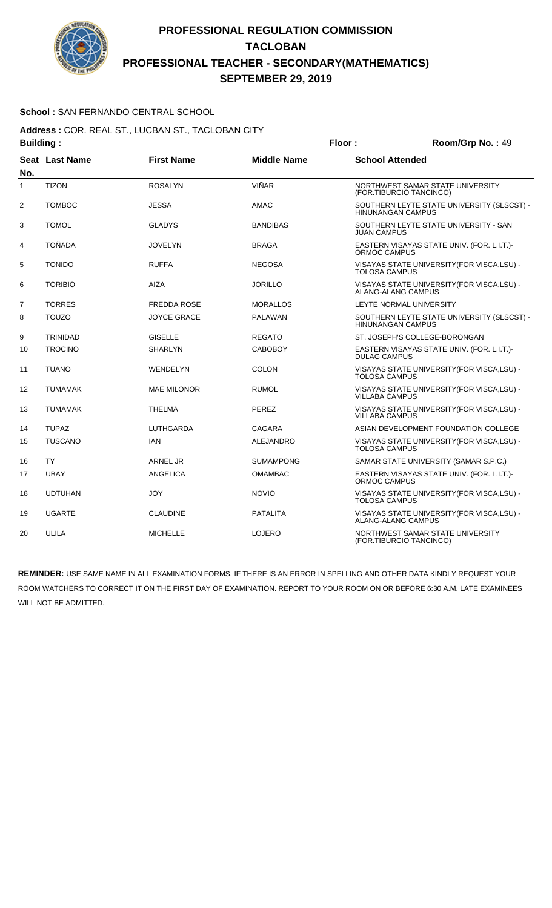

### **School :** SAN FERNANDO CENTRAL SCHOOL

**Address :** COR. REAL ST., LUCBAN ST., TACLOBAN CITY **Building : Floor : Floor : Room/Grp No. : 49** 

|                | -------- <u>-</u>     |                    |                    |                                                                          |  |  |
|----------------|-----------------------|--------------------|--------------------|--------------------------------------------------------------------------|--|--|
| No.            | <b>Seat Last Name</b> | <b>First Name</b>  | <b>Middle Name</b> | <b>School Attended</b>                                                   |  |  |
| $\mathbf{1}$   | <b>TIZON</b>          | <b>ROSALYN</b>     | <b>VIÑAR</b>       | NORTHWEST SAMAR STATE UNIVERSITY<br>(FOR.TIBURCIO TANCINCO)              |  |  |
| $\overline{2}$ | <b>TOMBOC</b>         | <b>JESSA</b>       | AMAC               | SOUTHERN LEYTE STATE UNIVERSITY (SLSCST) -<br><b>HINUNANGAN CAMPUS</b>   |  |  |
| 3              | <b>TOMOL</b>          | <b>GLADYS</b>      | <b>BANDIBAS</b>    | SOUTHERN LEYTE STATE UNIVERSITY - SAN<br><b>JUAN CAMPUS</b>              |  |  |
| 4              | <b>TOÑADA</b>         | <b>JOVELYN</b>     | <b>BRAGA</b>       | EASTERN VISAYAS STATE UNIV. (FOR. L.I.T.)-<br>ORMOC CAMPUS               |  |  |
| 5              | <b>TONIDO</b>         | <b>RUFFA</b>       | <b>NEGOSA</b>      | VISAYAS STATE UNIVERSITY (FOR VISCA, LSU) -<br><b>TOLOSA CAMPUS</b>      |  |  |
| 6              | <b>TORIBIO</b>        | <b>AIZA</b>        | <b>JORILLO</b>     | VISAYAS STATE UNIVERSITY (FOR VISCA, LSU) -<br><b>ALANG-ALANG CAMPUS</b> |  |  |
| $\overline{7}$ | <b>TORRES</b>         | <b>FREDDA ROSE</b> | <b>MORALLOS</b>    | LEYTE NORMAL UNIVERSITY                                                  |  |  |
| 8              | <b>TOUZO</b>          | <b>JOYCE GRACE</b> | <b>PALAWAN</b>     | SOUTHERN LEYTE STATE UNIVERSITY (SLSCST) -<br><b>HINUNANGAN CAMPUS</b>   |  |  |
| 9              | <b>TRINIDAD</b>       | <b>GISELLE</b>     | <b>REGATO</b>      | ST. JOSEPH'S COLLEGE-BORONGAN                                            |  |  |
| 10             | <b>TROCINO</b>        | <b>SHARLYN</b>     | <b>CABOBOY</b>     | EASTERN VISAYAS STATE UNIV. (FOR. L.I.T.)-<br><b>DULAG CAMPUS</b>        |  |  |
| 11             | <b>TUANO</b>          | WENDELYN           | <b>COLON</b>       | VISAYAS STATE UNIVERSITY (FOR VISCA, LSU) -<br><b>TOLOSA CAMPUS</b>      |  |  |
| 12             | <b>TUMAMAK</b>        | <b>MAE MILONOR</b> | <b>RUMOL</b>       | VISAYAS STATE UNIVERSITY (FOR VISCA, LSU) -<br>VILLABA CAMPUS            |  |  |
| 13             | <b>TUMAMAK</b>        | <b>THELMA</b>      | PEREZ              | VISAYAS STATE UNIVERSITY (FOR VISCA, LSU) -<br><b>VILLABA CAMPUS</b>     |  |  |
| 14             | <b>TUPAZ</b>          | LUTHGARDA          | CAGARA             | ASIAN DEVELOPMENT FOUNDATION COLLEGE                                     |  |  |
| 15             | <b>TUSCANO</b>        | IAN                | <b>ALEJANDRO</b>   | VISAYAS STATE UNIVERSITY (FOR VISCA, LSU) -<br><b>TOLOSA CAMPUS</b>      |  |  |
| 16             | <b>TY</b>             | <b>ARNEL JR</b>    | <b>SUMAMPONG</b>   | SAMAR STATE UNIVERSITY (SAMAR S.P.C.)                                    |  |  |
| 17             | <b>UBAY</b>           | ANGELICA           | <b>OMAMBAC</b>     | EASTERN VISAYAS STATE UNIV. (FOR. L.I.T.)-<br>ORMOC CAMPUS               |  |  |
| 18             | <b>UDTUHAN</b>        | <b>JOY</b>         | <b>NOVIO</b>       | VISAYAS STATE UNIVERSITY (FOR VISCA, LSU) -<br><b>TOLOSA CAMPUS</b>      |  |  |
| 19             | <b>UGARTE</b>         | <b>CLAUDINE</b>    | <b>PATALITA</b>    | VISAYAS STATE UNIVERSITY (FOR VISCA, LSU) -<br><b>ALANG-ALANG CAMPUS</b> |  |  |
| 20             | <b>ULILA</b>          | <b>MICHELLE</b>    | <b>LOJERO</b>      | NORTHWEST SAMAR STATE UNIVERSITY<br>(FOR.TIBURCIO TANCINCO)              |  |  |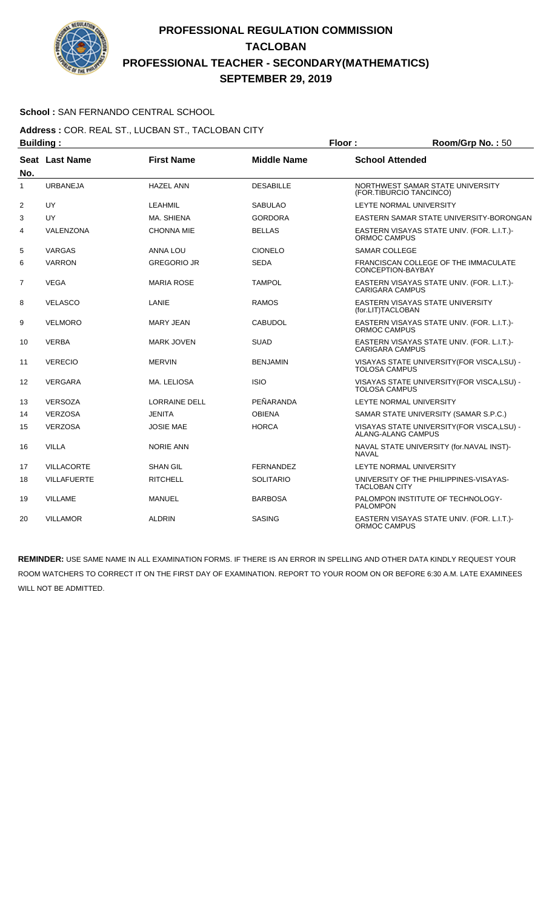

### **School :** SAN FERNANDO CENTRAL SCHOOL

#### **Address :** COR. REAL ST., LUCBAN ST., TACLOBAN CITY **Building : Floor : Room/Grp No. :** 50

| винишми г      |                    |                      |                    |                                                                          |
|----------------|--------------------|----------------------|--------------------|--------------------------------------------------------------------------|
| No.            | Seat Last Name     | <b>First Name</b>    | <b>Middle Name</b> | <b>School Attended</b>                                                   |
| $\mathbf{1}$   | <b>URBANEJA</b>    | <b>HAZEL ANN</b>     | <b>DESABILLE</b>   | NORTHWEST SAMAR STATE UNIVERSITY<br>(FOR.TIBURCIO TANCINCO)              |
| $\overline{2}$ | UY                 | <b>LEAHMIL</b>       | <b>SABULAO</b>     | LEYTE NORMAL UNIVERSITY                                                  |
| 3              | UY                 | MA. SHIENA           | <b>GORDORA</b>     | EASTERN SAMAR STATE UNIVERSITY-BORONGAN                                  |
| 4              | VALENZONA          | <b>CHONNA MIE</b>    | <b>BELLAS</b>      | EASTERN VISAYAS STATE UNIV. (FOR. L.I.T.)-<br>ORMOC CAMPUS               |
| 5              | <b>VARGAS</b>      | <b>ANNA LOU</b>      | <b>CIONELO</b>     | <b>SAMAR COLLEGE</b>                                                     |
| 6              | <b>VARRON</b>      | <b>GREGORIO JR</b>   | <b>SEDA</b>        | FRANCISCAN COLLEGE OF THE IMMACULATE<br>CONCEPTION-BAYBAY                |
| $\overline{7}$ | <b>VEGA</b>        | <b>MARIA ROSE</b>    | <b>TAMPOL</b>      | EASTERN VISAYAS STATE UNIV. (FOR. L.I.T.)-<br><b>CARIGARA CAMPUS</b>     |
| 8              | <b>VELASCO</b>     | LANIE                | <b>RAMOS</b>       | EASTERN VISAYAS STATE UNIVERSITY<br>(for.LIT)TACLOBAN                    |
| 9              | <b>VELMORO</b>     | MARY JEAN            | <b>CABUDOL</b>     | EASTERN VISAYAS STATE UNIV. (FOR. L.I.T.)-<br><b>ORMOC CAMPUS</b>        |
| 10             | <b>VERBA</b>       | <b>MARK JOVEN</b>    | <b>SUAD</b>        | EASTERN VISAYAS STATE UNIV. (FOR. L.I.T.)-<br><b>CARIGARA CAMPUS</b>     |
| 11             | <b>VERECIO</b>     | <b>MERVIN</b>        | <b>BENJAMIN</b>    | VISAYAS STATE UNIVERSITY (FOR VISCA, LSU) -<br><b>TOLOSA CAMPUS</b>      |
| 12             | <b>VERGARA</b>     | MA. LELIOSA          | <b>ISIO</b>        | VISAYAS STATE UNIVERSITY (FOR VISCA, LSU) -<br><b>TOLOSA CAMPUS</b>      |
| 13             | <b>VERSOZA</b>     | <b>LORRAINE DELL</b> | PEÑARANDA          | LEYTE NORMAL UNIVERSITY                                                  |
| 14             | <b>VERZOSA</b>     | <b>JENITA</b>        | <b>OBIENA</b>      | SAMAR STATE UNIVERSITY (SAMAR S.P.C.)                                    |
| 15             | <b>VERZOSA</b>     | <b>JOSIE MAE</b>     | <b>HORCA</b>       | VISAYAS STATE UNIVERSITY (FOR VISCA, LSU) -<br><b>ALANG-ALANG CAMPUS</b> |
| 16             | <b>VILLA</b>       | <b>NORIE ANN</b>     |                    | NAVAL STATE UNIVERSITY (for.NAVAL INST)-<br><b>NAVAL</b>                 |
| 17             | <b>VILLACORTE</b>  | <b>SHAN GIL</b>      | <b>FERNANDEZ</b>   | LEYTE NORMAL UNIVERSITY                                                  |
| 18             | <b>VILLAFUERTE</b> | <b>RITCHELL</b>      | <b>SOLITARIO</b>   | UNIVERSITY OF THE PHILIPPINES-VISAYAS-<br><b>TACLOBAN CITY</b>           |
| 19             | <b>VILLAME</b>     | <b>MANUEL</b>        | <b>BARBOSA</b>     | PALOMPON INSTITUTE OF TECHNOLOGY-<br><b>PALOMPON</b>                     |
| 20             | <b>VILLAMOR</b>    | <b>ALDRIN</b>        | <b>SASING</b>      | EASTERN VISAYAS STATE UNIV. (FOR. L.I.T.)-<br>ORMOC CAMPUS               |